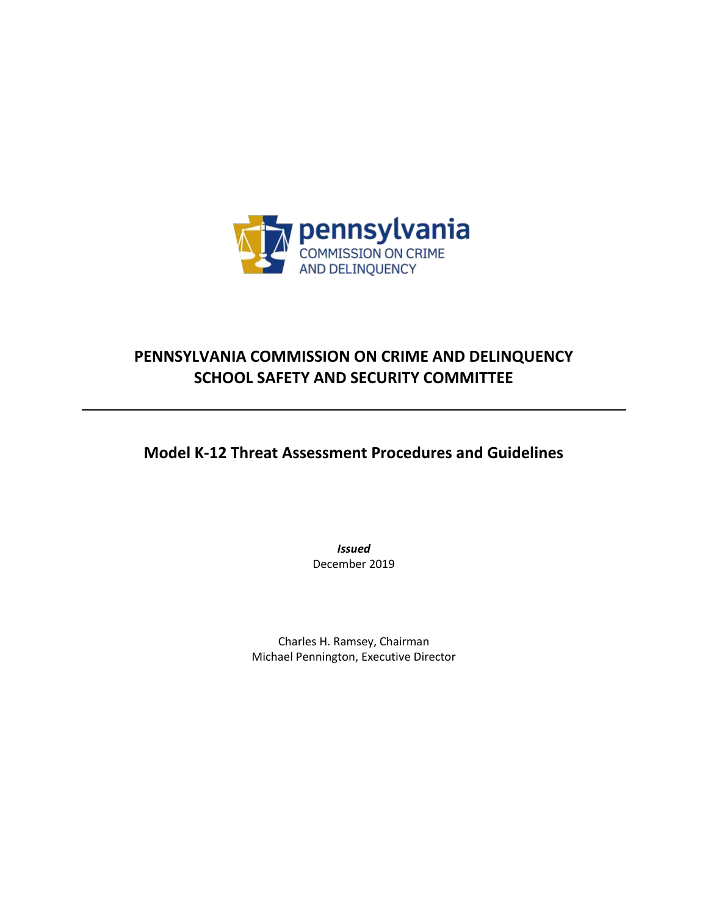

# **PENNSYLVANIA COMMISSION ON CRIME AND DELINQUENCY SCHOOL SAFETY AND SECURITY COMMITTEE**

**Model K-12 Threat Assessment Procedures and Guidelines**

*Issued* December 2019

Charles H. Ramsey, Chairman Michael Pennington, Executive Director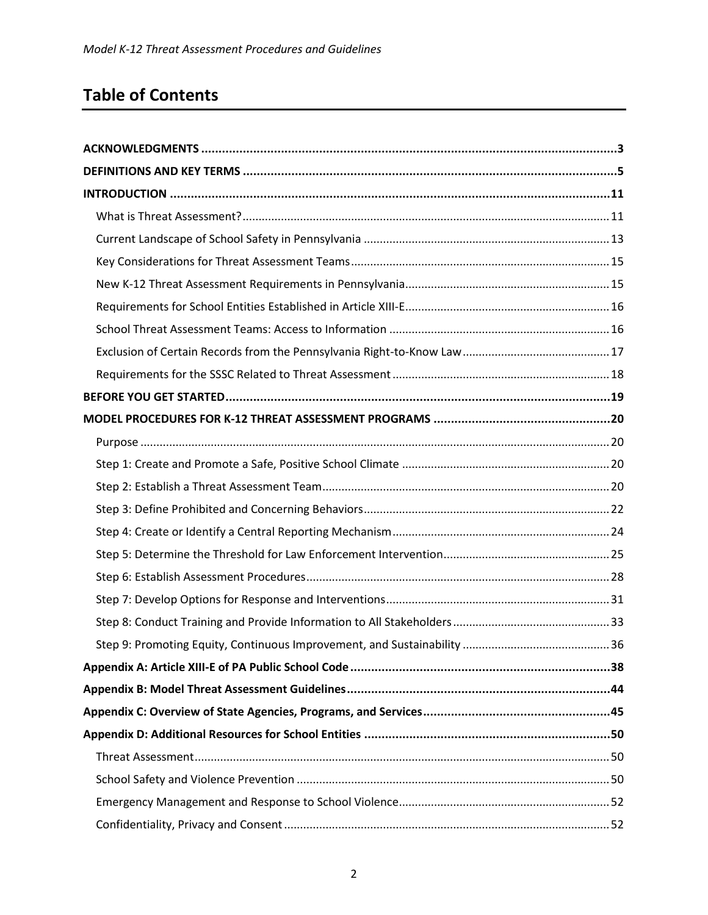# **Table of Contents**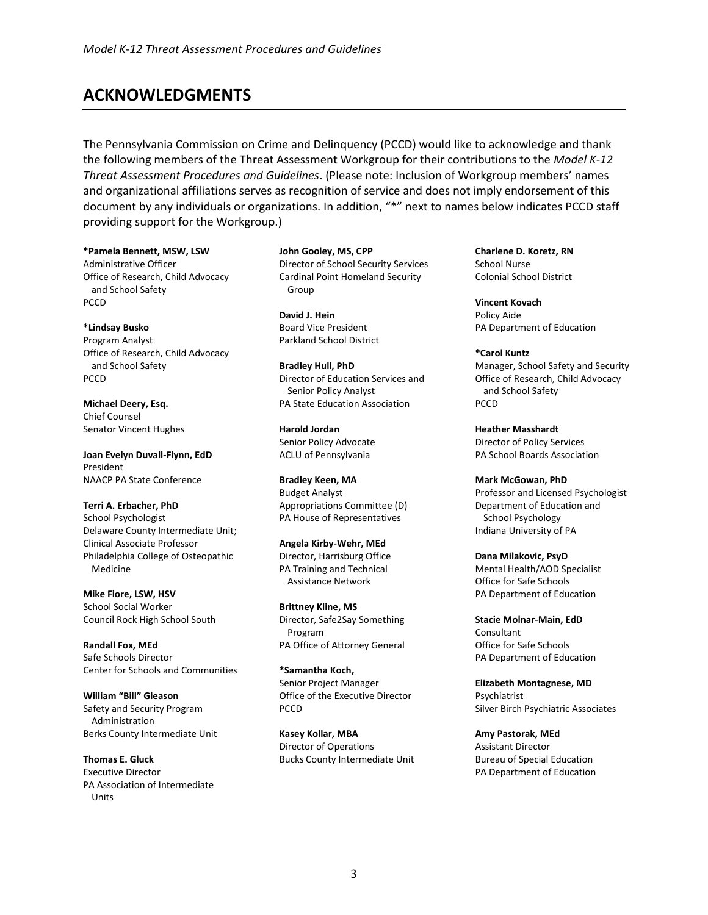# <span id="page-2-0"></span>**ACKNOWLEDGMENTS**

The Pennsylvania Commission on Crime and Delinquency (PCCD) would like to acknowledge and thank the following members of the Threat Assessment Workgroup for their contributions to the *Model K-12 Threat Assessment Procedures and Guidelines*. (Please note: Inclusion of Workgroup members' names and organizational affiliations serves as recognition of service and does not imply endorsement of this document by any individuals or organizations. In addition, "\*" next to names below indicates PCCD staff providing support for the Workgroup.)

#### **\*Pamela Bennett, MSW, LSW**

Administrative Officer Office of Research, Child Advocacy and School Safety PCCD

**\*Lindsay Busko** Program Analyst Office of Research, Child Advocacy and School Safety PCCD

**Michael Deery, Esq.**  Chief Counsel Senator Vincent Hughes

**Joan Evelyn Duvall-Flynn, EdD** President NAACP PA State Conference

**Terri A. Erbacher, PhD** School Psychologist Delaware County Intermediate Unit; Clinical Associate Professor Philadelphia College of Osteopathic Medicine

**Mike Fiore, LSW, HSV** School Social Worker Council Rock High School South

**Randall Fox, MEd** Safe Schools Director Center for Schools and Communities

**William "Bill" Gleason**  Safety and Security Program Administration Berks County Intermediate Unit

**Thomas E. Gluck** Executive Director PA Association of Intermediate Units

**John Gooley, MS, CPP** Director of School Security Services Cardinal Point Homeland Security Group

**David J. Hein**  Board Vice President Parkland School District

**Bradley Hull, PhD**  Director of Education Services and Senior Policy Analyst PA State Education Association

**Harold Jordan** Senior Policy Advocate ACLU of Pennsylvania

**Bradley Keen, MA** Budget Analyst Appropriations Committee (D) PA House of Representatives

**Angela Kirby-Wehr, MEd** Director, Harrisburg Office PA Training and Technical Assistance Network

**Brittney Kline, MS** Director, Safe2Say Something Program PA Office of Attorney General

**\*Samantha Koch,**  Senior Project Manager Office of the Executive Director PCCD

**Kasey Kollar, MBA** Director of Operations Bucks County Intermediate Unit **Charlene D. Koretz, RN** School Nurse Colonial School District

**Vincent Kovach** Policy Aide PA Department of Education

**\*Carol Kuntz**  Manager, School Safety and Security Office of Research, Child Advocacy and School Safety PCCD

**Heather Masshardt**  Director of Policy Services PA School Boards Association

**Mark McGowan, PhD**  Professor and Licensed Psychologist Department of Education and School Psychology Indiana University of PA

**Dana Milakovic, PsyD**  Mental Health/AOD Specialist Office for Safe Schools PA Department of Education

**Stacie Molnar-Main, EdD** Consultant Office for Safe Schools PA Department of Education

**Elizabeth Montagnese, MD** Psychiatrist Silver Birch Psychiatric Associates

**Amy Pastorak, MEd** Assistant Director Bureau of Special Education PA Department of Education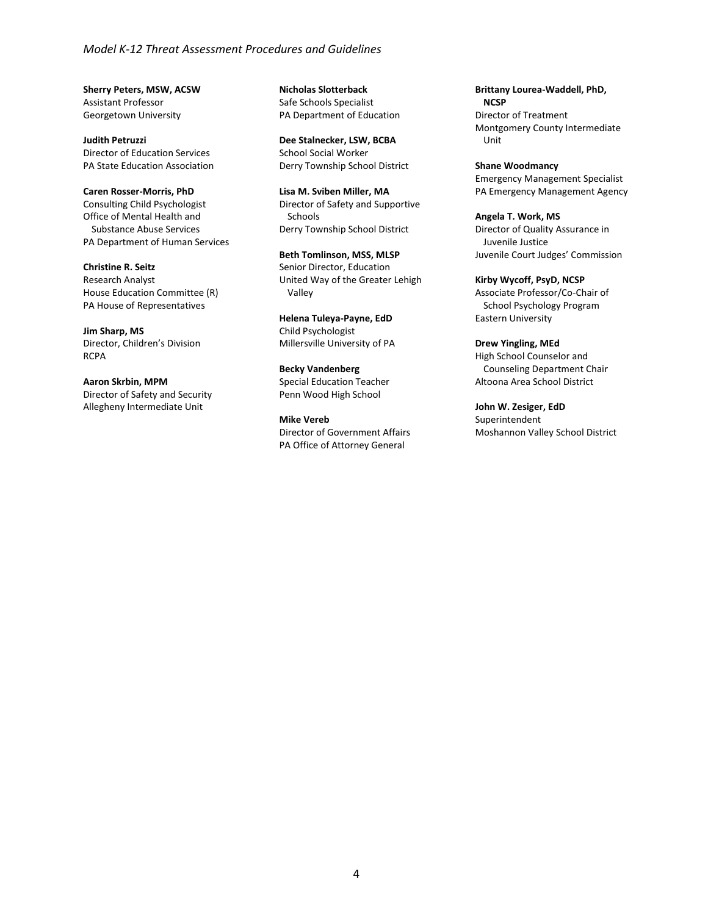#### *Model K-12 Threat Assessment Procedures and Guidelines*

**Sherry Peters, MSW, ACSW**  Assistant Professor Georgetown University

**Judith Petruzzi**  Director of Education Services PA State Education Association

#### **Caren Rosser-Morris, PhD**

Consulting Child Psychologist Office of Mental Health and Substance Abuse Services PA Department of Human Services

**Christine R. Seitz** 

Research Analyst House Education Committee (R) PA House of Representatives

**Jim Sharp, MS**

Director, Children's Division RCPA

#### **Aaron Skrbin, MPM**

Director of Safety and Security Allegheny Intermediate Unit

**Nicholas Slotterback**  Safe Schools Specialist PA Department of Education

**Dee Stalnecker, LSW, BCBA** School Social Worker Derry Township School District

**Lisa M. Sviben Miller, MA** Director of Safety and Supportive Schools Derry Township School District

**Beth Tomlinson, MSS, MLSP** Senior Director, Education United Way of the Greater Lehigh Valley

**Helena Tuleya-Payne, EdD** Child Psychologist Millersville University of PA

**Becky Vandenberg**  Special Education Teacher Penn Wood High School

**Mike Vereb**  Director of Government Affairs PA Office of Attorney General

**Brittany Lourea-Waddell, PhD, NCSP** Director of Treatment Montgomery County Intermediate Unit

**Shane Woodmancy** Emergency Management Specialist PA Emergency Management Agency

**Angela T. Work, MS** Director of Quality Assurance in Juvenile Justice Juvenile Court Judges' Commission

#### **Kirby Wycoff, PsyD, NCSP**

Associate Professor/Co-Chair of School Psychology Program Eastern University

**Drew Yingling, MEd** High School Counselor and Counseling Department Chair Altoona Area School District

**John W. Zesiger, EdD** Superintendent Moshannon Valley School District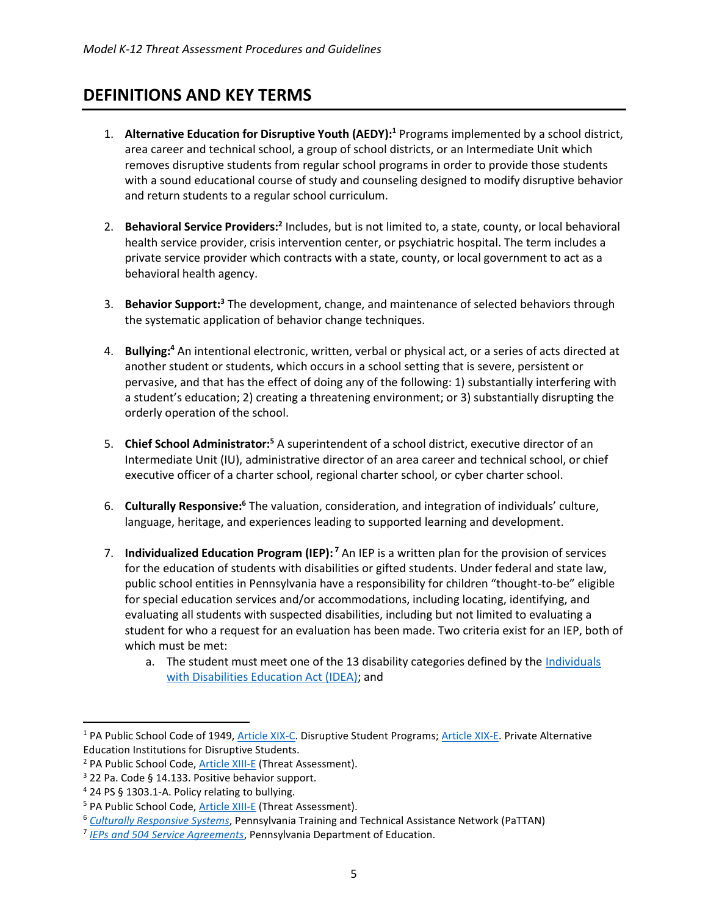# <span id="page-4-0"></span>**DEFINITIONS AND KEY TERMS**

- 1. **Alternative Education for Disruptive Youth (AEDY):<sup>1</sup>** Programs implemented by a school district, area career and technical school, a group of school districts, or an Intermediate Unit which removes disruptive students from regular school programs in order to provide those students with a sound educational course of study and counseling designed to modify disruptive behavior and return students to a regular school curriculum.
- 2. **Behavioral Service Providers:<sup>2</sup>** Includes, but is not limited to, a state, county, or local behavioral health service provider, crisis intervention center, or psychiatric hospital. The term includes a private service provider which contracts with a state, county, or local government to act as a behavioral health agency.
- 3. **Behavior Support:<sup>3</sup>** The development, change, and maintenance of selected behaviors through the systematic application of behavior change techniques.
- 4. **Bullying:<sup>4</sup>** An intentional electronic, written, verbal or physical act, or a series of acts directed at another student or students, which occurs in a school setting that is severe, persistent or pervasive, and that has the effect of doing any of the following: 1) substantially interfering with a student's education; 2) creating a threatening environment; or 3) substantially disrupting the orderly operation of the school.
- 5. **Chief School Administrator:<sup>5</sup>** A superintendent of a school district, executive director of an Intermediate Unit (IU), administrative director of an area career and technical school, or chief executive officer of a charter school, regional charter school, or cyber charter school.
- 6. **Culturally Responsive:<sup>6</sup>** The valuation, consideration, and integration of individuals' culture, language, heritage, and experiences leading to supported learning and development.
- 7. **Individualized Education Program (IEP): <sup>7</sup>** An IEP is a written plan for the provision of services for the education of students with disabilities or gifted students. Under federal and state law, public school entities in Pennsylvania have a responsibility for children "thought-to-be" eligible for special education services and/or accommodations, including locating, identifying, and evaluating all students with suspected disabilities, including but not limited to evaluating a student for who a request for an evaluation has been made. Two criteria exist for an IEP, both of which must be met:
	- a. The student must meet one of the 13 disability categories defined by the Individuals [with Disabilities Education Act \(IDEA\);](https://sites.ed.gov/idea/) and

<sup>&</sup>lt;sup>1</sup> PA Public School Code of 1949[, Article XIX-C.](https://www.legis.state.pa.us/cfdocs/legis/LI/uconsCheck.cfm?txtType=HTM&yr=1949&sessInd=0&smthLwInd=0&act=014&chpt=19C) Disruptive Student Programs; [Article XIX-E.](https://www.legis.state.pa.us/cfdocs/legis/LI/uconsCheck.cfm?txtType=HTM&yr=1949&sessInd=0&smthLwInd=0&act=014&chpt=19E) Private Alternative Education Institutions for Disruptive Students.

<sup>2</sup> PA Public School Code, [Article XIII-E](https://www.legis.state.pa.us/cfdocs/legis/LI/uconsCheck.cfm?txtType=HTM&yr=1949&sessInd=0&smthLwInd=0&act=014&chpt=13E) (Threat Assessment).

 $3$  22 Pa. Code § 14.133. Positive behavior support.

<sup>4</sup> 24 PS § 1303.1-A. Policy relating to bullying.

<sup>&</sup>lt;sup>5</sup> PA Public School Code, [Article XIII-E](https://www.legis.state.pa.us/cfdocs/legis/LI/uconsCheck.cfm?txtType=HTM&yr=1949&sessInd=0&smthLwInd=0&act=014&chpt=13E) (Threat Assessment).

<sup>6</sup> *[Culturally Responsive Systems](https://www.pattan.net/Multi-Tiered-System-of-Support/English-Learners/Culturally-Responsive-Systems)*, Pennsylvania Training and Technical Assistance Network (PaTTAN)

<sup>7</sup> *[IEPs and 504 Service Agreements](https://www.education.pa.gov/K-12/Homebound%20Instruction/Pages/IEPs-and-504-Service-Agreements.aspx)*, Pennsylvania Department of Education.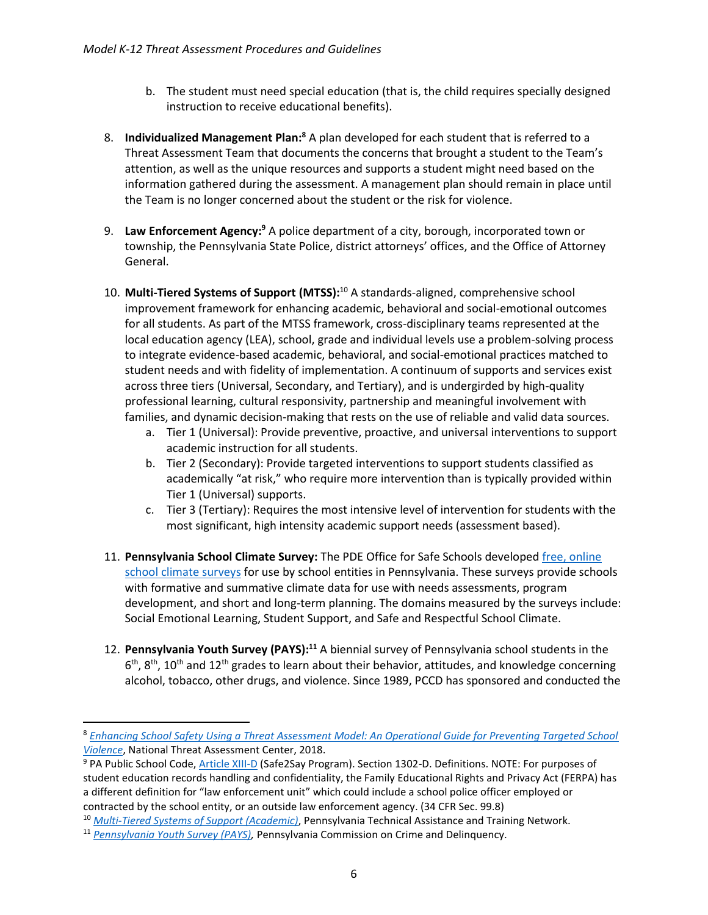- b. The student must need special education (that is, the child requires specially designed instruction to receive educational benefits).
- 8. **Individualized Management Plan:<sup>8</sup>** A plan developed for each student that is referred to a Threat Assessment Team that documents the concerns that brought a student to the Team's attention, as well as the unique resources and supports a student might need based on the information gathered during the assessment. A management plan should remain in place until the Team is no longer concerned about the student or the risk for violence.
- 9. **Law Enforcement Agency:<sup>9</sup>** A police department of a city, borough, incorporated town or township, the Pennsylvania State Police, district attorneys' offices, and the Office of Attorney General.
- 10. **Multi-Tiered Systems of Support (MTSS):**<sup>10</sup> A standards-aligned, comprehensive school improvement framework for enhancing academic, behavioral and social-emotional outcomes for all students. As part of the MTSS framework, cross-disciplinary teams represented at the local education agency (LEA), school, grade and individual levels use a problem-solving process to integrate evidence-based academic, behavioral, and social-emotional practices matched to student needs and with fidelity of implementation. A continuum of supports and services exist across three tiers (Universal, Secondary, and Tertiary), and is undergirded by high-quality professional learning, cultural responsivity, partnership and meaningful involvement with families, and dynamic decision-making that rests on the use of reliable and valid data sources.
	- a. Tier 1 (Universal): Provide preventive, proactive, and universal interventions to support academic instruction for all students.
	- b. Tier 2 (Secondary): Provide targeted interventions to support students classified as academically "at risk," who require more intervention than is typically provided within Tier 1 (Universal) supports.
	- c. Tier 3 (Tertiary): Requires the most intensive level of intervention for students with the most significant, high intensity academic support needs (assessment based).
- 11. **Pennsylvania School Climate Survey:** The PDE Office for Safe Schools developed [free, online](https://www.paschoolclimatesurvey.org/Beta.aspx)  [school climate surveys](https://www.paschoolclimatesurvey.org/Beta.aspx) for use by school entities in Pennsylvania. These surveys provide schools with formative and summative climate data for use with needs assessments, program development, and short and long-term planning. The domains measured by the surveys include: Social Emotional Learning, Student Support, and Safe and Respectful School Climate.
- 12. **Pennsylvania Youth Survey (PAYS):<sup>11</sup>** A biennial survey of Pennsylvania school students in the  $6<sup>th</sup>$ ,  $8<sup>th</sup>$ ,  $10<sup>th</sup>$  and  $12<sup>th</sup>$  grades to learn about their behavior, attitudes, and knowledge concerning alcohol, tobacco, other drugs, and violence. Since 1989, PCCD has sponsored and conducted the

<sup>8</sup> *[Enhancing School Safety Using a Threat Assessment Model: An Operational Guide for Preventing Targeted School](https://www.dhs.gov/sites/default/files/publications/18_0711_USSS_NTAC-Enhancing-School-Safety-Guide.pdf)  [Violence](https://www.dhs.gov/sites/default/files/publications/18_0711_USSS_NTAC-Enhancing-School-Safety-Guide.pdf)*, National Threat Assessment Center, 2018.

<sup>9</sup> PA Public School Code, [Article XIII-D](https://www.legis.state.pa.us/cfdocs/legis/LI/uconsCheck.cfm?txtType=HTM&yr=1949&sessInd=0&smthLwInd=0&act=014&chpt=13D) (Safe2Say Program). Section 1302-D. Definitions. NOTE: For purposes of student education records handling and confidentiality, the Family Educational Rights and Privacy Act (FERPA) has a different definition for "law enforcement unit" which could include a school police officer employed or contracted by the school entity, or an outside law enforcement agency. (34 CFR Sec. 99.8)

<sup>10</sup> *[Multi-Tiered Systems of Support \(Academic\)](https://www.pattan.net/Multi-Tiered-System-of-Support/MULTI-TIERED-SYSTEM-OF-SUPPORTS-ACADEMIC)*, Pennsylvania Technical Assistance and Training Network.

<sup>11</sup> *[Pennsylvania Youth Survey \(PAYS\),](https://www.pccd.pa.gov/Juvenile-Justice/Pages/Pennsylvania-Youth-Survey-(PAYS).aspx)* Pennsylvania Commission on Crime and Delinquency.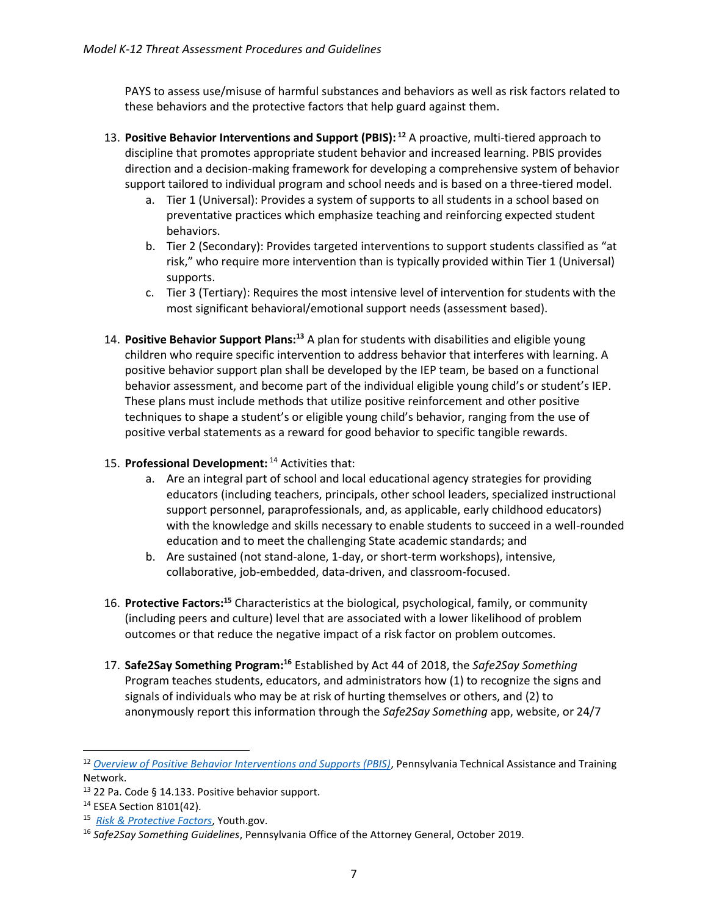PAYS to assess use/misuse of harmful substances and behaviors as well as risk factors related to these behaviors and the protective factors that help guard against them.

- 13. **Positive Behavior Interventions and Support (PBIS): <sup>12</sup>** A proactive, multi-tiered approach to discipline that promotes appropriate student behavior and increased learning. PBIS provides direction and a decision-making framework for developing a comprehensive system of behavior support tailored to individual program and school needs and is based on a three-tiered model.
	- a. Tier 1 (Universal): Provides a system of supports to all students in a school based on preventative practices which emphasize teaching and reinforcing expected student behaviors.
	- b. Tier 2 (Secondary): Provides targeted interventions to support students classified as "at risk," who require more intervention than is typically provided within Tier 1 (Universal) supports.
	- c. Tier 3 (Tertiary): Requires the most intensive level of intervention for students with the most significant behavioral/emotional support needs (assessment based).
- 14. **Positive Behavior Support Plans:<sup>13</sup>** A plan for students with disabilities and eligible young children who require specific intervention to address behavior that interferes with learning. A positive behavior support plan shall be developed by the IEP team, be based on a functional behavior assessment, and become part of the individual eligible young child's or student's IEP. These plans must include methods that utilize positive reinforcement and other positive techniques to shape a student's or eligible young child's behavior, ranging from the use of positive verbal statements as a reward for good behavior to specific tangible rewards.
- 15. **Professional Development:** <sup>14</sup> Activities that:
	- a. Are an integral part of school and local educational agency strategies for providing educators (including teachers, principals, other school leaders, specialized instructional support personnel, paraprofessionals, and, as applicable, early childhood educators) with the knowledge and skills necessary to enable students to succeed in a well-rounded education and to meet the challenging State academic standards; and
	- b. Are sustained (not stand-alone, 1-day, or short-term workshops), intensive, collaborative, job-embedded, data-driven, and classroom-focused.
- 16. **Protective Factors:<sup>15</sup>** Characteristics at the biological, psychological, family, or community (including peers and culture) level that are associated with a lower likelihood of problem outcomes or that reduce the negative impact of a risk factor on problem outcomes.
- 17. **Safe2Say Something Program: <sup>16</sup>** Established by Act 44 of 2018, the *Safe2Say Something*  Program teaches students, educators, and administrators how (1) to recognize the signs and signals of individuals who may be at risk of hurting themselves or others, and (2) to anonymously report this information through the *Safe2Say Something* app, website, or 24/7

 $\overline{a}$ 

<sup>12</sup> *[Overview of Positive Behavior Interventions and Supports \(PBIS\)](https://www.pattan.net/Multi-Tiered-System-of-Support/MTSS-Positive-Behavior-Interventions-and-Supports/Positive-Behavior-Interventions-and-Supports-PBIS)*, Pennsylvania Technical Assistance and Training Network.

<sup>13 22</sup> Pa. Code § 14.133. Positive behavior support.

<sup>14</sup> ESEA Section 8101(42).

<sup>15</sup> *[Risk & Protective Factors](https://youth.gov/youth-topics/youth-mental-health/risk-and-protective-factors-youth)*, Youth.gov.

<sup>16</sup> *Safe2Say Something Guidelines*, Pennsylvania Office of the Attorney General, October 2019.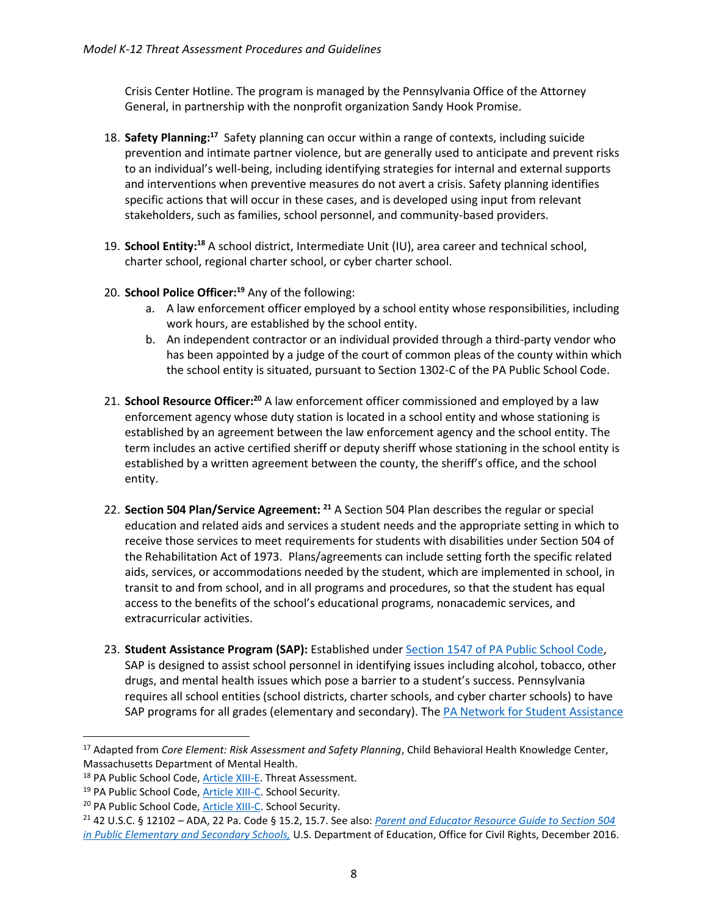Crisis Center Hotline. The program is managed by the Pennsylvania Office of the Attorney General, in partnership with the nonprofit organization Sandy Hook Promise.

- 18. **Safety Planning:<sup>17</sup>** Safety planning can occur within a range of contexts, including suicide prevention and intimate partner violence, but are generally used to anticipate and prevent risks to an individual's well-being, including identifying strategies for internal and external supports and interventions when preventive measures do not avert a crisis. Safety planning identifies specific actions that will occur in these cases, and is developed using input from relevant stakeholders, such as families, school personnel, and community-based providers.
- 19. **School Entity:<sup>18</sup>** A school district, Intermediate Unit (IU), area career and technical school, charter school, regional charter school, or cyber charter school.
- 20. **School Police Officer:<sup>19</sup>** Any of the following:
	- a. A law enforcement officer employed by a school entity whose responsibilities, including work hours, are established by the school entity.
	- b. An independent contractor or an individual provided through a third-party vendor who has been appointed by a judge of the court of common pleas of the county within which the school entity is situated, pursuant to Section 1302-C of the PA Public School Code.
- 21. **School Resource Officer:<sup>20</sup>** A law enforcement officer commissioned and employed by a law enforcement agency whose duty station is located in a school entity and whose stationing is established by an agreement between the law enforcement agency and the school entity. The term includes an active certified sheriff or deputy sheriff whose stationing in the school entity is established by a written agreement between the county, the sheriff's office, and the school entity.
- 22. **Section 504 Plan/Service Agreement: <sup>21</sup>** A Section 504 Plan describes the regular or special education and related aids and services a student needs and the appropriate setting in which to receive those services to meet requirements for students with disabilities under Section 504 of the Rehabilitation Act of 1973. Plans/agreements can include setting forth the specific related aids, services, or accommodations needed by the student, which are implemented in school, in transit to and from school, and in all programs and procedures, so that the student has equal access to the benefits of the school's educational programs, nonacademic services, and extracurricular activities.
- 23. **Student Assistance Program (SAP):** Established under [Section 1547 of PA Public School Code,](https://www.legis.state.pa.us/cfdocs/legis/LI/uconsCheck.cfm?txtType=HTM&yr=1949&sessInd=0&smthLwInd=0&act=14&chpt=15&sctn=47&subsctn=0) SAP is designed to assist school personnel in identifying issues including alcohol, tobacco, other drugs, and mental health issues which pose a barrier to a student's success. Pennsylvania requires all school entities (school districts, charter schools, and cyber charter schools) to have SAP programs for all grades (elementary and secondary). The PA Network for Student Assistance

<sup>17</sup> Adapted from *Core Element: Risk Assessment and Safety Planning*, Child Behavioral Health Knowledge Center, Massachusetts Department of Mental Health.

<sup>&</sup>lt;sup>18</sup> PA Public School Code[, Article XIII-E.](https://www.legis.state.pa.us/cfdocs/legis/LI/uconsCheck.cfm?txtType=HTM&yr=1949&sessInd=0&smthLwInd=0&act=014&chpt=13E) Threat Assessment.

<sup>19</sup> PA Public School Code[, Article XIII-C.](https://www.legis.state.pa.us/cfdocs/legis/LI/uconsCheck.cfm?txtType=HTM&yr=1949&sessInd=0&smthLwInd=0&act=014&chpt=13C) School Security.

<sup>&</sup>lt;sup>20</sup> PA Public School Code[, Article XIII-C.](https://www.legis.state.pa.us/cfdocs/legis/LI/uconsCheck.cfm?txtType=HTM&yr=1949&sessInd=0&smthLwInd=0&act=014&chpt=13C) School Security.

<sup>21</sup> 42 U.S.C. § 12102 – ADA, 22 Pa. Code § 15.2, 15.7. See also: *[Parent and Educator Resource Guide to Section 504](https://www2.ed.gov/about/offices/list/ocr/docs/504-resource-guide-201612.pdf)  [in Public Elementary and Secondary Schools,](https://www2.ed.gov/about/offices/list/ocr/docs/504-resource-guide-201612.pdf)* U.S. Department of Education, Office for Civil Rights, December 2016.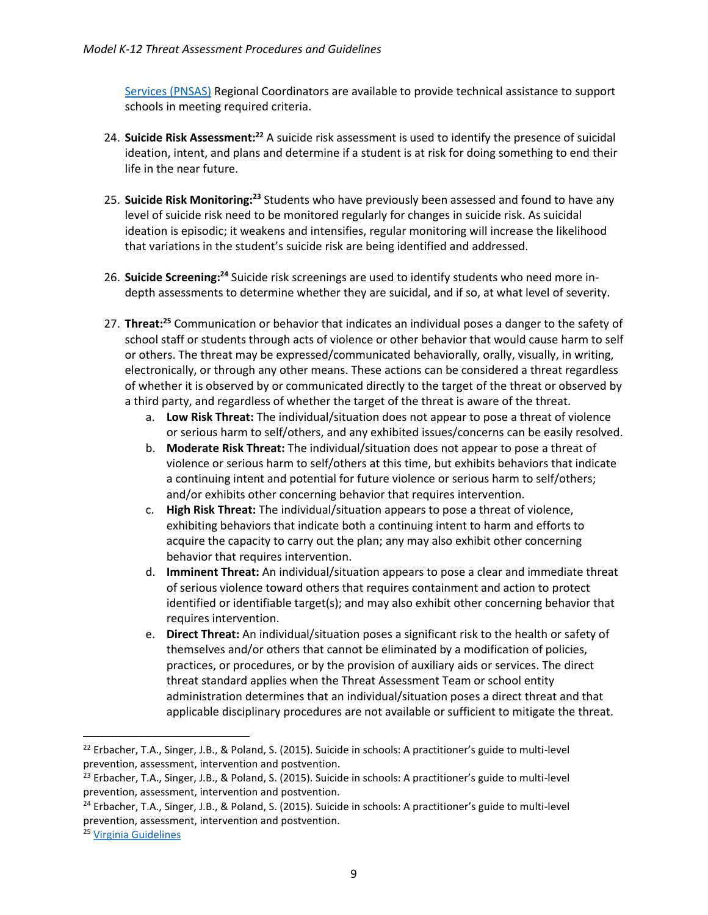[Services \(PNSAS\)](http://pnsas.org/) Regional Coordinators are available to provide technical assistance to support schools in meeting required criteria.

- 24. **Suicide Risk Assessment:<sup>22</sup>** A suicide risk assessment is used to identify the presence of suicidal ideation, intent, and plans and determine if a student is at risk for doing something to end their life in the near future.
- 25. **Suicide Risk Monitoring:<sup>23</sup>** Students who have previously been assessed and found to have any level of suicide risk need to be monitored regularly for changes in suicide risk. As suicidal ideation is episodic; it weakens and intensifies, regular monitoring will increase the likelihood that variations in the student's suicide risk are being identified and addressed.
- 26. **Suicide Screening:<sup>24</sup>** Suicide risk screenings are used to identify students who need more indepth assessments to determine whether they are suicidal, and if so, at what level of severity.
- 27. **Threat:<sup>25</sup>** Communication or behavior that indicates an individual poses a danger to the safety of school staff or students through acts of violence or other behavior that would cause harm to self or others. The threat may be expressed/communicated behaviorally, orally, visually, in writing, electronically, or through any other means. These actions can be considered a threat regardless of whether it is observed by or communicated directly to the target of the threat or observed by a third party, and regardless of whether the target of the threat is aware of the threat.
	- a. **Low Risk Threat:** The individual/situation does not appear to pose a threat of violence or serious harm to self/others, and any exhibited issues/concerns can be easily resolved.
	- b. **Moderate Risk Threat:** The individual/situation does not appear to pose a threat of violence or serious harm to self/others at this time, but exhibits behaviors that indicate a continuing intent and potential for future violence or serious harm to self/others; and/or exhibits other concerning behavior that requires intervention.
	- c. **High Risk Threat:** The individual/situation appears to pose a threat of violence, exhibiting behaviors that indicate both a continuing intent to harm and efforts to acquire the capacity to carry out the plan; any may also exhibit other concerning behavior that requires intervention.
	- d. **Imminent Threat:** An individual/situation appears to pose a clear and immediate threat of serious violence toward others that requires containment and action to protect identified or identifiable target(s); and may also exhibit other concerning behavior that requires intervention.
	- e. **Direct Threat:** An individual/situation poses a significant risk to the health or safety of themselves and/or others that cannot be eliminated by a modification of policies, practices, or procedures, or by the provision of auxiliary aids or services. The direct threat standard applies when the Threat Assessment Team or school entity administration determines that an individual/situation poses a direct threat and that applicable disciplinary procedures are not available or sufficient to mitigate the threat.

<sup>&</sup>lt;sup>22</sup> Erbacher, T.A., Singer, J.B., & Poland, S. (2015). Suicide in schools: A practitioner's guide to multi-level prevention, assessment, intervention and postvention.

<sup>&</sup>lt;sup>23</sup> Erbacher, T.A., Singer, J.B., & Poland, S. (2015). Suicide in schools: A practitioner's guide to multi-level prevention, assessment, intervention and postvention.

<sup>&</sup>lt;sup>24</sup> Erbacher, T.A., Singer, J.B., & Poland, S. (2015). Suicide in schools: A practitioner's guide to multi-level prevention, assessment, intervention and postvention.

<sup>25</sup> [Virginia Guidelines](https://www.dcjs.virginia.gov/sites/dcjs.virginia.gov/files/publications/law-enforcement/threat-assessment-model-policies-procedures-and-guidelinespdf.pdf)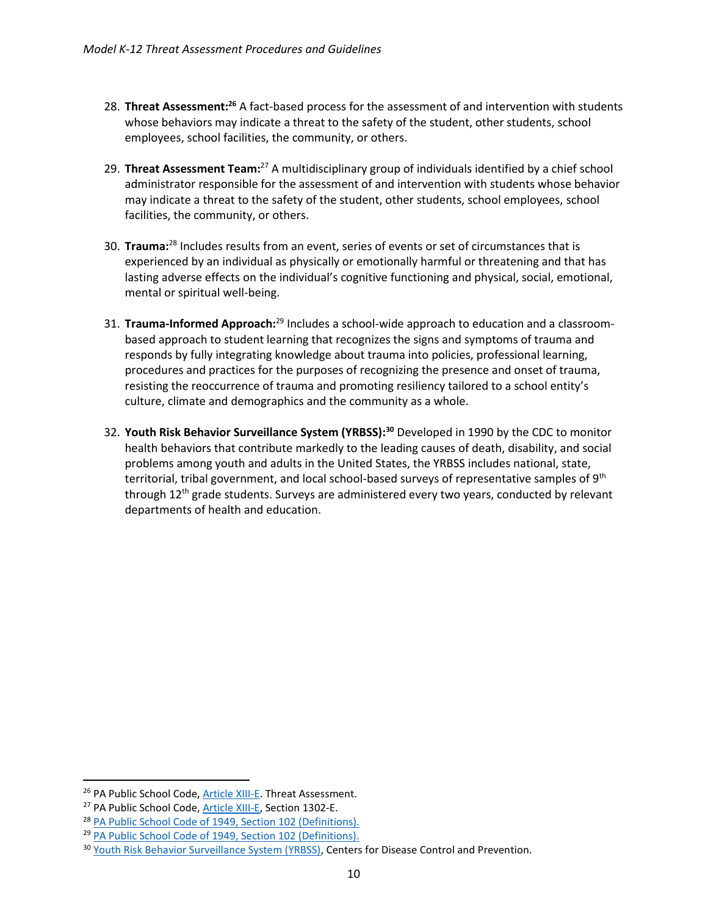- 28. **Threat Assessment:<sup>26</sup>** A fact-based process for the assessment of and intervention with students whose behaviors may indicate a threat to the safety of the student, other students, school employees, school facilities, the community, or others.
- 29. **Threat Assessment Team:**<sup>27</sup> A multidisciplinary group of individuals identified by a chief school administrator responsible for the assessment of and intervention with students whose behavior may indicate a threat to the safety of the student, other students, school employees, school facilities, the community, or others.
- 30. **Trauma:**<sup>28</sup> Includes results from an event, series of events or set of circumstances that is experienced by an individual as physically or emotionally harmful or threatening and that has lasting adverse effects on the individual's cognitive functioning and physical, social, emotional, mental or spiritual well-being.
- 31. **Trauma-Informed Approach:**<sup>29</sup> Includes a school-wide approach to education and a classroombased approach to student learning that recognizes the signs and symptoms of trauma and responds by fully integrating knowledge about trauma into policies, professional learning, procedures and practices for the purposes of recognizing the presence and onset of trauma, resisting the reoccurrence of trauma and promoting resiliency tailored to a school entity's culture, climate and demographics and the community as a whole.
- 32. **Youth Risk Behavior Surveillance System (YRBSS):<sup>30</sup>** Developed in 1990 by the CDC to monitor health behaviors that contribute markedly to the leading causes of death, disability, and social problems among youth and adults in the United States, the YRBSS includes national, state, territorial, tribal government, and local school-based surveys of representative samples of 9<sup>th</sup> through  $12<sup>th</sup>$  grade students. Surveys are administered every two years, conducted by relevant departments of health and education.

l

<sup>&</sup>lt;sup>26</sup> PA Public School Code[, Article XIII-E.](https://www.legis.state.pa.us/cfdocs/legis/LI/uconsCheck.cfm?txtType=HTM&yr=1949&sessInd=0&smthLwInd=0&act=014&chpt=13E) Threat Assessment.

<sup>&</sup>lt;sup>27</sup> PA Public School Code, **Article XIII-E**, Section 1302-E.

<sup>28</sup> [PA Public School Code of 1949, Section 102 \(Definitions\).](https://www.legis.state.pa.us/cfdocs/legis/LI/uconsCheck.cfm?txtType=HTM&yr=1949&sessInd=0&smthLwInd=0&act=14&chpt=1&sctn=2&subsctn=0)

<sup>29</sup> [PA Public School Code of 1949, Section 102 \(Definitions\).](https://www.legis.state.pa.us/cfdocs/legis/LI/uconsCheck.cfm?txtType=HTM&yr=1949&sessInd=0&smthLwInd=0&act=14&chpt=1&sctn=2&subsctn=0)

<sup>&</sup>lt;sup>30</sup> [Youth Risk Behavior Surveillance System \(YRBSS\),](https://www.cdc.gov/healthyyouth/data/yrbs/index.htm) Centers for Disease Control and Prevention.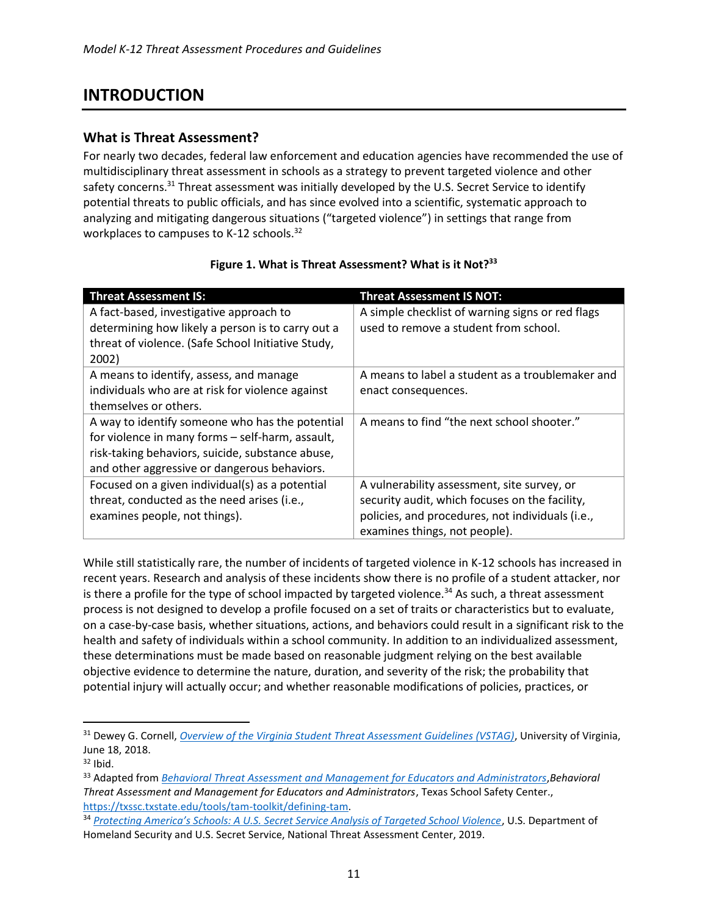# <span id="page-10-0"></span>**INTRODUCTION**

#### <span id="page-10-1"></span>**What is Threat Assessment?**

For nearly two decades, federal law enforcement and education agencies have recommended the use of multidisciplinary threat assessment in schools as a strategy to prevent targeted violence and other safety concerns.<sup>31</sup> Threat assessment was initially developed by the U.S. Secret Service to identify potential threats to public officials, and has since evolved into a scientific, systematic approach to analyzing and mitigating dangerous situations ("targeted violence") in settings that range from workplaces to campuses to K-12 schools.<sup>32</sup>

| <b>Threat Assessment IS:</b>                       | <b>Threat Assessment IS NOT:</b>                 |
|----------------------------------------------------|--------------------------------------------------|
| A fact-based, investigative approach to            | A simple checklist of warning signs or red flags |
| determining how likely a person is to carry out a  | used to remove a student from school.            |
| threat of violence. (Safe School Initiative Study, |                                                  |
| 2002)                                              |                                                  |
| A means to identify, assess, and manage            | A means to label a student as a troublemaker and |
| individuals who are at risk for violence against   | enact consequences.                              |
| themselves or others.                              |                                                  |
| A way to identify someone who has the potential    | A means to find "the next school shooter."       |
| for violence in many forms - self-harm, assault,   |                                                  |
| risk-taking behaviors, suicide, substance abuse,   |                                                  |
| and other aggressive or dangerous behaviors.       |                                                  |
| Focused on a given individual(s) as a potential    | A vulnerability assessment, site survey, or      |
| threat, conducted as the need arises (i.e.,        | security audit, which focuses on the facility,   |
| examines people, not things).                      | policies, and procedures, not individuals (i.e., |
|                                                    | examines things, not people).                    |

#### **Figure 1. What is Threat Assessment? What is it Not?<sup>33</sup>**

While still statistically rare, the number of incidents of targeted violence in K-12 schools has increased in recent years. Research and analysis of these incidents show there is no profile of a student attacker, nor is there a profile for the type of school impacted by targeted violence.<sup>34</sup> As such, a threat assessment process is not designed to develop a profile focused on a set of traits or characteristics but to evaluate, on a case-by-case basis, whether situations, actions, and behaviors could result in a significant risk to the health and safety of individuals within a school community. In addition to an individualized assessment, these determinations must be made based on reasonable judgment relying on the best available objective evidence to determine the nature, duration, and severity of the risk; the probability that potential injury will actually occur; and whether reasonable modifications of policies, practices, or

<sup>31</sup> Dewey G. Cornell, *[Overview of the Virginia Student Threat Assessment Guidelines \(VSTAG\)](https://curry.virginia.edu/sites/default/files/images/YVP/VSTAG%20summary%206-18-18.pdf)*, University of Virginia, June 18, 2018.

 $32$  Ibid.

<sup>&</sup>lt;sup>33</sup> Adapted from *[Behavioral Threat Assessment and Management for Educators and Administrators](https://txssc.txstate.edu/tools/tam-toolkit/defining-tam), Behavioral Threat Assessment and Management for Educators and Administrators*, Texas School Safety Center., [https://txssc.txstate.edu/tools/tam-toolkit/defining-tam.](https://txssc.txstate.edu/tools/tam-toolkit/defining-tam) 

<sup>34</sup> *[Protecting America's Schools: A U.S. Secret Service Analysis of Targeted School Violence](https://www.secretservice.gov/data/protection/ntac/usss-analysis-of-targeted-school-violence.pdf)*, U.S. Department of Homeland Security and U.S. Secret Service, National Threat Assessment Center, 2019.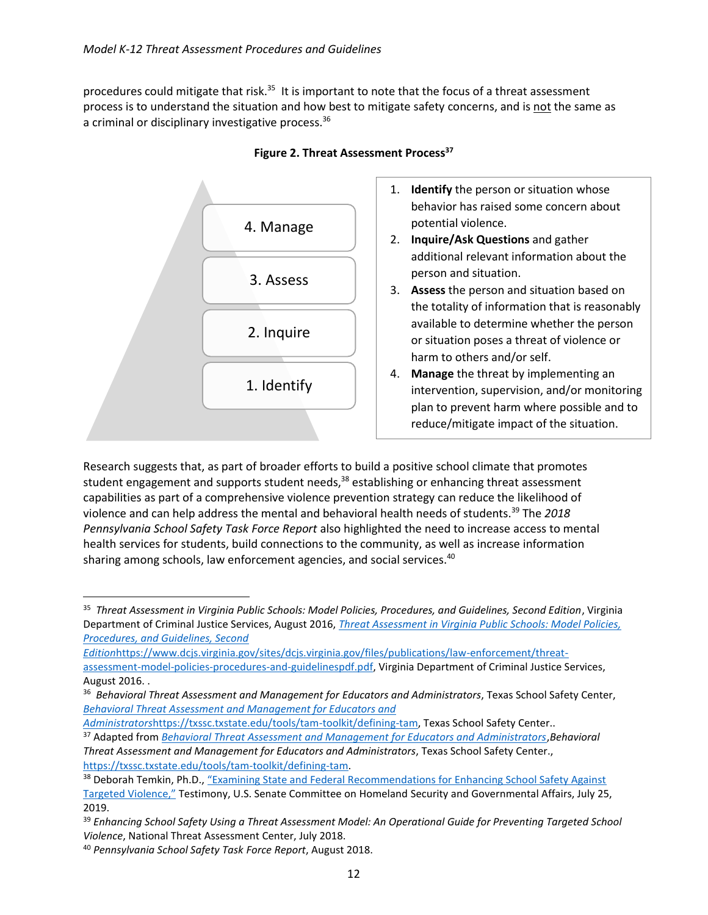procedures could mitigate that risk.<sup>35</sup> It is important to note that the focus of a threat assessment process is to understand the situation and how best to mitigate safety concerns, and is not the same as a criminal or disciplinary investigative process.<sup>36</sup>



#### **Figure 2. Threat Assessment Process<sup>37</sup>**

- 1. **Identify** the person or situation whose behavior has raised some concern about potential violence.
- 2. **Inquire/Ask Questions** and gather additional relevant information about the person and situation.
- 3. **Assess** the person and situation based on the totality of information that is reasonably available to determine whether the person or situation poses a threat of violence or harm to others and/or self.
- 4. **Manage** the threat by implementing an intervention, supervision, and/or monitoring plan to prevent harm where possible and to reduce/mitigate impact of the situation.

Research suggests that, as part of broader efforts to build a positive school climate that promotes student engagement and supports student needs,<sup>38</sup> establishing or enhancing threat assessment capabilities as part of a comprehensive violence prevention strategy can reduce the likelihood of violence and can help address the mental and behavioral health needs of students.<sup>39</sup> The *2018 Pennsylvania School Safety Task Force Report* also highlighted the need to increase access to mental health services for students, build connections to the community, as well as increase information sharing among schools, law enforcement agencies, and social services.<sup>40</sup>

 $\overline{a}$ 

<sup>&</sup>lt;sup>35</sup> Threat Assessment in Virginia Public Schools: Model Policies, Procedures, and Guidelines, Second Edition, Virginia Department of Criminal Justice Services, August 2016, *[Threat Assessment in Virginia Public Schools: Model Policies,](https://www.dcjs.virginia.gov/sites/dcjs.virginia.gov/files/publications/law-enforcement/threat-assessment-model-policies-procedures-and-guidelinespdf.pdf)  [Procedures, and Guidelines, Second](https://www.dcjs.virginia.gov/sites/dcjs.virginia.gov/files/publications/law-enforcement/threat-assessment-model-policies-procedures-and-guidelinespdf.pdf)* 

*Edition*[https://www.dcjs.virginia.gov/sites/dcjs.virginia.gov/files/publications/law-enforcement/threat](https://www.dcjs.virginia.gov/sites/dcjs.virginia.gov/files/publications/law-enforcement/threat-assessment-model-policies-procedures-and-guidelinespdf.pdf)[assessment-model-policies-procedures-and-guidelinespdf.pdf,](https://www.dcjs.virginia.gov/sites/dcjs.virginia.gov/files/publications/law-enforcement/threat-assessment-model-policies-procedures-and-guidelinespdf.pdf) Virginia Department of Criminal Justice Services, August 2016. .

<sup>36</sup> *Behavioral Threat Assessment and Management for Educators and Administrators*, Texas School Safety Center, *[Behavioral Threat Assessment and Management for Educators and](https://txssc.txstate.edu/tools/tam-toolkit/defining-tam)* 

*Administrators*[https://txssc.txstate.edu/tools/tam-toolkit/defining-tam,](https://txssc.txstate.edu/tools/tam-toolkit/defining-tam) Texas School Safety Center..

<sup>37</sup> Adapted from *[Behavioral Threat Assessment and Management for Educators and Administrators](https://txssc.txstate.edu/tools/tam-toolkit/defining-tam)*,*Behavioral Threat Assessment and Management for Educators and Administrators*, Texas School Safety Center., [https://txssc.txstate.edu/tools/tam-toolkit/defining-tam.](https://txssc.txstate.edu/tools/tam-toolkit/defining-tam)

<sup>38</sup> Deborah Temkin, Ph.D., "Examining State and Federal Recommendations for Enhancing School Safety Against [Targeted Violence,"](https://www.childtrends.org/publications/examining-state-and-federal-recommendations-for-enhancing-school-safety-against-targeted-violence) Testimony, U.S. Senate Committee on Homeland Security and Governmental Affairs, July 25, 2019.

<sup>39</sup> *Enhancing School Safety Using a Threat Assessment Model: An Operational Guide for Preventing Targeted School Violence*, National Threat Assessment Center, July 2018.

<sup>40</sup> *Pennsylvania School Safety Task Force Report*, August 2018.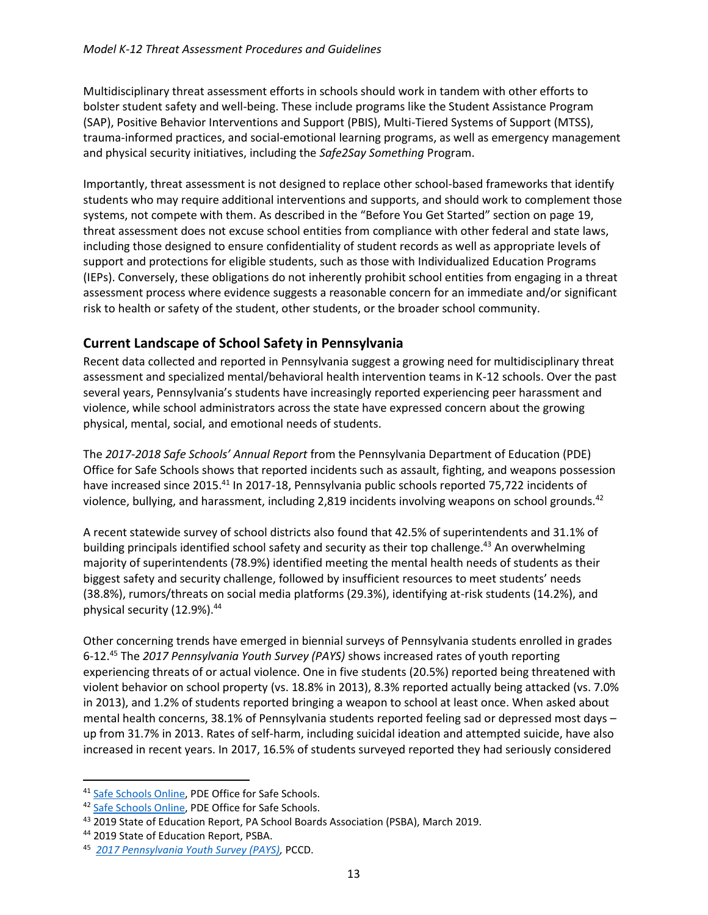Multidisciplinary threat assessment efforts in schools should work in tandem with other efforts to bolster student safety and well-being. These include programs like the Student Assistance Program (SAP), Positive Behavior Interventions and Support (PBIS), Multi-Tiered Systems of Support (MTSS), trauma-informed practices, and social-emotional learning programs, as well as emergency management and physical security initiatives, including the *Safe2Say Something* Program.

Importantly, threat assessment is not designed to replace other school-based frameworks that identify students who may require additional interventions and supports, and should work to complement those systems, not compete with them. As described in the "Before You Get Started" section on page 19, threat assessment does not excuse school entities from compliance with other federal and state laws, including those designed to ensure confidentiality of student records as well as appropriate levels of support and protections for eligible students, such as those with Individualized Education Programs (IEPs). Conversely, these obligations do not inherently prohibit school entities from engaging in a threat assessment process where evidence suggests a reasonable concern for an immediate and/or significant risk to health or safety of the student, other students, or the broader school community.

#### <span id="page-12-0"></span>**Current Landscape of School Safety in Pennsylvania**

Recent data collected and reported in Pennsylvania suggest a growing need for multidisciplinary threat assessment and specialized mental/behavioral health intervention teams in K-12 schools. Over the past several years, Pennsylvania's students have increasingly reported experiencing peer harassment and violence, while school administrators across the state have expressed concern about the growing physical, mental, social, and emotional needs of students.

The *2017-2018 Safe Schools' Annual Report* from the Pennsylvania Department of Education (PDE) Office for Safe Schools shows that reported incidents such as assault, fighting, and weapons possession have increased since 2015.<sup>41</sup> In 2017-18, Pennsylvania public schools reported 75,722 incidents of violence, bullying, and harassment, including  $2,819$  incidents involving weapons on school grounds.<sup>42</sup>

A recent statewide survey of school districts also found that 42.5% of superintendents and 31.1% of building principals identified school safety and security as their top challenge.<sup>43</sup> An overwhelming majority of superintendents (78.9%) identified meeting the mental health needs of students as their biggest safety and security challenge, followed by insufficient resources to meet students' needs (38.8%), rumors/threats on social media platforms (29.3%), identifying at-risk students (14.2%), and physical security (12.9%).<sup>44</sup>

Other concerning trends have emerged in biennial surveys of Pennsylvania students enrolled in grades 6-12.<sup>45</sup> The *2017 Pennsylvania Youth Survey (PAYS)* shows increased rates of youth reporting experiencing threats of or actual violence. One in five students (20.5%) reported being threatened with violent behavior on school property (vs. 18.8% in 2013), 8.3% reported actually being attacked (vs. 7.0% in 2013), and 1.2% of students reported bringing a weapon to school at least once. When asked about mental health concerns, 38.1% of Pennsylvania students reported feeling sad or depressed most days – up from 31.7% in 2013. Rates of self-harm, including suicidal ideation and attempted suicide, have also increased in recent years. In 2017, 16.5% of students surveyed reported they had seriously considered

l

<sup>&</sup>lt;sup>41</sup> [Safe Schools Online,](https://www.safeschools.pa.gov/Home.aspx?App=Empty&Menu=dbd39a1f-3319-4a75-8f69-d1166dba5d70) PDE Office for Safe Schools.

<sup>&</sup>lt;sup>42</sup> [Safe Schools Online,](https://www.safeschools.pa.gov/Home.aspx?App=Empty&Menu=dbd39a1f-3319-4a75-8f69-d1166dba5d70) PDE Office for Safe Schools.

<sup>43</sup> 2019 State of Education Report, PA School Boards Association (PSBA), March 2019.

<sup>44</sup> 2019 State of Education Report, PSBA.

<sup>45</sup> *[2017 Pennsylvania Youth Survey \(PAYS\),](https://www.pccd.pa.gov/Juvenile-Justice/Pages/Pennsylvania-Youth-Survey-(PAYS).aspx)* PCCD.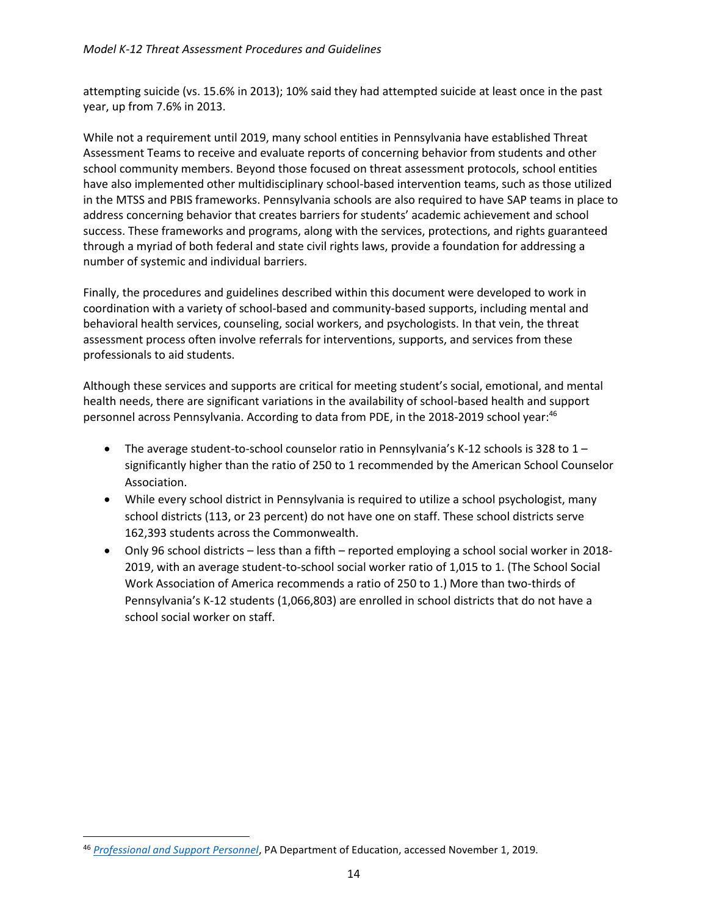attempting suicide (vs. 15.6% in 2013); 10% said they had attempted suicide at least once in the past year, up from 7.6% in 2013.

While not a requirement until 2019, many school entities in Pennsylvania have established Threat Assessment Teams to receive and evaluate reports of concerning behavior from students and other school community members. Beyond those focused on threat assessment protocols, school entities have also implemented other multidisciplinary school-based intervention teams, such as those utilized in the MTSS and PBIS frameworks. Pennsylvania schools are also required to have SAP teams in place to address concerning behavior that creates barriers for students' academic achievement and school success. These frameworks and programs, along with the services, protections, and rights guaranteed through a myriad of both federal and state civil rights laws, provide a foundation for addressing a number of systemic and individual barriers.

Finally, the procedures and guidelines described within this document were developed to work in coordination with a variety of school-based and community-based supports, including mental and behavioral health services, counseling, social workers, and psychologists. In that vein, the threat assessment process often involve referrals for interventions, supports, and services from these professionals to aid students.

Although these services and supports are critical for meeting student's social, emotional, and mental health needs, there are significant variations in the availability of school-based health and support personnel across Pennsylvania. According to data from PDE, in the 2018-2019 school year: 46

- The average student-to-school counselor ratio in Pennsylvania's K-12 schools is 328 to  $1$ significantly higher than the ratio of 250 to 1 recommended by the American School Counselor Association.
- While every school district in Pennsylvania is required to utilize a school psychologist, many school districts (113, or 23 percent) do not have one on staff. These school districts serve 162,393 students across the Commonwealth.
- Only 96 school districts less than a fifth reported employing a school social worker in 2018- 2019, with an average student-to-school social worker ratio of 1,015 to 1. (The School Social Work Association of America recommends a ratio of 250 to 1.) More than two-thirds of Pennsylvania's K-12 students (1,066,803) are enrolled in school districts that do not have a school social worker on staff.

<span id="page-13-0"></span><sup>46</sup> *[Professional and Support Personnel](https://www.education.pa.gov/DataAndReporting/ProfSupPers/Pages/default.aspx)*, PA Department of Education, accessed November 1, 2019.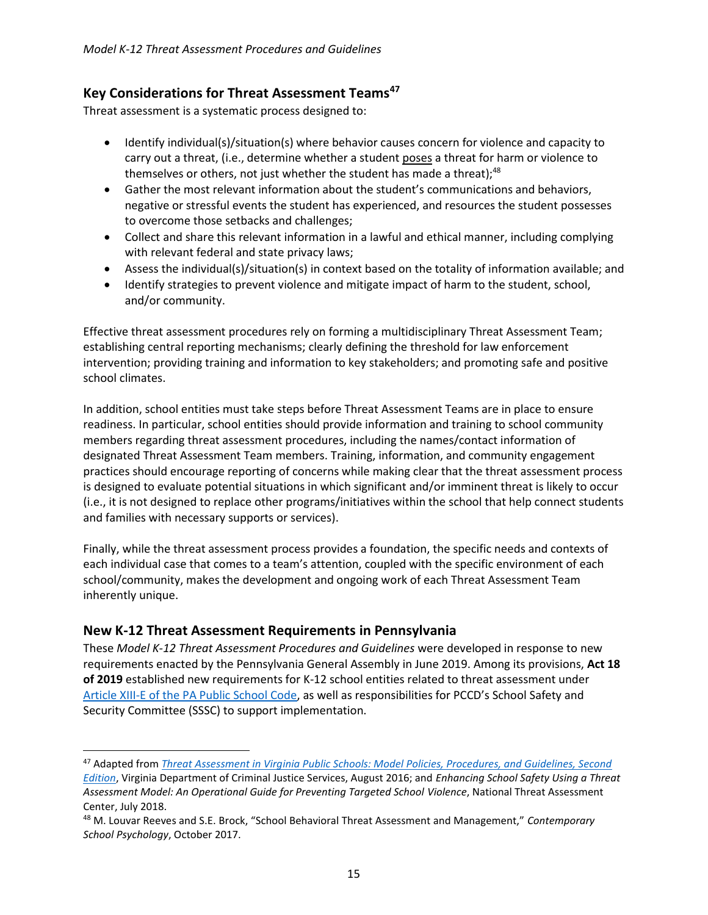#### **Key Considerations for Threat Assessment Teams<sup>47</sup>**

Threat assessment is a systematic process designed to:

- Identify individual(s)/situation(s) where behavior causes concern for violence and capacity to carry out a threat, (i.e., determine whether a student poses a threat for harm or violence to themselves or others, not just whether the student has made a threat); $48$
- Gather the most relevant information about the student's communications and behaviors, negative or stressful events the student has experienced, and resources the student possesses to overcome those setbacks and challenges;
- Collect and share this relevant information in a lawful and ethical manner, including complying with relevant federal and state privacy laws;
- Assess the individual(s)/situation(s) in context based on the totality of information available; and
- Identify strategies to prevent violence and mitigate impact of harm to the student, school, and/or community.

Effective threat assessment procedures rely on forming a multidisciplinary Threat Assessment Team; establishing central reporting mechanisms; clearly defining the threshold for law enforcement intervention; providing training and information to key stakeholders; and promoting safe and positive school climates.

In addition, school entities must take steps before Threat Assessment Teams are in place to ensure readiness. In particular, school entities should provide information and training to school community members regarding threat assessment procedures, including the names/contact information of designated Threat Assessment Team members. Training, information, and community engagement practices should encourage reporting of concerns while making clear that the threat assessment process is designed to evaluate potential situations in which significant and/or imminent threat is likely to occur (i.e., it is not designed to replace other programs/initiatives within the school that help connect students and families with necessary supports or services).

Finally, while the threat assessment process provides a foundation, the specific needs and contexts of each individual case that comes to a team's attention, coupled with the specific environment of each school/community, makes the development and ongoing work of each Threat Assessment Team inherently unique.

#### <span id="page-14-0"></span>**New K-12 Threat Assessment Requirements in Pennsylvania**

 $\overline{a}$ 

These *Model K-12 Threat Assessment Procedures and Guidelines* were developed in response to new requirements enacted by the Pennsylvania General Assembly in June 2019. Among its provisions, **Act 18 of 2019** established new requirements for K-12 school entities related to threat assessment under [Article XIII-E of the PA Public School Code](https://www.legis.state.pa.us/cfdocs/legis/LI/uconsCheck.cfm?txtType=HTM&yr=1949&sessInd=0&smthLwInd=0&act=014&chpt=13E), as well as responsibilities for PCCD's School Safety and Security Committee (SSSC) to support implementation.

<sup>47</sup> Adapted from *[Threat Assessment in Virginia Public Schools: Model Policies, Procedures, and Guidelines, Second](https://www.dcjs.virginia.gov/sites/dcjs.virginia.gov/files/publications/law-enforcement/threat-assessment-model-policies-procedures-and-guidelinespdf.pdf)* 

*[Edition](https://www.dcjs.virginia.gov/sites/dcjs.virginia.gov/files/publications/law-enforcement/threat-assessment-model-policies-procedures-and-guidelinespdf.pdf)*, Virginia Department of Criminal Justice Services, August 2016; and *Enhancing School Safety Using a Threat Assessment Model: An Operational Guide for Preventing Targeted School Violence*, National Threat Assessment Center, July 2018.

<sup>48</sup> M. Louvar Reeves and S.E. Brock, "School Behavioral Threat Assessment and Management," *Contemporary School Psychology*, October 2017.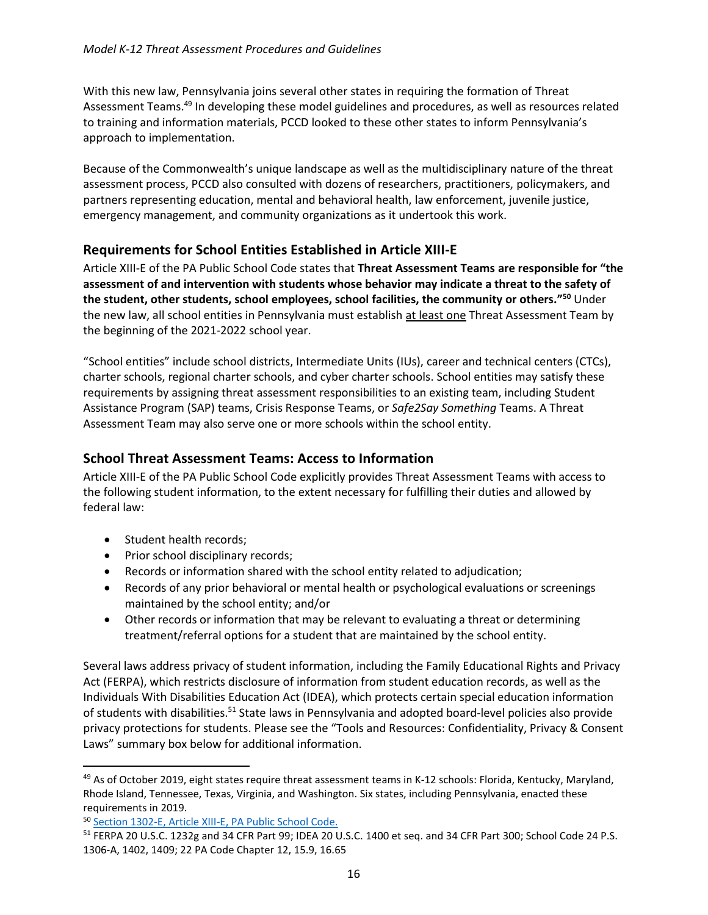With this new law, Pennsylvania joins several other states in requiring the formation of Threat Assessment Teams.<sup>49</sup> In developing these model guidelines and procedures, as well as resources related to training and information materials, PCCD looked to these other states to inform Pennsylvania's approach to implementation.

Because of the Commonwealth's unique landscape as well as the multidisciplinary nature of the threat assessment process, PCCD also consulted with dozens of researchers, practitioners, policymakers, and partners representing education, mental and behavioral health, law enforcement, juvenile justice, emergency management, and community organizations as it undertook this work.

#### <span id="page-15-0"></span>**Requirements for School Entities Established in Article XIII-E**

Article XIII-E of the PA Public School Code states that **Threat Assessment Teams are responsible for "the assessment of and intervention with students whose behavior may indicate a threat to the safety of the student, other students, school employees, school facilities, the community or others."<sup>50</sup>** Under the new law, all school entities in Pennsylvania must establish at least one Threat Assessment Team by the beginning of the 2021-2022 school year.

"School entities" include school districts, Intermediate Units (IUs), career and technical centers (CTCs), charter schools, regional charter schools, and cyber charter schools. School entities may satisfy these requirements by assigning threat assessment responsibilities to an existing team, including Student Assistance Program (SAP) teams, Crisis Response Teams, or *Safe2Say Something* Teams. A Threat Assessment Team may also serve one or more schools within the school entity.

#### <span id="page-15-1"></span>**School Threat Assessment Teams: Access to Information**

Article XIII-E of the PA Public School Code explicitly provides Threat Assessment Teams with access to the following student information, to the extent necessary for fulfilling their duties and allowed by federal law:

• Student health records;

 $\overline{a}$ 

- Prior school disciplinary records;
- Records or information shared with the school entity related to adjudication;
- Records of any prior behavioral or mental health or psychological evaluations or screenings maintained by the school entity; and/or
- Other records or information that may be relevant to evaluating a threat or determining treatment/referral options for a student that are maintained by the school entity.

Several laws address privacy of student information, including the Family Educational Rights and Privacy Act (FERPA), which restricts disclosure of information from student education records, as well as the Individuals With Disabilities Education Act (IDEA), which protects certain special education information of students with disabilities.<sup>51</sup> State laws in Pennsylvania and adopted board-level policies also provide privacy protections for students. Please see the "Tools and Resources: Confidentiality, Privacy & Consent Laws" summary box below for additional information.

<sup>&</sup>lt;sup>49</sup> As of October 2019, eight states require threat assessment teams in K-12 schools: Florida, Kentucky, Maryland, Rhode Island, Tennessee, Texas, Virginia, and Washington. Six states, including Pennsylvania, enacted these requirements in 2019.

<sup>50</sup> [Section 1302-E, Article XIII-E, PA Public School Code.](https://www.legis.state.pa.us/cfdocs/legis/LI/uconsCheck.cfm?txtType=HTM&yr=1949&sessInd=0&smthLwInd=0&act=014&chpt=13E)

<sup>51</sup> FERPA 20 U.S.C. 1232g and 34 CFR Part 99; IDEA 20 U.S.C. 1400 et seq. and 34 CFR Part 300; School Code 24 P.S. 1306-A, 1402, 1409; 22 PA Code Chapter 12, 15.9, 16.65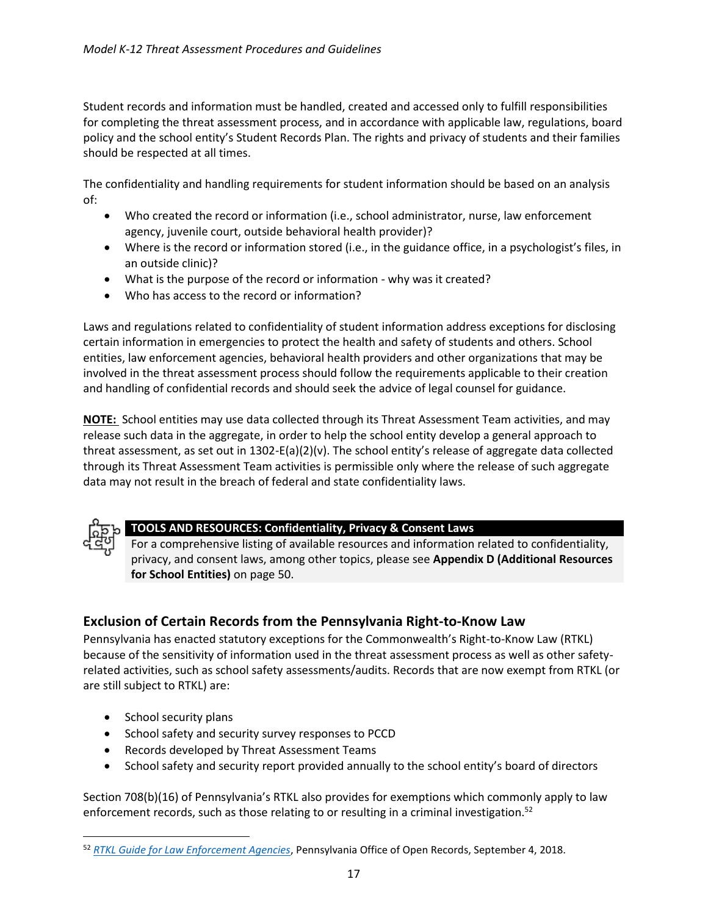Student records and information must be handled, created and accessed only to fulfill responsibilities for completing the threat assessment process, and in accordance with applicable law, regulations, board policy and the school entity's Student Records Plan. The rights and privacy of students and their families should be respected at all times.

The confidentiality and handling requirements for student information should be based on an analysis of:

- Who created the record or information (i.e., school administrator, nurse, law enforcement agency, juvenile court, outside behavioral health provider)?
- Where is the record or information stored (i.e., in the guidance office, in a psychologist's files, in an outside clinic)?
- What is the purpose of the record or information why was it created?
- Who has access to the record or information?

Laws and regulations related to confidentiality of student information address exceptions for disclosing certain information in emergencies to protect the health and safety of students and others. School entities, law enforcement agencies, behavioral health providers and other organizations that may be involved in the threat assessment process should follow the requirements applicable to their creation and handling of confidential records and should seek the advice of legal counsel for guidance.

**NOTE:** School entities may use data collected through its Threat Assessment Team activities, and may release such data in the aggregate, in order to help the school entity develop a general approach to threat assessment, as set out in 1302-E(a)(2)(v). The school entity's release of aggregate data collected through its Threat Assessment Team activities is permissible only where the release of such aggregate data may not result in the breach of federal and state confidentiality laws.



 $\overline{\phantom{a}}$ 

#### **TOOLS AND RESOURCES: Confidentiality, Privacy & Consent Laws**

For a comprehensive listing of available resources and information related to confidentiality, privacy, and consent laws, among other topics, please see **Appendix D (Additional Resources for School Entities)** on page 50.

#### <span id="page-16-0"></span>**Exclusion of Certain Records from the Pennsylvania Right-to-Know Law**

Pennsylvania has enacted statutory exceptions for the Commonwealth's Right-to-Know Law (RTKL) because of the sensitivity of information used in the threat assessment process as well as other safetyrelated activities, such as school safety assessments/audits. Records that are now exempt from RTKL (or are still subject to RTKL) are:

- School security plans
- School safety and security survey responses to PCCD
- Records developed by Threat Assessment Teams
- School safety and security report provided annually to the school entity's board of directors

Section 708(b)(16) of Pennsylvania's RTKL also provides for exemptions which commonly apply to law enforcement records, such as those relating to or resulting in a criminal investigation.<sup>52</sup>

<sup>52</sup> *[RTKL Guide for Law Enforcement Agencies](https://www.openrecords.pa.gov/Documents/RTKL/rtkguidelawenforcement.pdf)*, Pennsylvania Office of Open Records, September 4, 2018.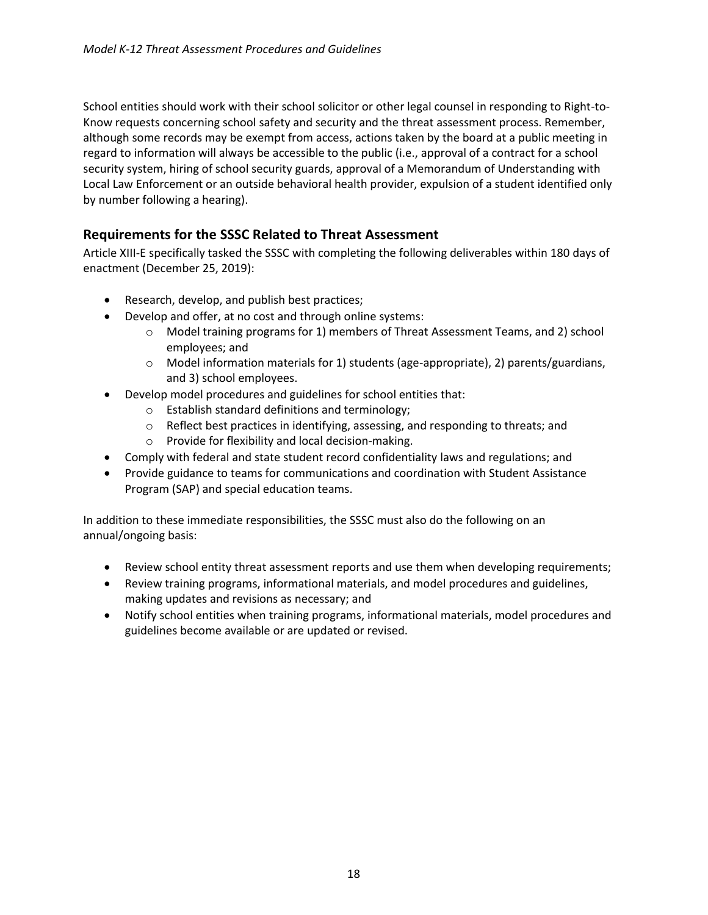School entities should work with their school solicitor or other legal counsel in responding to Right-to-Know requests concerning school safety and security and the threat assessment process. Remember, although some records may be exempt from access, actions taken by the board at a public meeting in regard to information will always be accessible to the public (i.e., approval of a contract for a school security system, hiring of school security guards, approval of a Memorandum of Understanding with Local Law Enforcement or an outside behavioral health provider, expulsion of a student identified only by number following a hearing).

#### <span id="page-17-0"></span>**Requirements for the SSSC Related to Threat Assessment**

Article XIII-E specifically tasked the SSSC with completing the following deliverables within 180 days of enactment (December 25, 2019):

- Research, develop, and publish best practices;
- Develop and offer, at no cost and through online systems:
	- o Model training programs for 1) members of Threat Assessment Teams, and 2) school employees; and
	- $\circ$  Model information materials for 1) students (age-appropriate), 2) parents/guardians, and 3) school employees.
- Develop model procedures and guidelines for school entities that:
	- o Establish standard definitions and terminology;
	- o Reflect best practices in identifying, assessing, and responding to threats; and
	- o Provide for flexibility and local decision-making.
- Comply with federal and state student record confidentiality laws and regulations; and
- Provide guidance to teams for communications and coordination with Student Assistance Program (SAP) and special education teams.

In addition to these immediate responsibilities, the SSSC must also do the following on an annual/ongoing basis:

- Review school entity threat assessment reports and use them when developing requirements;
- Review training programs, informational materials, and model procedures and guidelines, making updates and revisions as necessary; and
- Notify school entities when training programs, informational materials, model procedures and guidelines become available or are updated or revised.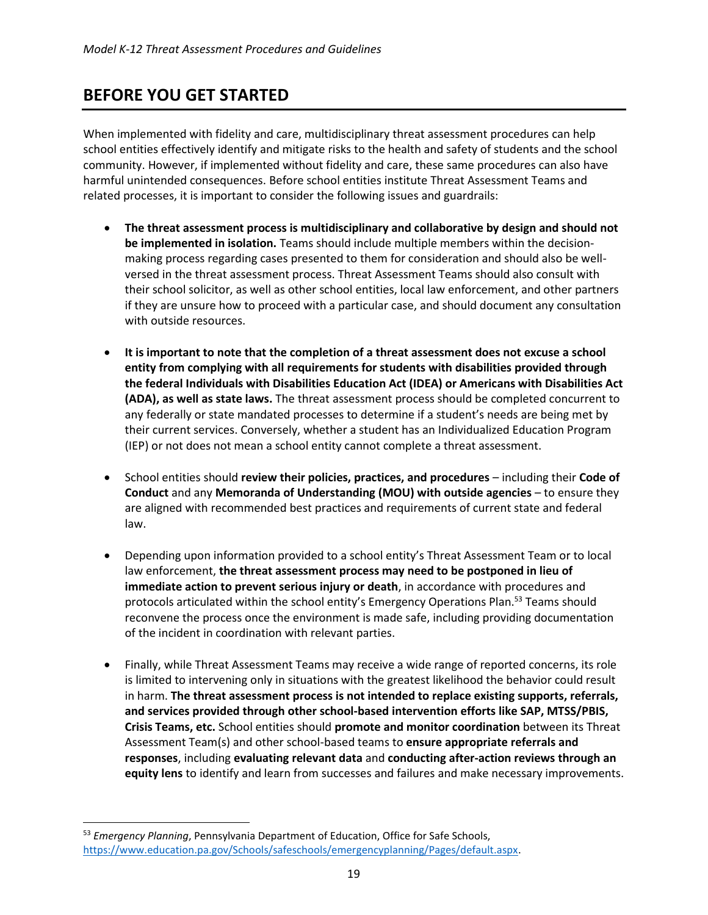# <span id="page-18-0"></span>**BEFORE YOU GET STARTED**

When implemented with fidelity and care, multidisciplinary threat assessment procedures can help school entities effectively identify and mitigate risks to the health and safety of students and the school community. However, if implemented without fidelity and care, these same procedures can also have harmful unintended consequences. Before school entities institute Threat Assessment Teams and related processes, it is important to consider the following issues and guardrails:

- **The threat assessment process is multidisciplinary and collaborative by design and should not be implemented in isolation.** Teams should include multiple members within the decisionmaking process regarding cases presented to them for consideration and should also be wellversed in the threat assessment process. Threat Assessment Teams should also consult with their school solicitor, as well as other school entities, local law enforcement, and other partners if they are unsure how to proceed with a particular case, and should document any consultation with outside resources.
- **It is important to note that the completion of a threat assessment does not excuse a school entity from complying with all requirements for students with disabilities provided through the federal Individuals with Disabilities Education Act (IDEA) or Americans with Disabilities Act (ADA), as well as state laws.** The threat assessment process should be completed concurrent to any federally or state mandated processes to determine if a student's needs are being met by their current services. Conversely, whether a student has an Individualized Education Program (IEP) or not does not mean a school entity cannot complete a threat assessment.
- School entities should **review their policies, practices, and procedures** including their **Code of Conduct** and any **Memoranda of Understanding (MOU) with outside agencies** – to ensure they are aligned with recommended best practices and requirements of current state and federal law.
- Depending upon information provided to a school entity's Threat Assessment Team or to local law enforcement, **the threat assessment process may need to be postponed in lieu of immediate action to prevent serious injury or death**, in accordance with procedures and protocols articulated within the school entity's Emergency Operations Plan.<sup>53</sup> Teams should reconvene the process once the environment is made safe, including providing documentation of the incident in coordination with relevant parties.
- Finally, while Threat Assessment Teams may receive a wide range of reported concerns, its role is limited to intervening only in situations with the greatest likelihood the behavior could result in harm. **The threat assessment process is not intended to replace existing supports, referrals, and services provided through other school-based intervention efforts like SAP, MTSS/PBIS, Crisis Teams, etc.** School entities should **promote and monitor coordination** between its Threat Assessment Team(s) and other school-based teams to **ensure appropriate referrals and responses**, including **evaluating relevant data** and **conducting after-action reviews through an equity lens** to identify and learn from successes and failures and make necessary improvements.

 $\overline{a}$ 

<sup>53</sup> *Emergency Planning*, Pennsylvania Department of Education, Office for Safe Schools, [https://www.education.pa.gov/Schools/safeschools/emergencyplanning/Pages/default.aspx.](https://www.education.pa.gov/Schools/safeschools/emergencyplanning/Pages/default.aspx)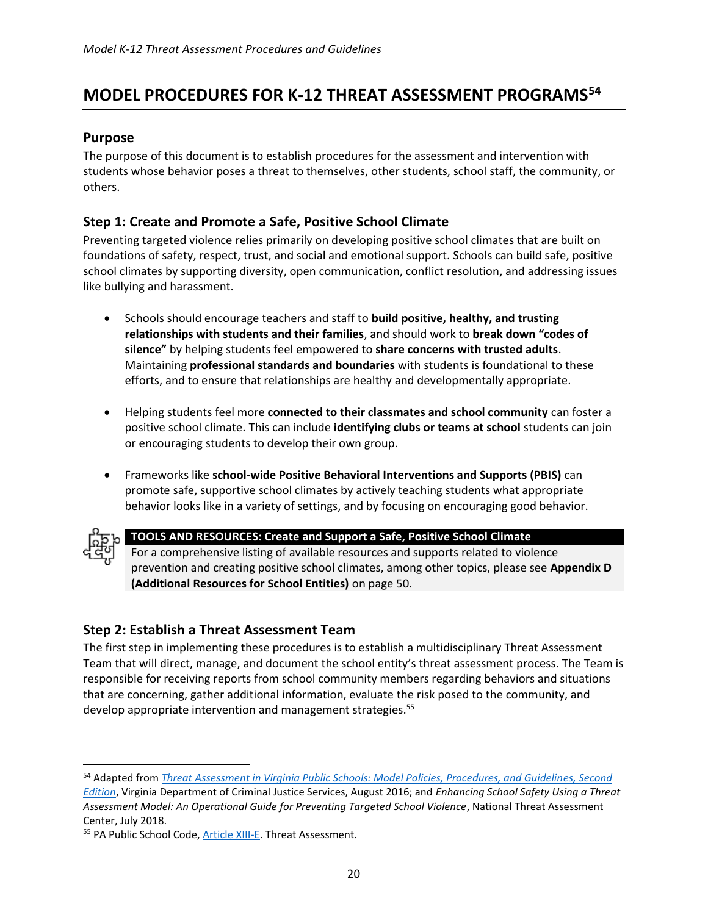# <span id="page-19-0"></span>**MODEL PROCEDURES FOR K-12 THREAT ASSESSMENT PROGRAMS<sup>54</sup>**

#### <span id="page-19-1"></span>**Purpose**

The purpose of this document is to establish procedures for the assessment and intervention with students whose behavior poses a threat to themselves, other students, school staff, the community, or others.

#### <span id="page-19-2"></span>**Step 1: Create and Promote a Safe, Positive School Climate**

Preventing targeted violence relies primarily on developing positive school climates that are built on foundations of safety, respect, trust, and social and emotional support. Schools can build safe, positive school climates by supporting diversity, open communication, conflict resolution, and addressing issues like bullying and harassment.

- Schools should encourage teachers and staff to **build positive, healthy, and trusting relationships with students and their families**, and should work to **break down "codes of silence"** by helping students feel empowered to **share concerns with trusted adults**. Maintaining **professional standards and boundaries** with students is foundational to these efforts, and to ensure that relationships are healthy and developmentally appropriate.
- Helping students feel more **connected to their classmates and school community** can foster a positive school climate. This can include **identifying clubs or teams at school** students can join or encouraging students to develop their own group.
- Frameworks like **school-wide Positive Behavioral Interventions and Supports (PBIS)** can promote safe, supportive school climates by actively teaching students what appropriate behavior looks like in a variety of settings, and by focusing on encouraging good behavior.



 $\overline{\phantom{a}}$ 

#### **TOOLS AND RESOURCES: Create and Support a Safe, Positive School Climate**

For a comprehensive listing of available resources and supports related to violence prevention and creating positive school climates, among other topics, please see **Appendix D (Additional Resources for School Entities)** on page 50.

#### <span id="page-19-3"></span>**Step 2: Establish a Threat Assessment Team**

The first step in implementing these procedures is to establish a multidisciplinary Threat Assessment Team that will direct, manage, and document the school entity's threat assessment process. The Team is responsible for receiving reports from school community members regarding behaviors and situations that are concerning, gather additional information, evaluate the risk posed to the community, and develop appropriate intervention and management strategies.<sup>55</sup>

<sup>54</sup> Adapted from *[Threat Assessment in Virginia Public Schools: Model Policies, Procedures, and Guidelines, Second](https://www.dcjs.virginia.gov/sites/dcjs.virginia.gov/files/publications/law-enforcement/threat-assessment-model-policies-procedures-and-guidelinespdf.pdf)  [Edition](https://www.dcjs.virginia.gov/sites/dcjs.virginia.gov/files/publications/law-enforcement/threat-assessment-model-policies-procedures-and-guidelinespdf.pdf)*, Virginia Department of Criminal Justice Services, August 2016; and *Enhancing School Safety Using a Threat Assessment Model: An Operational Guide for Preventing Targeted School Violence*, National Threat Assessment Center, July 2018.

<sup>55</sup> PA Public School Code[, Article XIII-E.](https://www.legis.state.pa.us/cfdocs/legis/LI/uconsCheck.cfm?txtType=HTM&yr=1949&sessInd=0&smthLwInd=0&act=014&chpt=13E) Threat Assessment.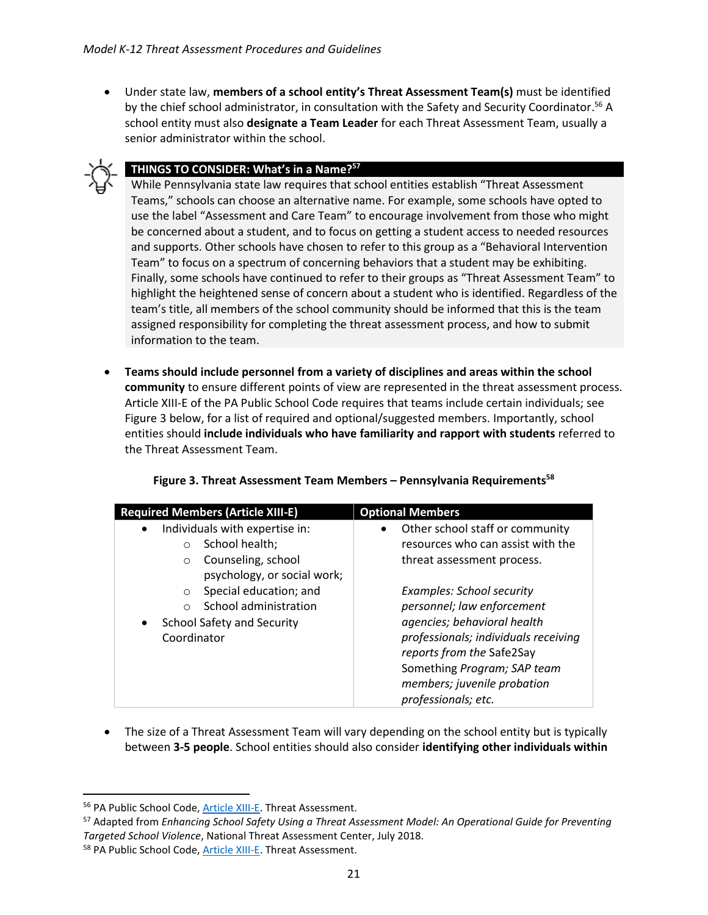• Under state law, **members of a school entity's Threat Assessment Team(s)** must be identified by the chief school administrator, in consultation with the Safety and Security Coordinator.<sup>56</sup> A school entity must also **designate a Team Leader** for each Threat Assessment Team, usually a senior administrator within the school.



 $\overline{\phantom{a}}$ 

#### **THINGS TO CONSIDER: What's in a Name?<sup>57</sup>**

While Pennsylvania state law requires that school entities establish "Threat Assessment Teams," schools can choose an alternative name. For example, some schools have opted to use the label "Assessment and Care Team" to encourage involvement from those who might be concerned about a student, and to focus on getting a student access to needed resources and supports. Other schools have chosen to refer to this group as a "Behavioral Intervention Team" to focus on a spectrum of concerning behaviors that a student may be exhibiting. Finally, some schools have continued to refer to their groups as "Threat Assessment Team" to highlight the heightened sense of concern about a student who is identified. Regardless of the team's title, all members of the school community should be informed that this is the team assigned responsibility for completing the threat assessment process, and how to submit information to the team.

• **Teams should include personnel from a variety of disciplines and areas within the school community** to ensure different points of view are represented in the threat assessment process. Article XIII-E of the PA Public School Code requires that teams include certain individuals; see Figure 3 below, for a list of required and optional/suggested members. Importantly, school entities should **include individuals who have familiarity and rapport with students** referred to the Threat Assessment Team.

|  | Figure 3. Threat Assessment Team Members - Pennsylvania Requirements <sup>58</sup> |
|--|------------------------------------------------------------------------------------|
|--|------------------------------------------------------------------------------------|

| <b>Required Members (Article XIII-E)</b>       | <b>Optional Members</b>              |
|------------------------------------------------|--------------------------------------|
| Individuals with expertise in:<br>$\bullet$    | Other school staff or community      |
| School health;                                 | resources who can assist with the    |
| Counseling, school<br>$\circ$                  | threat assessment process.           |
| psychology, or social work;                    |                                      |
| Special education; and<br>$\circ$              | <b>Examples: School security</b>     |
| School administration                          | personnel; law enforcement           |
| <b>School Safety and Security</b><br>$\bullet$ | agencies; behavioral health          |
| Coordinator                                    | professionals; individuals receiving |
|                                                | reports from the Safe2Say            |
|                                                | Something Program; SAP team          |
|                                                | members; juvenile probation          |
|                                                | professionals; etc.                  |

• The size of a Threat Assessment Team will vary depending on the school entity but is typically between **3-5 people**. School entities should also consider **identifying other individuals within** 

<sup>56</sup> PA Public School Code[, Article XIII-E.](https://www.legis.state.pa.us/cfdocs/legis/LI/uconsCheck.cfm?txtType=HTM&yr=1949&sessInd=0&smthLwInd=0&act=014&chpt=13E) Threat Assessment.

<sup>57</sup> Adapted from *Enhancing School Safety Using a Threat Assessment Model: An Operational Guide for Preventing Targeted School Violence*, National Threat Assessment Center, July 2018.

<sup>58</sup> PA Public School Code, **Article XIII-E**. Threat Assessment.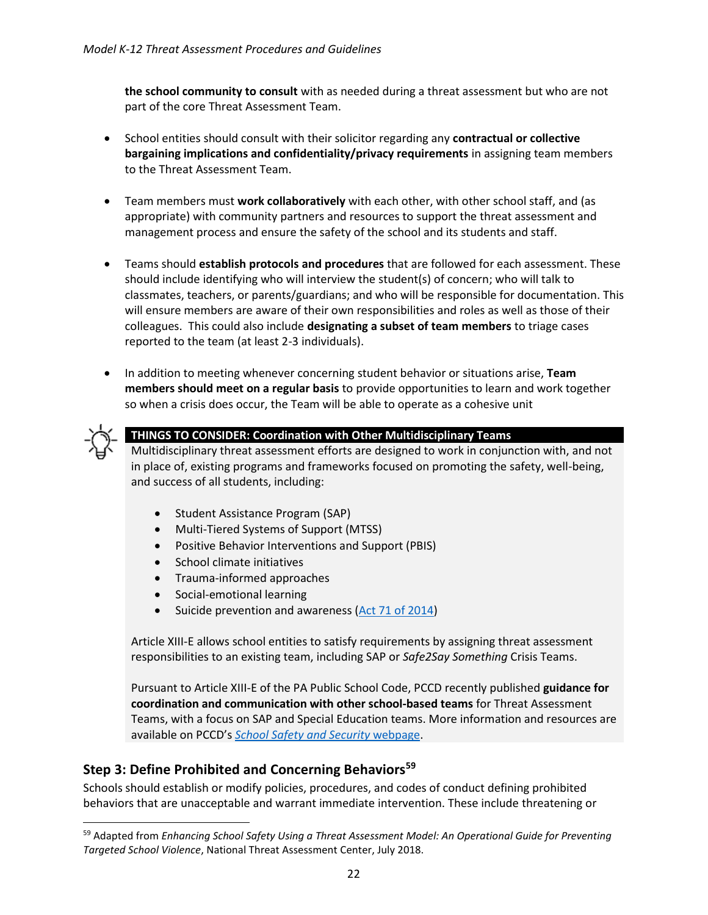**the school community to consult** with as needed during a threat assessment but who are not part of the core Threat Assessment Team.

- School entities should consult with their solicitor regarding any **contractual or collective bargaining implications and confidentiality/privacy requirements** in assigning team members to the Threat Assessment Team.
- Team members must **work collaboratively** with each other, with other school staff, and (as appropriate) with community partners and resources to support the threat assessment and management process and ensure the safety of the school and its students and staff.
- Teams should **establish protocols and procedures** that are followed for each assessment. These should include identifying who will interview the student(s) of concern; who will talk to classmates, teachers, or parents/guardians; and who will be responsible for documentation. This will ensure members are aware of their own responsibilities and roles as well as those of their colleagues. This could also include **designating a subset of team members** to triage cases reported to the team (at least 2-3 individuals).
- In addition to meeting whenever concerning student behavior or situations arise, **Team members should meet on a regular basis** to provide opportunities to learn and work together so when a crisis does occur, the Team will be able to operate as a cohesive unit



 $\overline{a}$ 

#### **THINGS TO CONSIDER: Coordination with Other Multidisciplinary Teams**

Multidisciplinary threat assessment efforts are designed to work in conjunction with, and not in place of, existing programs and frameworks focused on promoting the safety, well-being, and success of all students, including:

- Student Assistance Program (SAP)
- Multi-Tiered Systems of Support (MTSS)
- Positive Behavior Interventions and Support (PBIS)
- School climate initiatives
- Trauma-informed approaches
- Social-emotional learning
- Suicide prevention and awareness [\(Act 71 of 2014\)](https://www.education.pa.gov/Schools/safeschools/laws/Pages/Act71.aspx)

Article XIII-E allows school entities to satisfy requirements by assigning threat assessment responsibilities to an existing team, including SAP or *Safe2Say Something* Crisis Teams.

Pursuant to Article XIII-E of the PA Public School Code, PCCD recently published **guidance for coordination and communication with other school-based teams** for Threat Assessment Teams, with a focus on SAP and Special Education teams. More information and resources are available on PCCD's *[School Safety and Security](https://www.pccd.pa.gov/schoolsafety/Pages/default.aspx)* webpage.

#### <span id="page-21-0"></span>**Step 3: Define Prohibited and Concerning Behaviors<sup>59</sup>**

Schools should establish or modify policies, procedures, and codes of conduct defining prohibited behaviors that are unacceptable and warrant immediate intervention. These include threatening or

<sup>59</sup> Adapted from *Enhancing School Safety Using a Threat Assessment Model: An Operational Guide for Preventing Targeted School Violence*, National Threat Assessment Center, July 2018.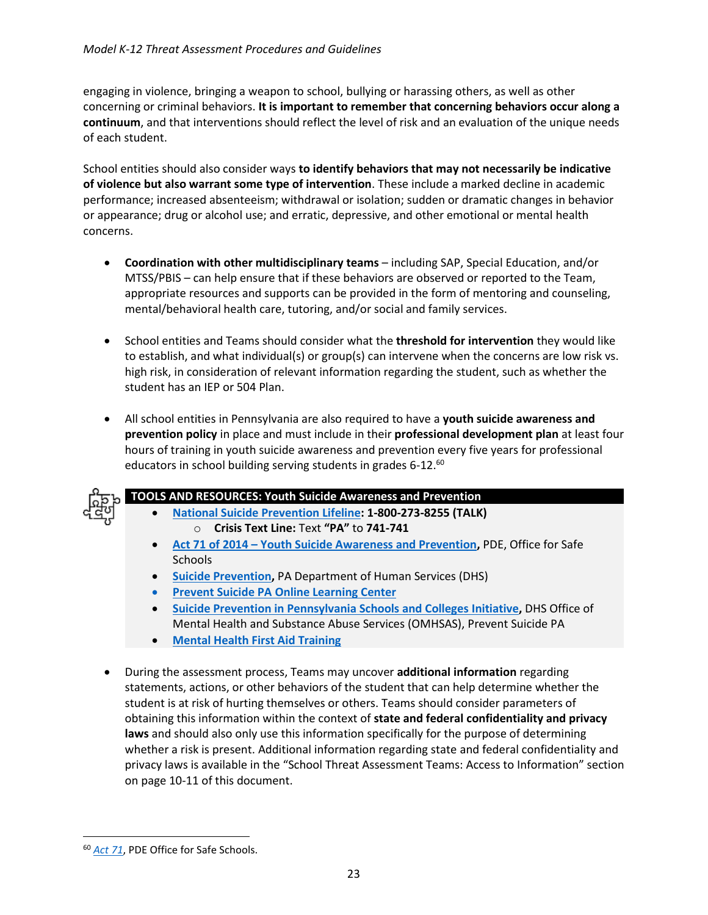engaging in violence, bringing a weapon to school, bullying or harassing others, as well as other concerning or criminal behaviors. **It is important to remember that concerning behaviors occur along a continuum**, and that interventions should reflect the level of risk and an evaluation of the unique needs of each student.

School entities should also consider ways **to identify behaviors that may not necessarily be indicative of violence but also warrant some type of intervention**. These include a marked decline in academic performance; increased absenteeism; withdrawal or isolation; sudden or dramatic changes in behavior or appearance; drug or alcohol use; and erratic, depressive, and other emotional or mental health concerns.

- **Coordination with other multidisciplinary teams** including SAP, Special Education, and/or MTSS/PBIS – can help ensure that if these behaviors are observed or reported to the Team, appropriate resources and supports can be provided in the form of mentoring and counseling, mental/behavioral health care, tutoring, and/or social and family services.
- School entities and Teams should consider what the **threshold for intervention** they would like to establish, and what individual(s) or group(s) can intervene when the concerns are low risk vs. high risk, in consideration of relevant information regarding the student, such as whether the student has an IEP or 504 Plan.
- All school entities in Pennsylvania are also required to have a **youth suicide awareness and prevention policy** in place and must include in their **professional development plan** at least four hours of training in youth suicide awareness and prevention every five years for professional educators in school building serving students in grades  $6-12.^{60}$



- **TOOLS AND RESOURCES: Youth Suicide Awareness and Prevention**
	- **[National Suicide Prevention Lifeline:](https://suicidepreventionlifeline.org/) 1-800-273-8255 (TALK)**  o **Crisis Text Line:** Text **"PA"** to **741-741**
	- **Act 71 of 2014 – [Youth Suicide Awareness and Prevention,](https://www.education.pa.gov/Schools/safeschools/laws/Pages/Act71.aspx)** PDE, Office for Safe **Schools**
	- **[Suicide Prevention,](http://www.dhs.pa.gov/citizens/SuicidePrevention/)** PA Department of Human Services (DHS)
	- **Prevent Suicide PA [Online Learning Center](https://preventsuicidepalearning.com/)**
	- **[Suicide Prevention in Pennsylvania Schools and Colleges Initiative,](https://www.preventsuicidepa.org/gls/)** DHS Office of Mental Health and Substance Abuse Services (OMHSAS), Prevent Suicide PA
	- **[Mental Health First Aid](https://www.mentalhealthfirstaid.org/) Training**
- During the assessment process, Teams may uncover **additional information** regarding statements, actions, or other behaviors of the student that can help determine whether the student is at risk of hurting themselves or others. Teams should consider parameters of obtaining this information within the context of **state and federal confidentiality and privacy laws** and should also only use this information specifically for the purpose of determining whether a risk is present. Additional information regarding state and federal confidentiality and privacy laws is available in the "School Threat Assessment Teams: Access to Information" section on page 10-11 of this document.

<sup>60</sup> *[Act 71](https://www.education.pa.gov/Schools/safeschools/laws/Pages/Act71.aspx)*, PDE Office for Safe Schools.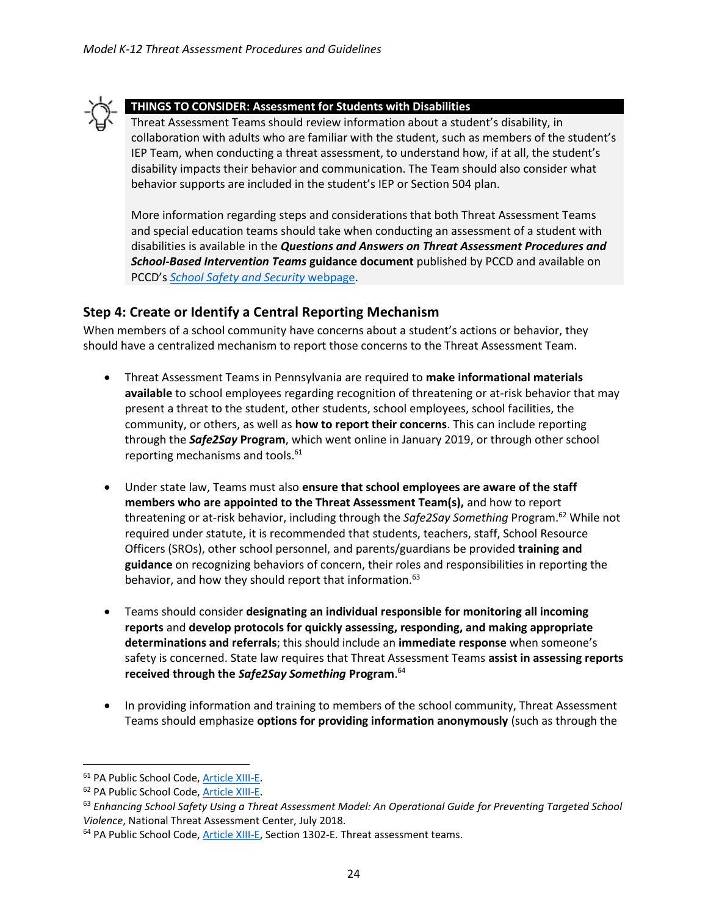

#### **THINGS TO CONSIDER: Assessment for Students with Disabilities**

Threat Assessment Teams should review information about a student's disability, in collaboration with adults who are familiar with the student, such as members of the student's IEP Team, when conducting a threat assessment, to understand how, if at all, the student's disability impacts their behavior and communication. The Team should also consider what behavior supports are included in the student's IEP or Section 504 plan.

More information regarding steps and considerations that both Threat Assessment Teams and special education teams should take when conducting an assessment of a student with disabilities is available in the *Questions and Answers on Threat Assessment Procedures and School-Based Intervention Teams* **guidance document** published by PCCD and available on PCCD's *[School Safety and Security](https://www.pccd.pa.gov/schoolsafety/Pages/default.aspx)* webpage.

#### <span id="page-23-0"></span>**Step 4: Create or Identify a Central Reporting Mechanism**

When members of a school community have concerns about a student's actions or behavior, they should have a centralized mechanism to report those concerns to the Threat Assessment Team.

- Threat Assessment Teams in Pennsylvania are required to **make informational materials available** to school employees regarding recognition of threatening or at-risk behavior that may present a threat to the student, other students, school employees, school facilities, the community, or others, as well as **how to report their concerns**. This can include reporting through the *Safe2Say* **Program**, which went online in January 2019, or through other school reporting mechanisms and tools. 61
- Under state law, Teams must also **ensure that school employees are aware of the staff members who are appointed to the Threat Assessment Team(s),** and how to report threatening or at-risk behavior, including through the *Safe2Say Something* Program.<sup>62</sup> While not required under statute, it is recommended that students, teachers, staff, School Resource Officers (SROs), other school personnel, and parents/guardians be provided **training and guidance** on recognizing behaviors of concern, their roles and responsibilities in reporting the behavior, and how they should report that information.<sup>63</sup>
- Teams should consider **designating an individual responsible for monitoring all incoming reports** and **develop protocols for quickly assessing, responding, and making appropriate determinations and referrals**; this should include an **immediate response** when someone's safety is concerned. State law requires that Threat Assessment Teams **assist in assessing reports received through the** *Safe2Say Something* **Program**. 64
- In providing information and training to members of the school community, Threat Assessment Teams should emphasize **options for providing information anonymously** (such as through the

<sup>61</sup> PA Public School Code[, Article XIII-E.](https://www.legis.state.pa.us/cfdocs/legis/LI/uconsCheck.cfm?txtType=HTM&yr=1949&sessInd=0&smthLwInd=0&act=014&chpt=13E)

<sup>62</sup> PA Public School Code[, Article XIII-E.](https://www.legis.state.pa.us/cfdocs/legis/LI/uconsCheck.cfm?txtType=HTM&yr=1949&sessInd=0&smthLwInd=0&act=014&chpt=13E)

<sup>63</sup> *Enhancing School Safety Using a Threat Assessment Model: An Operational Guide for Preventing Targeted School Violence*, National Threat Assessment Center, July 2018.

<sup>&</sup>lt;sup>64</sup> PA Public School Code[, Article](https://www.legis.state.pa.us/cfdocs/legis/LI/uconsCheck.cfm?txtType=HTM&yr=1949&sessInd=0&smthLwInd=0&act=014&chpt=13E) XIII-E, Section 1302-E. Threat assessment teams.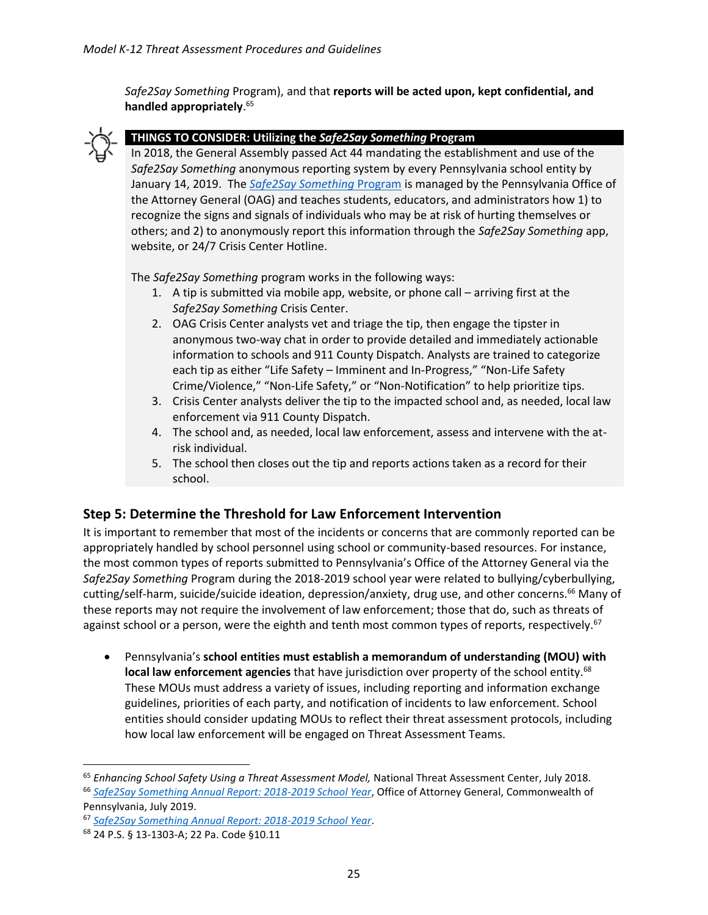*Safe2Say Something* Program), and that **reports will be acted upon, kept confidential, and handled appropriately**. 65



#### **THINGS TO CONSIDER: Utilizing the** *Safe2Say Something* **Program**

In 2018, the General Assembly passed Act 44 mandating the establishment and use of the *Safe2Say Something* anonymous reporting system by every Pennsylvania school entity by January 14, 2019. The *[Safe2Say Something](https://www.safe2saypa.org/)* Program is managed by the Pennsylvania Office of the Attorney General (OAG) and teaches students, educators, and administrators how 1) to recognize the signs and signals of individuals who may be at risk of hurting themselves or others; and 2) to anonymously report this information through the *Safe2Say Something* app, website, or 24/7 Crisis Center Hotline.

The *Safe2Say Something* program works in the following ways:

- 1. A tip is submitted via mobile app, website, or phone call arriving first at the *Safe2Say Something* Crisis Center.
- 2. OAG Crisis Center analysts vet and triage the tip, then engage the tipster in anonymous two-way chat in order to provide detailed and immediately actionable information to schools and 911 County Dispatch. Analysts are trained to categorize each tip as either "Life Safety – Imminent and In-Progress," "Non-Life Safety Crime/Violence," "Non-Life Safety," or "Non-Notification" to help prioritize tips.
- 3. Crisis Center analysts deliver the tip to the impacted school and, as needed, local law enforcement via 911 County Dispatch.
- 4. The school and, as needed, local law enforcement, assess and intervene with the atrisk individual.
- 5. The school then closes out the tip and reports actions taken as a record for their school.

#### <span id="page-24-0"></span>**Step 5: Determine the Threshold for Law Enforcement Intervention**

It is important to remember that most of the incidents or concerns that are commonly reported can be appropriately handled by school personnel using school or community-based resources. For instance, the most common types of reports submitted to Pennsylvania's Office of the Attorney General via the *Safe2Say Something* Program during the 2018-2019 school year were related to bullying/cyberbullying, cutting/self-harm, suicide/suicide ideation, depression/anxiety, drug use, and other concerns.<sup>66</sup> Many of these reports may not require the involvement of law enforcement; those that do, such as threats of against school or a person, were the eighth and tenth most common types of reports, respectively.<sup>67</sup>

• Pennsylvania's **school entities must establish a memorandum of understanding (MOU) with local law enforcement agencies** that have jurisdiction over property of the school entity.<sup>68</sup> These MOUs must address a variety of issues, including reporting and information exchange guidelines, priorities of each party, and notification of incidents to law enforcement. School entities should consider updating MOUs to reflect their threat assessment protocols, including how local law enforcement will be engaged on Threat Assessment Teams.

<sup>65</sup> *Enhancing School Safety Using a Threat Assessment Model,* National Threat Assessment Center, July 2018. <sup>66</sup> *[Safe2Say Something Annual Report: 2018-2019 School Year](https://www.safe2saypa.org/wp-content/uploads/2019/08/S2SS-Annual-Report-FINAL-28129.pdf)*, Office of Attorney General, Commonwealth of Pennsylvania, July 2019.

<sup>67</sup> *[Safe2Say Something Annual Report: 2018-2019 School Year](https://www.safe2saypa.org/wp-content/uploads/2019/08/S2SS-Annual-Report-FINAL-28129.pdf)*.

<sup>68</sup> 24 P.S. § 13-1303-A; 22 Pa. Code §10.11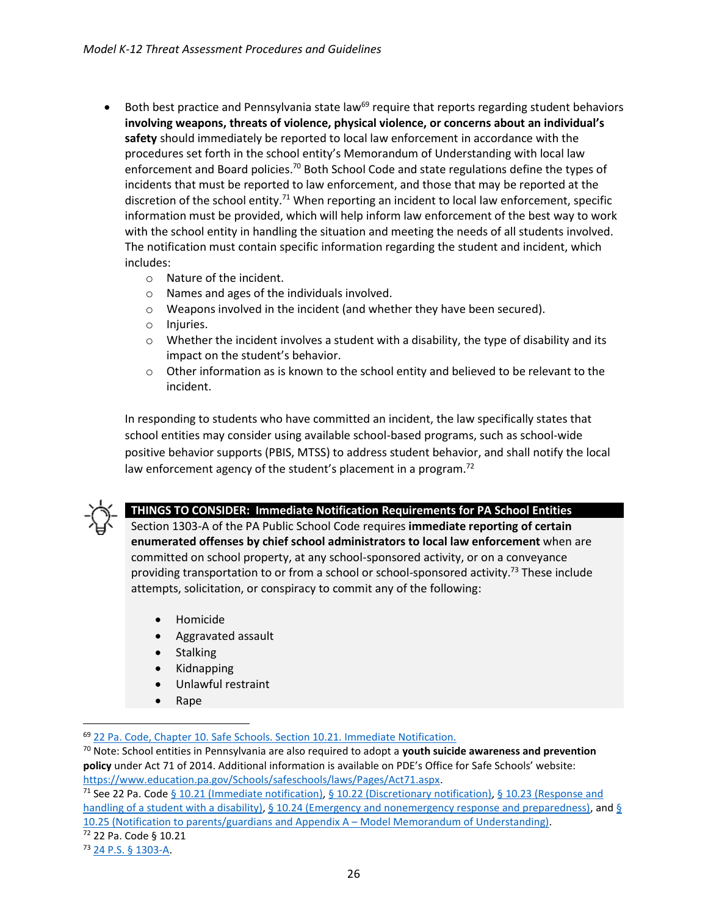- $\bullet$  Both best practice and Pennsylvania state law<sup>69</sup> require that reports regarding student behaviors **involving weapons, threats of violence, physical violence, or concerns about an individual's safety** should immediately be reported to local law enforcement in accordance with the procedures set forth in the school entity's Memorandum of Understanding with local law enforcement and Board policies.<sup>70</sup> Both School Code and state regulations define the types of incidents that must be reported to law enforcement, and those that may be reported at the discretion of the school entity.<sup>71</sup> When reporting an incident to local law enforcement, specific information must be provided, which will help inform law enforcement of the best way to work with the school entity in handling the situation and meeting the needs of all students involved. The notification must contain specific information regarding the student and incident, which includes:
	- o Nature of the incident.
	- o Names and ages of the individuals involved.
	- o Weapons involved in the incident (and whether they have been secured).
	- o Injuries.
	- $\circ$  Whether the incident involves a student with a disability, the type of disability and its impact on the student's behavior.
	- $\circ$  Other information as is known to the school entity and believed to be relevant to the incident.

In responding to students who have committed an incident, the law specifically states that school entities may consider using available school-based programs, such as school-wide positive behavior supports (PBIS, MTSS) to address student behavior, and shall notify the local law enforcement agency of the student's placement in a program.<sup>72</sup>



 $\overline{a}$ 

#### **THINGS TO CONSIDER: Immediate Notification Requirements for PA School Entities**

Section 1303-A of the PA Public School Code requires **immediate reporting of certain enumerated offenses by chief school administrators to local law enforcement** when are committed on school property, at any school-sponsored activity, or on a conveyance providing transportation to or from a school or school-sponsored activity.<sup>73</sup> These include attempts, solicitation, or conspiracy to commit any of the following:

- Homicide
- Aggravated assault
- **Stalking**
- Kidnapping
- Unlawful restraint
- Rape

<sup>69</sup> [22 Pa. Code, Chapter 10. Safe Schools. Section 10.21. Immediate Notification.](https://www.pacode.com/secure/data/022/chapter10/s10.21.html) 

<sup>70</sup> Note: School entities in Pennsylvania are also required to adopt a **youth suicide awareness and prevention policy** under Act 71 of 2014. Additional information is available on PDE's Office for Safe Schools' website: [https://www.education.pa.gov/Schools/safeschools/laws/Pages/Act71.aspx.](https://www.education.pa.gov/Schools/safeschools/laws/Pages/Act71.aspx)

<sup>71</sup> See 22 Pa. Code [§ 10.21 \(Immediate notification\),](https://www.pacode.com/secure/data/022/chapter10/s10.21.html) [§ 10.22 \(Discretionary notification\),](https://www.pacode.com/secure/data/022/chapter10/s10.22.html) § 10.23 (Response and [handling of a student with a disability\),](https://www.pacode.com/secure/data/022/chapter10/s10.23.html) [§ 10.24 \(Emergency and nonemergency response and preparedness\),](https://www.pacode.com/secure/data/022/chapter10/s10.24.html) and § 10.25 (Notification to parents/guardians and Appendix A – [Model Memorandum of Understanding\).](https://www.pacode.com/secure/data/022/chapter10/s10.25.html)

<sup>72</sup> 22 Pa. Code § 10.21

<sup>73</sup> [24 P.S. §](https://www.legis.state.pa.us/cfdocs/legis/LI/uconsCheck.cfm?txtType=HTM&yr=1949&sessInd=0&smthLwInd=0&act=14&chpt=13A&sctn=3&subsctn=0) 1303-A.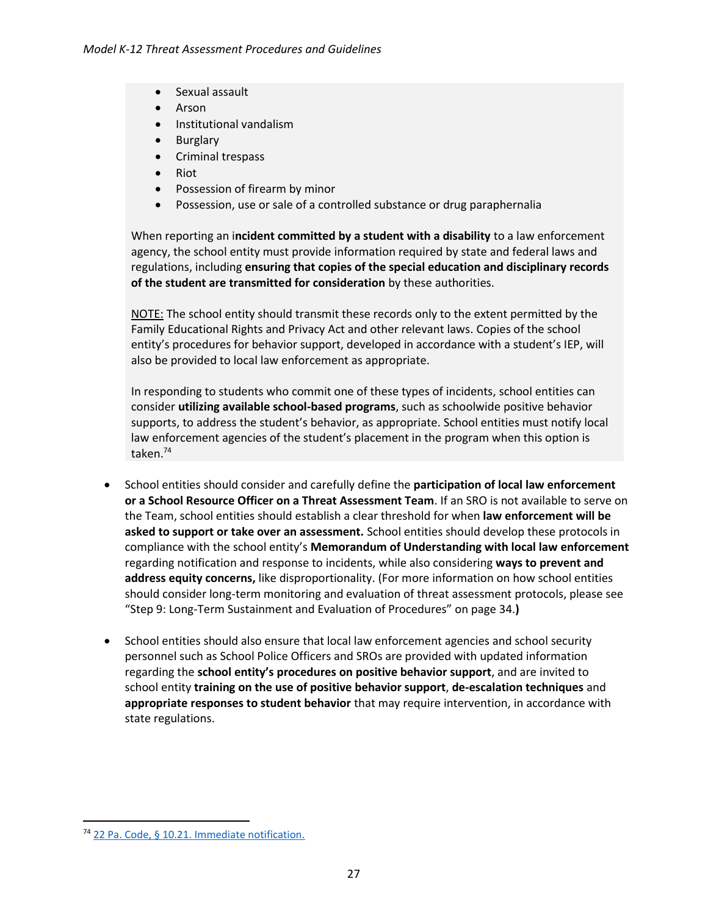- Sexual assault
- Arson
- Institutional vandalism
- Burglary
- Criminal trespass
- Riot
- Possession of firearm by minor
- Possession, use or sale of a controlled substance or drug paraphernalia

When reporting an i**ncident committed by a student with a disability** to a law enforcement agency, the school entity must provide information required by state and federal laws and regulations, including **ensuring that copies of the special education and disciplinary records of the student are transmitted for consideration** by these authorities.

NOTE: The school entity should transmit these records only to the extent permitted by the Family Educational Rights and Privacy Act and other relevant laws. Copies of the school entity's procedures for behavior support, developed in accordance with a student's IEP, will also be provided to local law enforcement as appropriate.

In responding to students who commit one of these types of incidents, school entities can consider **utilizing available school-based programs**, such as schoolwide positive behavior supports, to address the student's behavior, as appropriate. School entities must notify local law enforcement agencies of the student's placement in the program when this option is taken. 74

- School entities should consider and carefully define the **participation of local law enforcement or a School Resource Officer on a Threat Assessment Team**. If an SRO is not available to serve on the Team, school entities should establish a clear threshold for when **law enforcement will be asked to support or take over an assessment.** School entities should develop these protocols in compliance with the school entity's **Memorandum of Understanding with local law enforcement** regarding notification and response to incidents, while also considering **ways to prevent and address equity concerns,** like disproportionality. (For more information on how school entities should consider long-term monitoring and evaluation of threat assessment protocols, please see "Step 9: Long-Term Sustainment and Evaluation of Procedures" on page 34.**)**
- School entities should also ensure that local law enforcement agencies and school security personnel such as School Police Officers and SROs are provided with updated information regarding the **school entity's procedures on positive behavior support**, and are invited to school entity **training on the use of positive behavior support**, **de-escalation techniques** and **appropriate responses to student behavior** that may require intervention, in accordance with state regulations.

<sup>74</sup> [22 Pa. Code, § 10.21. Immediate notification.](https://www.pacode.com/secure/data/022/chapter10/s10.21.html)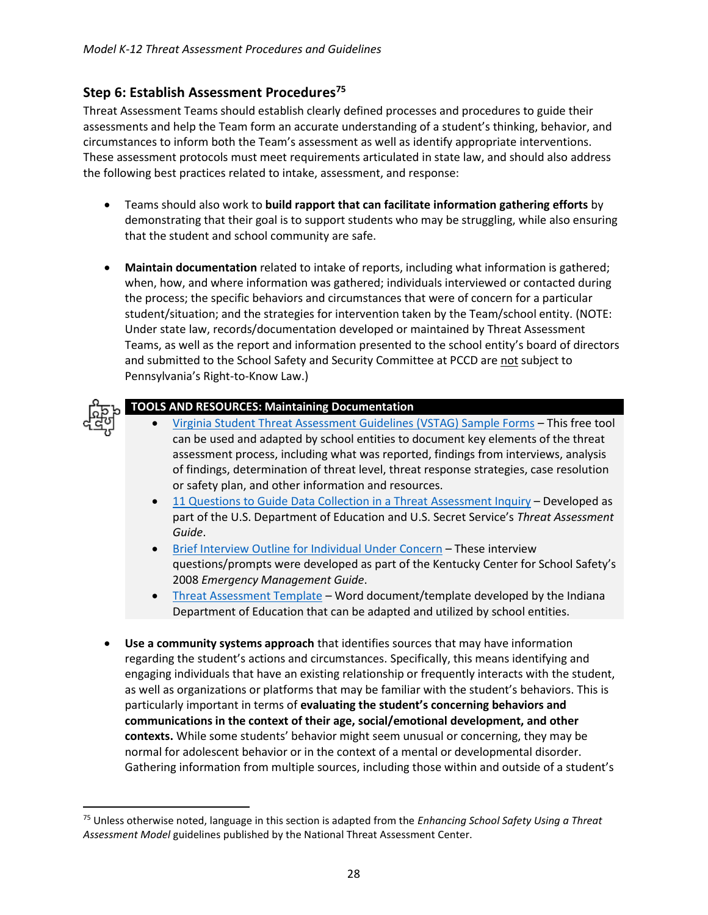#### <span id="page-27-0"></span>**Step 6: Establish Assessment Procedures<sup>75</sup>**

Threat Assessment Teams should establish clearly defined processes and procedures to guide their assessments and help the Team form an accurate understanding of a student's thinking, behavior, and circumstances to inform both the Team's assessment as well as identify appropriate interventions. These assessment protocols must meet requirements articulated in state law, and should also address the following best practices related to intake, assessment, and response:

- Teams should also work to **build rapport that can facilitate information gathering efforts** by demonstrating that their goal is to support students who may be struggling, while also ensuring that the student and school community are safe.
- **Maintain documentation** related to intake of reports, including what information is gathered; when, how, and where information was gathered; individuals interviewed or contacted during the process; the specific behaviors and circumstances that were of concern for a particular student/situation; and the strategies for intervention taken by the Team/school entity. (NOTE: Under state law, records/documentation developed or maintained by Threat Assessment Teams, as well as the report and information presented to the school entity's board of directors and submitted to the School Safety and Security Committee at PCCD are not subject to Pennsylvania's Right-to-Know Law.)



l

#### **TOOLS AND RESOURCES: Maintaining Documentation**

- [Virginia Student Threat Assessment Guidelines \(VSTAG\) Sample Forms](https://curry.virginia.edu/sites/default/files/images/YVP/Forms%20for%20Comprehensive%20School%20Threat%20Assessment%20Guidelines%207-27-19.docx) This free tool can be used and adapted by school entities to document key elements of the threat assessment process, including what was reported, findings from interviews, analysis of findings, determination of threat level, threat response strategies, case resolution or safety plan, and other information and resources.
- [11 Questions to Guide Data Collection in a Threat Assessment Inquiry](https://locker.txssc.txstate.edu/f40474bcbab5f025bb1570f1bfbf9f06/Eleven-Questions-to-Guide-Data-Collection-in-a-Threat-Assessment-Inquiry.pdf) Developed as part of the U.S. Department of Education and U.S. Secret Service's *Threat Assessment Guide*.
- [Brief Interview Outline for Individual Under Concern](https://locker.txssc.txstate.edu/f40474bcbab5f025bb1570f1bfbf9f06/Brief-Interview-Outline-for-Individual-Under-Concern.pdf) These interview questions/prompts were developed as part of the Kentucky Center for School Safety's 2008 *Emergency Management Guide*.
- [Threat Assessment Template](https://locker.txssc.txstate.edu/f40474bcbab5f025bb1570f1bfbf9f06/Threat-Assessment-Template.docx) Word document/template developed by the Indiana Department of Education that can be adapted and utilized by school entities.
- **Use a community systems approach** that identifies sources that may have information regarding the student's actions and circumstances. Specifically, this means identifying and engaging individuals that have an existing relationship or frequently interacts with the student, as well as organizations or platforms that may be familiar with the student's behaviors. This is particularly important in terms of **evaluating the student's concerning behaviors and communications in the context of their age, social/emotional development, and other contexts.** While some students' behavior might seem unusual or concerning, they may be normal for adolescent behavior or in the context of a mental or developmental disorder. Gathering information from multiple sources, including those within and outside of a student's

<sup>75</sup> Unless otherwise noted, language in this section is adapted from the *Enhancing School Safety Using a Threat Assessment Model* guidelines published by the National Threat Assessment Center.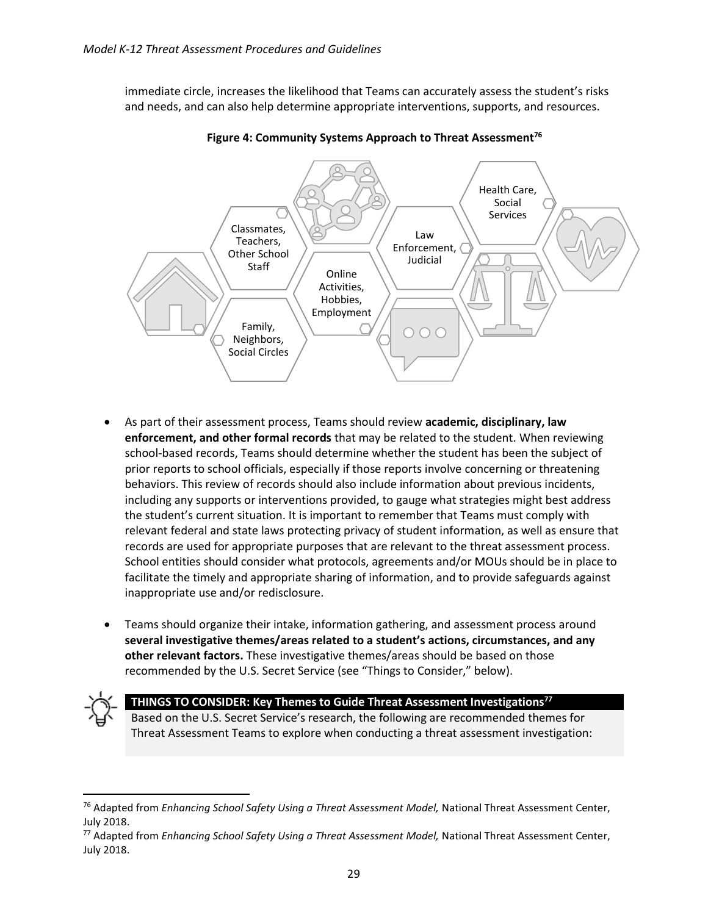immediate circle, increases the likelihood that Teams can accurately assess the student's risks and needs, and can also help determine appropriate interventions, supports, and resources.



**Figure 4: Community Systems Approach to Threat Assessment<sup>76</sup>**

- As part of their assessment process, Teams should review **academic, disciplinary, law enforcement, and other formal records** that may be related to the student. When reviewing school-based records, Teams should determine whether the student has been the subject of prior reports to school officials, especially if those reports involve concerning or threatening behaviors. This review of records should also include information about previous incidents, including any supports or interventions provided, to gauge what strategies might best address the student's current situation. It is important to remember that Teams must comply with relevant federal and state laws protecting privacy of student information, as well as ensure that records are used for appropriate purposes that are relevant to the threat assessment process. School entities should consider what protocols, agreements and/or MOUs should be in place to facilitate the timely and appropriate sharing of information, and to provide safeguards against inappropriate use and/or redisclosure.
- Teams should organize their intake, information gathering, and assessment process around **several investigative themes/areas related to a student's actions, circumstances, and any other relevant factors.** These investigative themes/areas should be based on those recommended by the U.S. Secret Service (see "Things to Consider," below).



 $\overline{\phantom{a}}$ 

#### **THINGS TO CONSIDER: Key Themes to Guide Threat Assessment Investigations<sup>77</sup>**

Based on the U.S. Secret Service's research, the following are recommended themes for Threat Assessment Teams to explore when conducting a threat assessment investigation:

<sup>76</sup> Adapted from *Enhancing School Safety Using a Threat Assessment Model,* National Threat Assessment Center, July 2018.

<sup>77</sup> Adapted from *Enhancing School Safety Using a Threat Assessment Model,* National Threat Assessment Center, July 2018.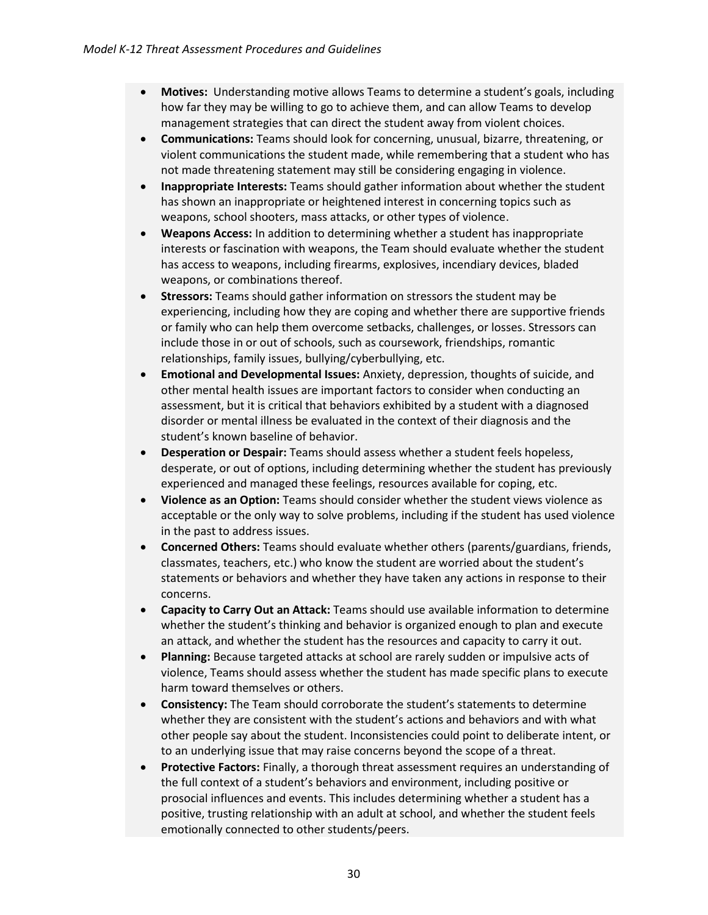- **Motives:** Understanding motive allows Teams to determine a student's goals, including how far they may be willing to go to achieve them, and can allow Teams to develop management strategies that can direct the student away from violent choices.
- **Communications:** Teams should look for concerning, unusual, bizarre, threatening, or violent communications the student made, while remembering that a student who has not made threatening statement may still be considering engaging in violence.
- **Inappropriate Interests:** Teams should gather information about whether the student has shown an inappropriate or heightened interest in concerning topics such as weapons, school shooters, mass attacks, or other types of violence.
- **Weapons Access:** In addition to determining whether a student has inappropriate interests or fascination with weapons, the Team should evaluate whether the student has access to weapons, including firearms, explosives, incendiary devices, bladed weapons, or combinations thereof.
- **Stressors:** Teams should gather information on stressors the student may be experiencing, including how they are coping and whether there are supportive friends or family who can help them overcome setbacks, challenges, or losses. Stressors can include those in or out of schools, such as coursework, friendships, romantic relationships, family issues, bullying/cyberbullying, etc.
- **Emotional and Developmental Issues:** Anxiety, depression, thoughts of suicide, and other mental health issues are important factors to consider when conducting an assessment, but it is critical that behaviors exhibited by a student with a diagnosed disorder or mental illness be evaluated in the context of their diagnosis and the student's known baseline of behavior.
- **Desperation or Despair:** Teams should assess whether a student feels hopeless, desperate, or out of options, including determining whether the student has previously experienced and managed these feelings, resources available for coping, etc.
- **Violence as an Option:** Teams should consider whether the student views violence as acceptable or the only way to solve problems, including if the student has used violence in the past to address issues.
- **Concerned Others:** Teams should evaluate whether others (parents/guardians, friends, classmates, teachers, etc.) who know the student are worried about the student's statements or behaviors and whether they have taken any actions in response to their concerns.
- **Capacity to Carry Out an Attack:** Teams should use available information to determine whether the student's thinking and behavior is organized enough to plan and execute an attack, and whether the student has the resources and capacity to carry it out.
- **Planning:** Because targeted attacks at school are rarely sudden or impulsive acts of violence, Teams should assess whether the student has made specific plans to execute harm toward themselves or others.
- **Consistency:** The Team should corroborate the student's statements to determine whether they are consistent with the student's actions and behaviors and with what other people say about the student. Inconsistencies could point to deliberate intent, or to an underlying issue that may raise concerns beyond the scope of a threat.
- **Protective Factors:** Finally, a thorough threat assessment requires an understanding of the full context of a student's behaviors and environment, including positive or prosocial influences and events. This includes determining whether a student has a positive, trusting relationship with an adult at school, and whether the student feels emotionally connected to other students/peers.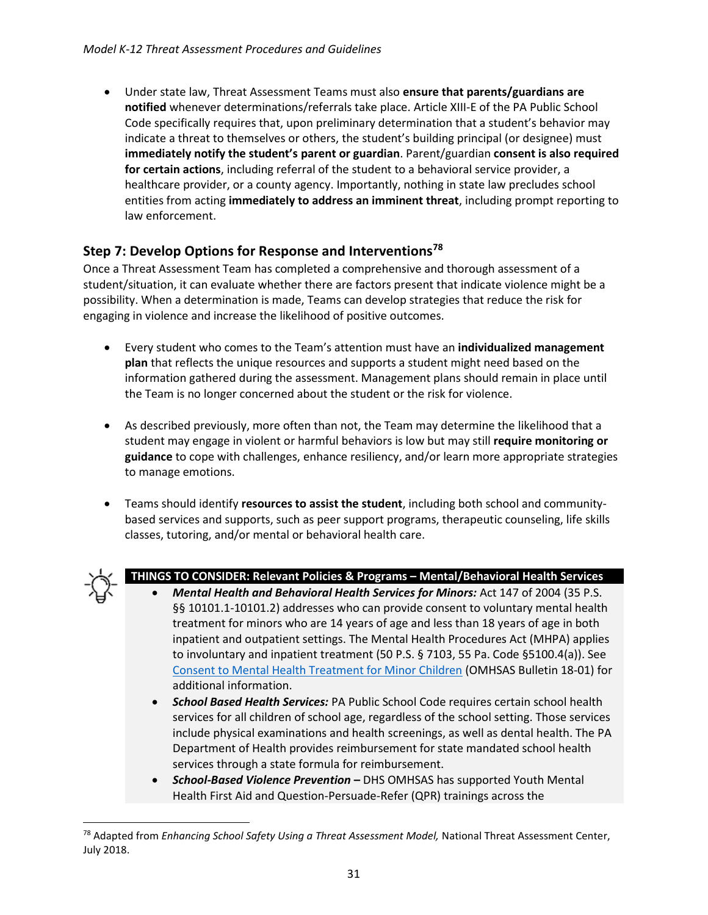• Under state law, Threat Assessment Teams must also **ensure that parents/guardians are notified** whenever determinations/referrals take place. Article XIII-E of the PA Public School Code specifically requires that, upon preliminary determination that a student's behavior may indicate a threat to themselves or others, the student's building principal (or designee) must **immediately notify the student's parent or guardian**. Parent/guardian **consent is also required for certain actions**, including referral of the student to a behavioral service provider, a healthcare provider, or a county agency. Importantly, nothing in state law precludes school entities from acting **immediately to address an imminent threat**, including prompt reporting to law enforcement.

#### <span id="page-30-0"></span>**Step 7: Develop Options for Response and Interventions<sup>78</sup>**

Once a Threat Assessment Team has completed a comprehensive and thorough assessment of a student/situation, it can evaluate whether there are factors present that indicate violence might be a possibility. When a determination is made, Teams can develop strategies that reduce the risk for engaging in violence and increase the likelihood of positive outcomes.

- Every student who comes to the Team's attention must have an **individualized management plan** that reflects the unique resources and supports a student might need based on the information gathered during the assessment. Management plans should remain in place until the Team is no longer concerned about the student or the risk for violence.
- As described previously, more often than not, the Team may determine the likelihood that a student may engage in violent or harmful behaviors is low but may still **require monitoring or guidance** to cope with challenges, enhance resiliency, and/or learn more appropriate strategies to manage emotions.
- Teams should identify **resources to assist the student**, including both school and communitybased services and supports, such as peer support programs, therapeutic counseling, life skills classes, tutoring, and/or mental or behavioral health care.



 $\overline{a}$ 

#### **THINGS TO CONSIDER: Relevant Policies & Programs – Mental/Behavioral Health Services**

- *Mental Health and Behavioral Health Services for Minors:* Act 147 of 2004 (35 P.S. §§ 10101.1-10101.2) addresses who can provide consent to voluntary mental health treatment for minors who are 14 years of age and less than 18 years of age in both inpatient and outpatient settings. The Mental Health Procedures Act (MHPA) applies to involuntary and inpatient treatment (50 P.S. § 7103, 55 Pa. Code §5100.4(a)). See [Consent to Mental Health Treatment for Minor Children](http://www.dhs.pa.gov/cs/groups/webcontent/documents/document/c_276794.pdf) (OMHSAS Bulletin 18-01) for additional information.
- *School Based Health Services:* PA Public School Code requires certain school health services for all children of school age, regardless of the school setting. Those services include physical examinations and health screenings, as well as dental health. The PA Department of Health provides reimbursement for state mandated school health services through a state formula for reimbursement.
- *School-Based Violence Prevention* **–** DHS OMHSAS has supported Youth Mental Health First Aid and Question-Persuade-Refer (QPR) trainings across the

<sup>78</sup> Adapted from *Enhancing School Safety Using a Threat Assessment Model,* National Threat Assessment Center, July 2018.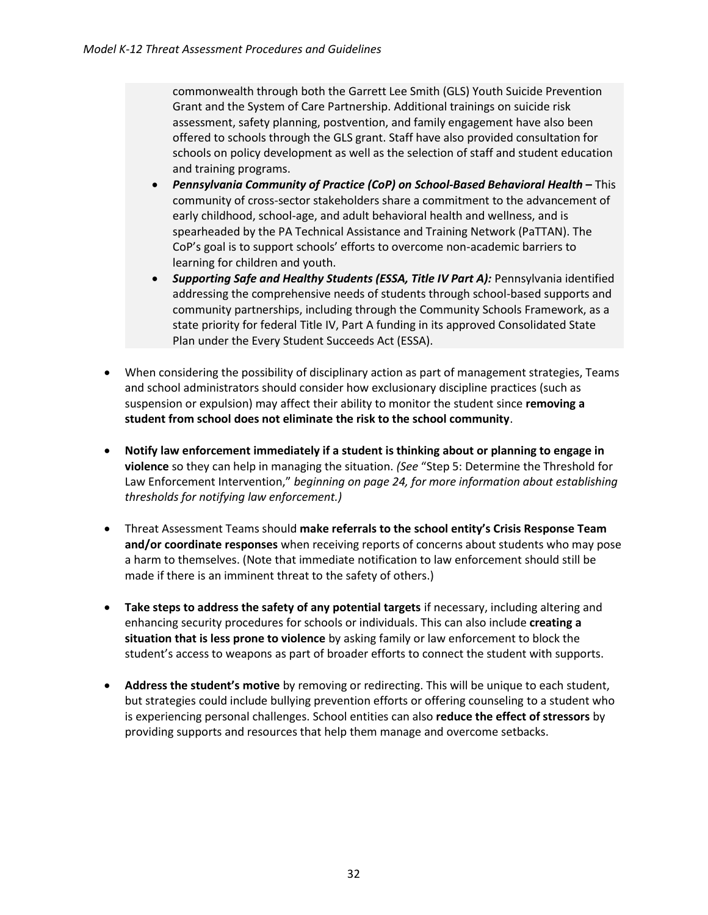commonwealth through both the Garrett Lee Smith (GLS) Youth Suicide Prevention Grant and the System of Care Partnership. Additional trainings on suicide risk assessment, safety planning, postvention, and family engagement have also been offered to schools through the GLS grant. Staff have also provided consultation for schools on policy development as well as the selection of staff and student education and training programs.

- *Pennsylvania Community of Practice (CoP) on School-Based Behavioral Health* **–** This community of cross-sector stakeholders share a commitment to the advancement of early childhood, school-age, and adult behavioral health and wellness, and is spearheaded by the PA Technical Assistance and Training Network (PaTTAN). The CoP's goal is to support schools' efforts to overcome non-academic barriers to learning for children and youth.
- *Supporting Safe and Healthy Students (ESSA, Title IV Part A):* Pennsylvania identified addressing the comprehensive needs of students through school-based supports and community partnerships, including through the Community Schools Framework, as a state priority for federal Title IV, Part A funding in its approved Consolidated State Plan under the Every Student Succeeds Act (ESSA).
- When considering the possibility of disciplinary action as part of management strategies, Teams and school administrators should consider how exclusionary discipline practices (such as suspension or expulsion) may affect their ability to monitor the student since **removing a student from school does not eliminate the risk to the school community**.
- **Notify law enforcement immediately if a student is thinking about or planning to engage in violence** so they can help in managing the situation. *(See* "Step 5: Determine the Threshold for Law Enforcement Intervention," *beginning on page 24, for more information about establishing thresholds for notifying law enforcement.)*
- Threat Assessment Teams should **make referrals to the school entity's Crisis Response Team and/or coordinate responses** when receiving reports of concerns about students who may pose a harm to themselves. (Note that immediate notification to law enforcement should still be made if there is an imminent threat to the safety of others.)
- **Take steps to address the safety of any potential targets** if necessary, including altering and enhancing security procedures for schools or individuals. This can also include **creating a situation that is less prone to violence** by asking family or law enforcement to block the student's access to weapons as part of broader efforts to connect the student with supports.
- **Address the student's motive** by removing or redirecting. This will be unique to each student, but strategies could include bullying prevention efforts or offering counseling to a student who is experiencing personal challenges. School entities can also **reduce the effect of stressors** by providing supports and resources that help them manage and overcome setbacks.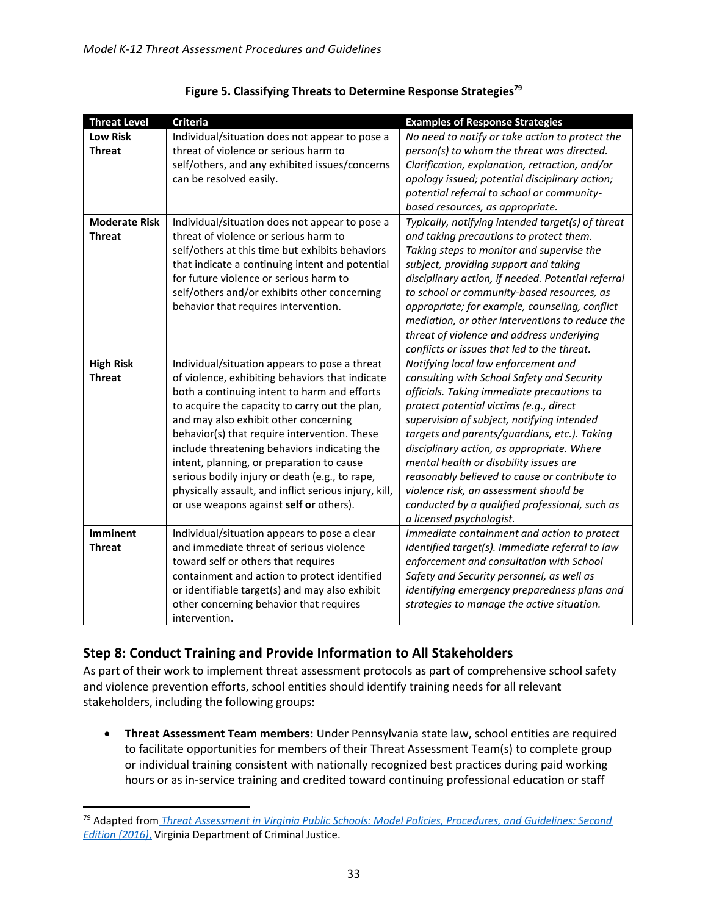| <b>Threat Level</b>  | Criteria                                              | <b>Examples of Response Strategies</b>             |
|----------------------|-------------------------------------------------------|----------------------------------------------------|
| <b>Low Risk</b>      | Individual/situation does not appear to pose a        | No need to notify or take action to protect the    |
| <b>Threat</b>        | threat of violence or serious harm to                 | person(s) to whom the threat was directed.         |
|                      | self/others, and any exhibited issues/concerns        | Clarification, explanation, retraction, and/or     |
|                      | can be resolved easily.                               | apology issued; potential disciplinary action;     |
|                      |                                                       | potential referral to school or community-         |
|                      |                                                       | based resources, as appropriate.                   |
| <b>Moderate Risk</b> | Individual/situation does not appear to pose a        | Typically, notifying intended target(s) of threat  |
| <b>Threat</b>        | threat of violence or serious harm to                 | and taking precautions to protect them.            |
|                      | self/others at this time but exhibits behaviors       | Taking steps to monitor and supervise the          |
|                      | that indicate a continuing intent and potential       | subject, providing support and taking              |
|                      | for future violence or serious harm to                | disciplinary action, if needed. Potential referral |
|                      | self/others and/or exhibits other concerning          | to school or community-based resources, as         |
|                      | behavior that requires intervention.                  | appropriate; for example, counseling, conflict     |
|                      |                                                       | mediation, or other interventions to reduce the    |
|                      |                                                       | threat of violence and address underlying          |
|                      |                                                       | conflicts or issues that led to the threat.        |
| <b>High Risk</b>     | Individual/situation appears to pose a threat         | Notifying local law enforcement and                |
| <b>Threat</b>        | of violence, exhibiting behaviors that indicate       | consulting with School Safety and Security         |
|                      | both a continuing intent to harm and efforts          | officials. Taking immediate precautions to         |
|                      | to acquire the capacity to carry out the plan,        | protect potential victims (e.g., direct            |
|                      | and may also exhibit other concerning                 | supervision of subject, notifying intended         |
|                      | behavior(s) that require intervention. These          | targets and parents/guardians, etc.). Taking       |
|                      | include threatening behaviors indicating the          | disciplinary action, as appropriate. Where         |
|                      | intent, planning, or preparation to cause             | mental health or disability issues are             |
|                      | serious bodily injury or death (e.g., to rape,        | reasonably believed to cause or contribute to      |
|                      | physically assault, and inflict serious injury, kill, | violence risk, an assessment should be             |
|                      | or use weapons against self or others).               | conducted by a qualified professional, such as     |
|                      |                                                       | a licensed psychologist.                           |
| <b>Imminent</b>      | Individual/situation appears to pose a clear          | Immediate containment and action to protect        |
| <b>Threat</b>        | and immediate threat of serious violence              | identified target(s). Immediate referral to law    |
|                      | toward self or others that requires                   | enforcement and consultation with School           |
|                      | containment and action to protect identified          | Safety and Security personnel, as well as          |
|                      | or identifiable target(s) and may also exhibit        | identifying emergency preparedness plans and       |
|                      | other concerning behavior that requires               | strategies to manage the active situation.         |
|                      | intervention.                                         |                                                    |

| Figure 5. Classifying Threats to Determine Response Strategies <sup>79</sup> |
|------------------------------------------------------------------------------|
|------------------------------------------------------------------------------|

### <span id="page-32-0"></span>**Step 8: Conduct Training and Provide Information to All Stakeholders**

l

As part of their work to implement threat assessment protocols as part of comprehensive school safety and violence prevention efforts, school entities should identify training needs for all relevant stakeholders, including the following groups:

• **Threat Assessment Team members:** Under Pennsylvania state law, school entities are required to facilitate opportunities for members of their Threat Assessment Team(s) to complete group or individual training consistent with nationally recognized best practices during paid working hours or as in-service training and credited toward continuing professional education or staff

<sup>79</sup> Adapted from *[Threat Assessment in Virginia Public Schools: Model Policies, Procedures, and Guidelines: Second](https://www.dcjs.virginia.gov/sites/dcjs.virginia.gov/files/publications/law-enforcement/threat-assessment-model-policies-procedures-and-guidelinespdf.pdf)  [Edition \(2016\)](https://www.dcjs.virginia.gov/sites/dcjs.virginia.gov/files/publications/law-enforcement/threat-assessment-model-policies-procedures-and-guidelinespdf.pdf)*, Virginia Department of Criminal Justice.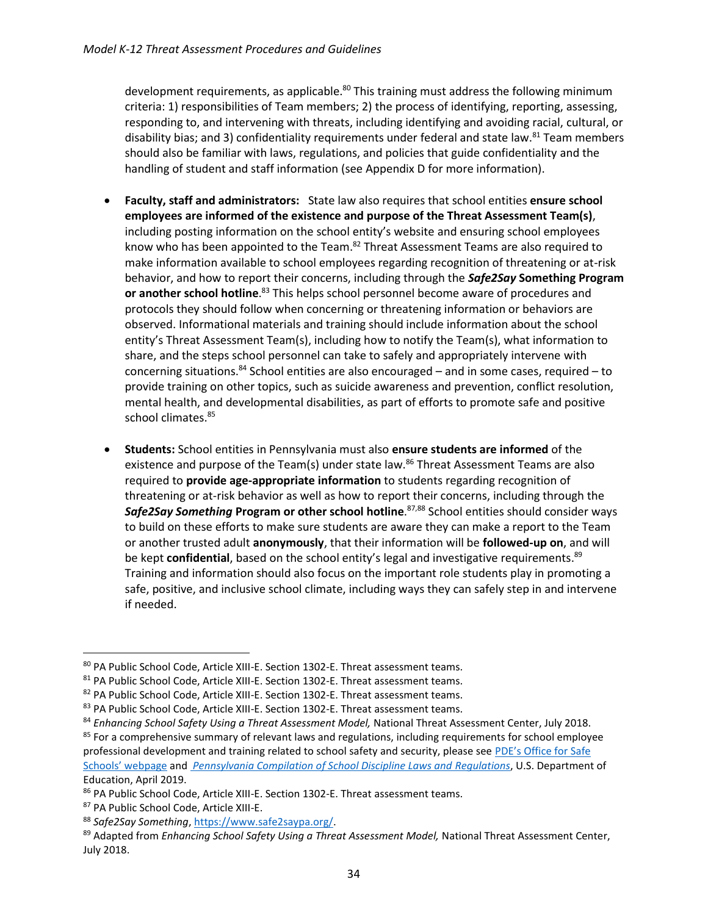development requirements, as applicable.<sup>80</sup> This training must address the following minimum criteria: 1) responsibilities of Team members; 2) the process of identifying, reporting, assessing, responding to, and intervening with threats, including identifying and avoiding racial, cultural, or disability bias; and 3) confidentiality requirements under federal and state law.<sup>81</sup> Team members should also be familiar with laws, regulations, and policies that guide confidentiality and the handling of student and staff information (see Appendix D for more information).

- **Faculty, staff and administrators:** State law also requires that school entities **ensure school employees are informed of the existence and purpose of the Threat Assessment Team(s)**, including posting information on the school entity's website and ensuring school employees know who has been appointed to the Team.<sup>82</sup> Threat Assessment Teams are also required to make information available to school employees regarding recognition of threatening or at-risk behavior, and how to report their concerns, including through the *Safe2Say* **Something Program or another school hotline**. <sup>83</sup> This helps school personnel become aware of procedures and protocols they should follow when concerning or threatening information or behaviors are observed. Informational materials and training should include information about the school entity's Threat Assessment Team(s), including how to notify the Team(s), what information to share, and the steps school personnel can take to safely and appropriately intervene with concerning situations. $^{84}$  School entities are also encouraged – and in some cases, required – to provide training on other topics, such as suicide awareness and prevention, conflict resolution, mental health, and developmental disabilities, as part of efforts to promote safe and positive school climates.<sup>85</sup>
- **Students:** School entities in Pennsylvania must also **ensure students are informed** of the existence and purpose of the Team(s) under state law.<sup>86</sup> Threat Assessment Teams are also required to **provide age-appropriate information** to students regarding recognition of threatening or at-risk behavior as well as how to report their concerns, including through the *Safe2Say Something* **Program or other school hotline**. 87,88 School entities should consider ways to build on these efforts to make sure students are aware they can make a report to the Team or another trusted adult **anonymously**, that their information will be **followed-up on**, and will be kept **confidential**, based on the school entity's legal and investigative requirements. 89 Training and information should also focus on the important role students play in promoting a safe, positive, and inclusive school climate, including ways they can safely step in and intervene if needed.

<sup>80</sup> PA Public School Code, Article XIII-E. Section 1302-E. Threat assessment teams.

<sup>81</sup> PA Public School Code, Article XIII-E. Section 1302-E. Threat assessment teams.

<sup>82</sup> PA Public School Code, Article XIII-E. Section 1302-E. Threat assessment teams.

<sup>83</sup> PA Public School Code, Article XIII-E. Section 1302-E. Threat assessment teams.

<sup>84</sup> *Enhancing School Safety Using a Threat Assessment Model*, National Threat Assessment Center, July 2018.

<sup>&</sup>lt;sup>85</sup> For a comprehensive summary of relevant laws and regulations, including requirements for school employee professional development and training related to school safety and security, please see PDE's [Office for Safe](https://www.education.pa.gov/Schools/safeschools/Pages/default.aspx) 

[Schools' webpage](https://www.education.pa.gov/Schools/safeschools/Pages/default.aspx) and *[Pennsylvania Compilation of School Discipline Laws and Regulations](https://safesupportivelearning.ed.gov/sites/default/files/discipline-compendium/Pennsylvania%20School%20Discipline%20Laws%20and%20Regulations.pdf)*, U.S. Department of Education, April 2019.

<sup>86</sup> PA Public School Code, Article XIII-E. Section 1302-E. Threat assessment teams.

<sup>87</sup> PA Public School Code, Article XIII-E.

<sup>88</sup> *Safe2Say Something*, [https://www.safe2saypa.org/.](https://www.safe2saypa.org/) 

<sup>&</sup>lt;sup>89</sup> Adapted from *Enhancing School Safety Using a Threat Assessment Model*, National Threat Assessment Center, July 2018.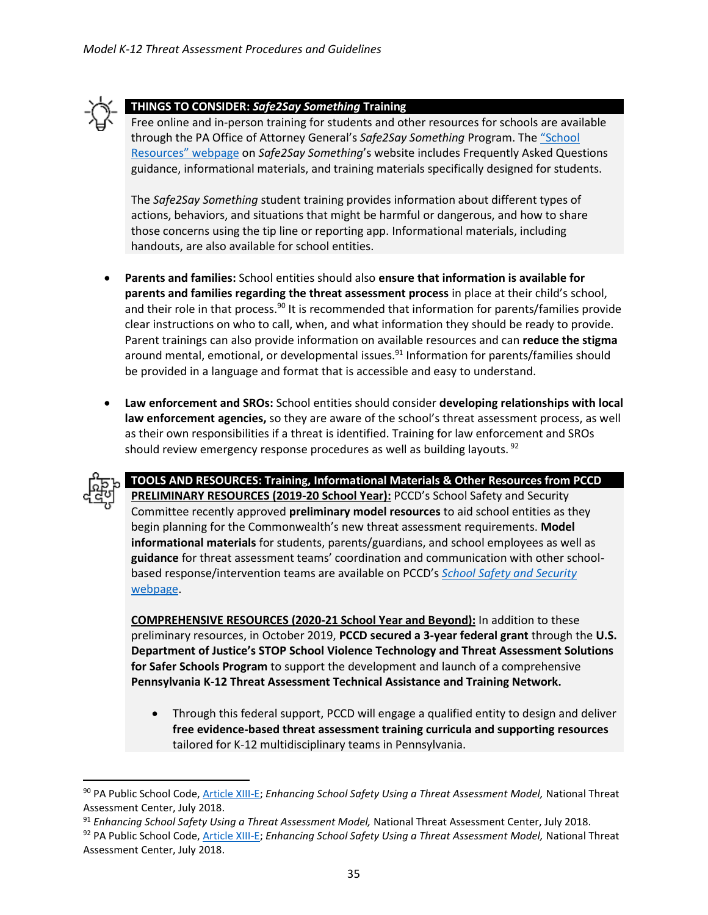

#### **THINGS TO CONSIDER:** *Safe2Say Something* **Training**

Free online and in-person training for students and other resources for schools are available through the PA Office of Attorney General's *Safe2Say Something* Program. The ["School](https://s2ss.knack.com/s2ss#schools/)  [Resources" webpage](https://s2ss.knack.com/s2ss#schools/) on *Safe2Say Something*'s website includes Frequently Asked Questions guidance, informational materials, and training materials specifically designed for students.

The *Safe2Say Something* student training provides information about different types of actions, behaviors, and situations that might be harmful or dangerous, and how to share those concerns using the tip line or reporting app. Informational materials, including handouts, are also available for school entities.

- **Parents and families:** School entities should also **ensure that information is available for parents and families regarding the threat assessment process** in place at their child's school, and their role in that process.<sup>90</sup> It is recommended that information for parents/families provide clear instructions on who to call, when, and what information they should be ready to provide. Parent trainings can also provide information on available resources and can **reduce the stigma** around mental, emotional, or developmental issues.<sup>91</sup> Information for parents/families should be provided in a language and format that is accessible and easy to understand.
- **Law enforcement and SROs:** School entities should consider **developing relationships with local law enforcement agencies,** so they are aware of the school's threat assessment process, as well as their own responsibilities if a threat is identified. Training for law enforcement and SROs should review emergency response procedures as well as building layouts.  $92$

l

**TOOLS AND RESOURCES: Training, Informational Materials & Other Resources from PCCD PRELIMINARY RESOURCES (2019-20 School Year):** PCCD's School Safety and Security Committee recently approved **preliminary model resources** to aid school entities as they begin planning for the Commonwealth's new threat assessment requirements. **Model informational materials** for students, parents/guardians, and school employees as well as **guidance** for threat assessment teams' coordination and communication with other schoolbased response/intervention teams are available on PCCD's *[School Safety and Security](https://www.pccd.pa.gov/schoolsafety/Pages/default.aspx)*  [webpage.](https://www.pccd.pa.gov/schoolsafety/Pages/default.aspx)

**COMPREHENSIVE RESOURCES (2020-21 School Year and Beyond):** In addition to these preliminary resources, in October 2019, **PCCD secured a 3-year federal grant** through the **U.S. Department of Justice's STOP School Violence Technology and Threat Assessment Solutions for Safer Schools Program** to support the development and launch of a comprehensive **Pennsylvania K-12 Threat Assessment Technical Assistance and Training Network.**

• Through this federal support, PCCD will engage a qualified entity to design and deliver **free evidence-based threat assessment training curricula and supporting resources** tailored for K-12 multidisciplinary teams in Pennsylvania.

<sup>90</sup> PA Public School Code[, Article XIII-E;](https://www.legis.state.pa.us/cfdocs/legis/LI/uconsCheck.cfm?txtType=HTM&yr=1949&sessInd=0&smthLwInd=0&act=014&chpt=13E) *Enhancing School Safety Using a Threat Assessment Model*, National Threat Assessment Center, July 2018.

<sup>&</sup>lt;sup>91</sup> Enhancing School Safety Using a Threat Assessment Model, National Threat Assessment Center, July 2018.

<sup>92</sup> PA Public School Code[, Article XIII-E;](https://www.legis.state.pa.us/cfdocs/legis/LI/uconsCheck.cfm?txtType=HTM&yr=1949&sessInd=0&smthLwInd=0&act=014&chpt=13E) *Enhancing School Safety Using a Threat Assessment Model*, National Threat Assessment Center, July 2018.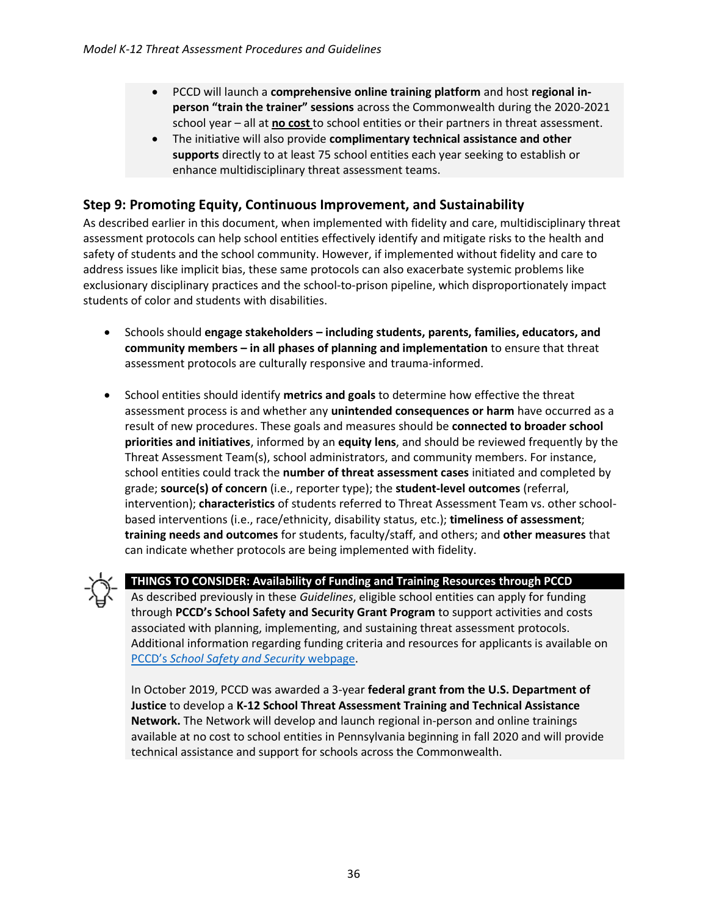- PCCD will launch a **comprehensive online training platform** and host **regional inperson "train the trainer" sessions** across the Commonwealth during the 2020-2021 school year – all at **no cost** to school entities or their partners in threat assessment.
- The initiative will also provide **complimentary technical assistance and other supports** directly to at least 75 school entities each year seeking to establish or enhance multidisciplinary threat assessment teams.

#### <span id="page-35-0"></span>**Step 9: Promoting Equity, Continuous Improvement, and Sustainability**

As described earlier in this document, when implemented with fidelity and care, multidisciplinary threat assessment protocols can help school entities effectively identify and mitigate risks to the health and safety of students and the school community. However, if implemented without fidelity and care to address issues like implicit bias, these same protocols can also exacerbate systemic problems like exclusionary disciplinary practices and the school-to-prison pipeline, which disproportionately impact students of color and students with disabilities.

- Schools should **engage stakeholders – including students, parents, families, educators, and community members – in all phases of planning and implementation** to ensure that threat assessment protocols are culturally responsive and trauma-informed.
- School entities should identify **metrics and goals** to determine how effective the threat assessment process is and whether any **unintended consequences or harm** have occurred as a result of new procedures. These goals and measures should be **connected to broader school priorities and initiatives**, informed by an **equity lens**, and should be reviewed frequently by the Threat Assessment Team(s), school administrators, and community members. For instance, school entities could track the **number of threat assessment cases** initiated and completed by grade; **source(s) of concern** (i.e., reporter type); the **student-level outcomes** (referral, intervention); **characteristics** of students referred to Threat Assessment Team vs. other schoolbased interventions (i.e., race/ethnicity, disability status, etc.); **timeliness of assessment**; **training needs and outcomes** for students, faculty/staff, and others; and **other measures** that can indicate whether protocols are being implemented with fidelity.



#### **THINGS TO CONSIDER: Availability of Funding and Training Resources through PCCD**

As described previously in these *Guidelines*, eligible school entities can apply for funding through **PCCD's School Safety and Security Grant Program** to support activities and costs associated with planning, implementing, and sustaining threat assessment protocols. Additional information regarding funding criteria and resources for applicants is available on PCCD's *[School Safety and Security](https://www.pccd.pa.gov/schoolsafety/Pages/default.aspx)* webpage.

In October 2019, PCCD was awarded a 3-year **federal grant from the U.S. Department of Justice** to develop a **K-12 School Threat Assessment Training and Technical Assistance Network.** The Network will develop and launch regional in-person and online trainings available at no cost to school entities in Pennsylvania beginning in fall 2020 and will provide technical assistance and support for schools across the Commonwealth.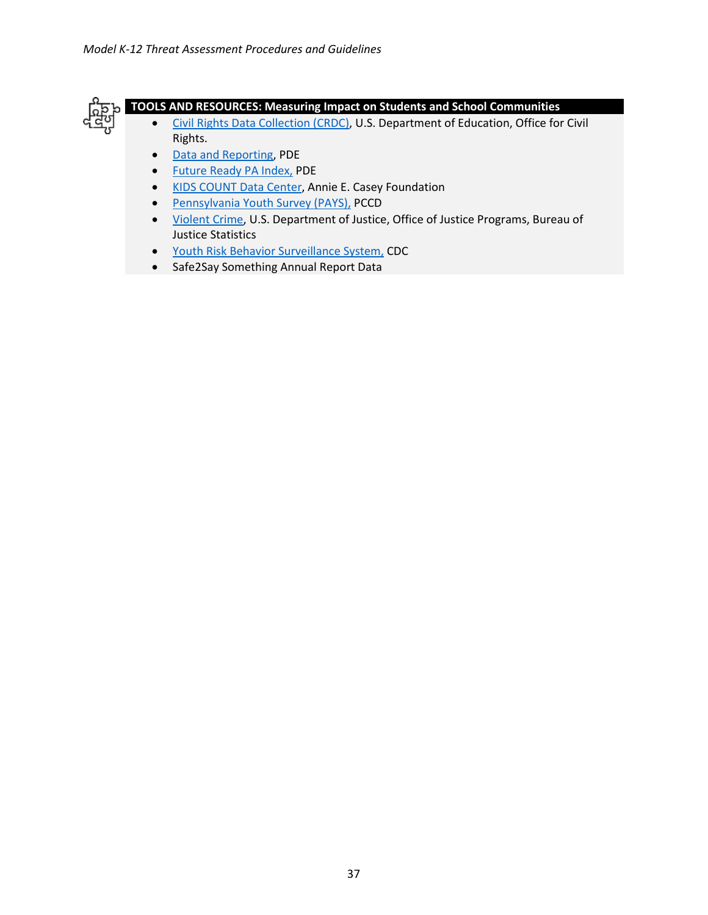

#### **TOOLS AND RESOURCES: Measuring Impact on Students and School Communities**

- [Civil Rights Data Collection \(CRDC\),](https://ocrdata.ed.gov/Home) U.S. Department of Education, Office for Civil Rights.
- [Data and Reporting,](https://www.education.pa.gov/DataAndReporting/Pages/default.aspx) PDE
- [Future Ready PA Index,](https://futurereadypa.org/) PDE
- [KIDS COUNT Data Center,](https://datacenter.kidscount.org/) Annie E. Casey Foundation
- [Pennsylvania Youth Survey \(PAYS\),](https://www.pccd.pa.gov/Juvenile-Justice/Pages/Pennsylvania-Youth-Survey-(PAYS).aspx) PCCD
- [Violent Crime,](https://www.bjs.gov/index.cfm?ty=tp&tid=31) U.S. Department of Justice, Office of Justice Programs, Bureau of Justice Statistics
- [Youth Risk Behavior Surveillance System,](https://www.cdc.gov/healthyyouth/data/yrbs/index.htm) CDC
- Safe2Say Something Annual Report Data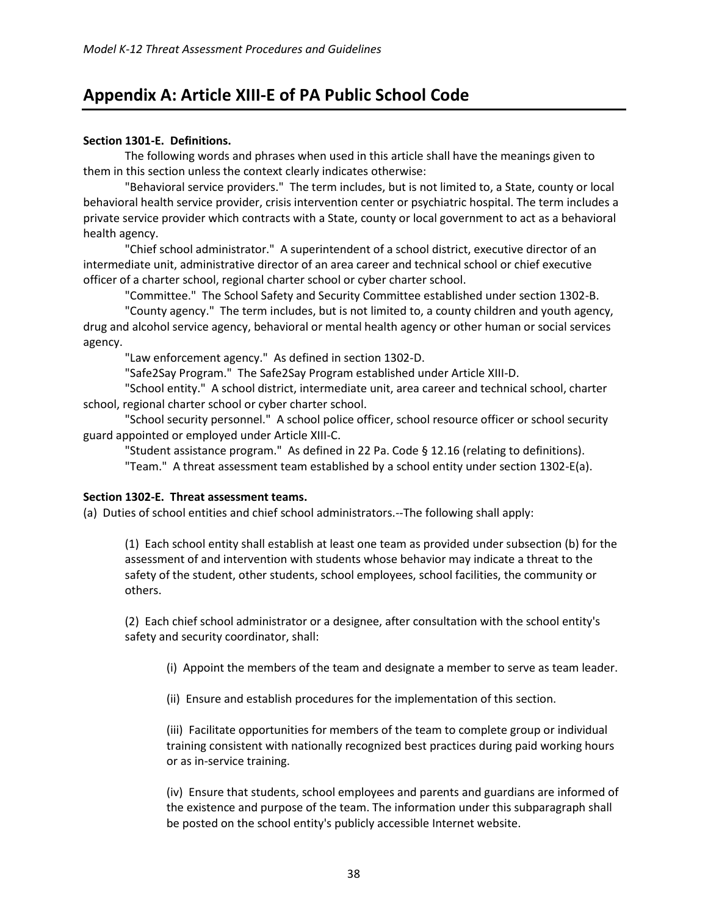# <span id="page-37-0"></span>**Appendix A: Article XIII-E of PA Public School Code**

#### **Section 1301-E. Definitions.**

The following words and phrases when used in this article shall have the meanings given to them in this section unless the context clearly indicates otherwise:

"Behavioral service providers." The term includes, but is not limited to, a State, county or local behavioral health service provider, crisis intervention center or psychiatric hospital. The term includes a private service provider which contracts with a State, county or local government to act as a behavioral health agency.

"Chief school administrator." A superintendent of a school district, executive director of an intermediate unit, administrative director of an area career and technical school or chief executive officer of a charter school, regional charter school or cyber charter school.

"Committee." The School Safety and Security Committee established under section 1302-B.

"County agency." The term includes, but is not limited to, a county children and youth agency, drug and alcohol service agency, behavioral or mental health agency or other human or social services agency.

"Law enforcement agency." As defined in section 1302-D.

"Safe2Say Program." The Safe2Say Program established under Article XIII-D.

"School entity." A school district, intermediate unit, area career and technical school, charter school, regional charter school or cyber charter school.

"School security personnel." A school police officer, school resource officer or school security guard appointed or employed under Article XIII-C.

"Student assistance program." As defined in 22 Pa. Code § 12.16 (relating to definitions).

"Team." A threat assessment team established by a school entity under section 1302-E(a).

#### **Section 1302-E. Threat assessment teams.**

(a) Duties of school entities and chief school administrators.--The following shall apply:

(1) Each school entity shall establish at least one team as provided under subsection (b) for the assessment of and intervention with students whose behavior may indicate a threat to the safety of the student, other students, school employees, school facilities, the community or others.

(2) Each chief school administrator or a designee, after consultation with the school entity's safety and security coordinator, shall:

(i) Appoint the members of the team and designate a member to serve as team leader.

(ii) Ensure and establish procedures for the implementation of this section.

(iii) Facilitate opportunities for members of the team to complete group or individual training consistent with nationally recognized best practices during paid working hours or as in-service training.

(iv) Ensure that students, school employees and parents and guardians are informed of the existence and purpose of the team. The information under this subparagraph shall be posted on the school entity's publicly accessible Internet website.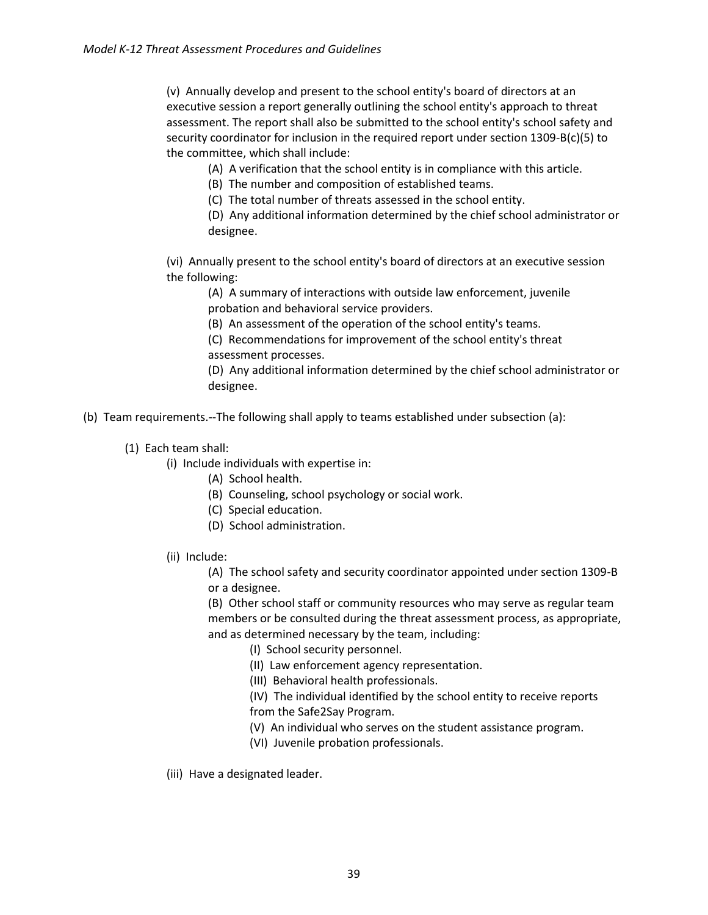(v) Annually develop and present to the school entity's board of directors at an executive session a report generally outlining the school entity's approach to threat assessment. The report shall also be submitted to the school entity's school safety and security coordinator for inclusion in the required report under section 1309-B(c)(5) to the committee, which shall include:

(A) A verification that the school entity is in compliance with this article.

(B) The number and composition of established teams.

(C) The total number of threats assessed in the school entity.

(D) Any additional information determined by the chief school administrator or designee.

(vi) Annually present to the school entity's board of directors at an executive session the following:

(A) A summary of interactions with outside law enforcement, juvenile probation and behavioral service providers.

(B) An assessment of the operation of the school entity's teams.

(C) Recommendations for improvement of the school entity's threat assessment processes.

(D) Any additional information determined by the chief school administrator or designee.

(b) Team requirements.--The following shall apply to teams established under subsection (a):

(1) Each team shall:

(i) Include individuals with expertise in:

(A) School health.

(B) Counseling, school psychology or social work.

- (C) Special education.
- (D) School administration.
- (ii) Include:

(A) The school safety and security coordinator appointed under section 1309-B or a designee.

(B) Other school staff or community resources who may serve as regular team members or be consulted during the threat assessment process, as appropriate, and as determined necessary by the team, including:

(I) School security personnel.

(II) Law enforcement agency representation.

(III) Behavioral health professionals.

(IV) The individual identified by the school entity to receive reports from the Safe2Say Program.

(V) An individual who serves on the student assistance program.

(VI) Juvenile probation professionals.

(iii) Have a designated leader.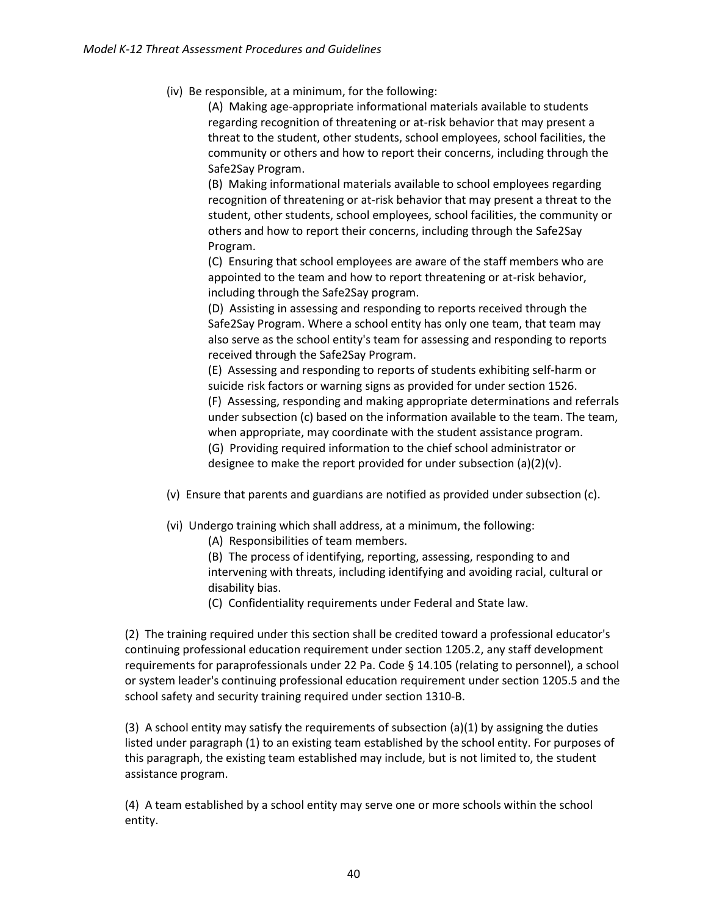(iv) Be responsible, at a minimum, for the following:

(A) Making age-appropriate informational materials available to students regarding recognition of threatening or at-risk behavior that may present a threat to the student, other students, school employees, school facilities, the community or others and how to report their concerns, including through the Safe2Say Program.

(B) Making informational materials available to school employees regarding recognition of threatening or at-risk behavior that may present a threat to the student, other students, school employees, school facilities, the community or others and how to report their concerns, including through the Safe2Say Program.

(C) Ensuring that school employees are aware of the staff members who are appointed to the team and how to report threatening or at-risk behavior, including through the Safe2Say program.

(D) Assisting in assessing and responding to reports received through the Safe2Say Program. Where a school entity has only one team, that team may also serve as the school entity's team for assessing and responding to reports received through the Safe2Say Program.

(E) Assessing and responding to reports of students exhibiting self-harm or suicide risk factors or warning signs as provided for under section 1526. (F) Assessing, responding and making appropriate determinations and referrals under subsection (c) based on the information available to the team. The team, when appropriate, may coordinate with the student assistance program. (G) Providing required information to the chief school administrator or

designee to make the report provided for under subsection  $(a)(2)(v)$ .

- (v) Ensure that parents and guardians are notified as provided under subsection (c).
- (vi) Undergo training which shall address, at a minimum, the following:
	- (A) Responsibilities of team members.

(B) The process of identifying, reporting, assessing, responding to and intervening with threats, including identifying and avoiding racial, cultural or disability bias.

(C) Confidentiality requirements under Federal and State law.

(2) The training required under this section shall be credited toward a professional educator's continuing professional education requirement under section 1205.2, any staff development requirements for paraprofessionals under 22 Pa. Code § 14.105 (relating to personnel), a school or system leader's continuing professional education requirement under section 1205.5 and the school safety and security training required under section 1310-B.

(3) A school entity may satisfy the requirements of subsection (a)(1) by assigning the duties listed under paragraph (1) to an existing team established by the school entity. For purposes of this paragraph, the existing team established may include, but is not limited to, the student assistance program.

(4) A team established by a school entity may serve one or more schools within the school entity.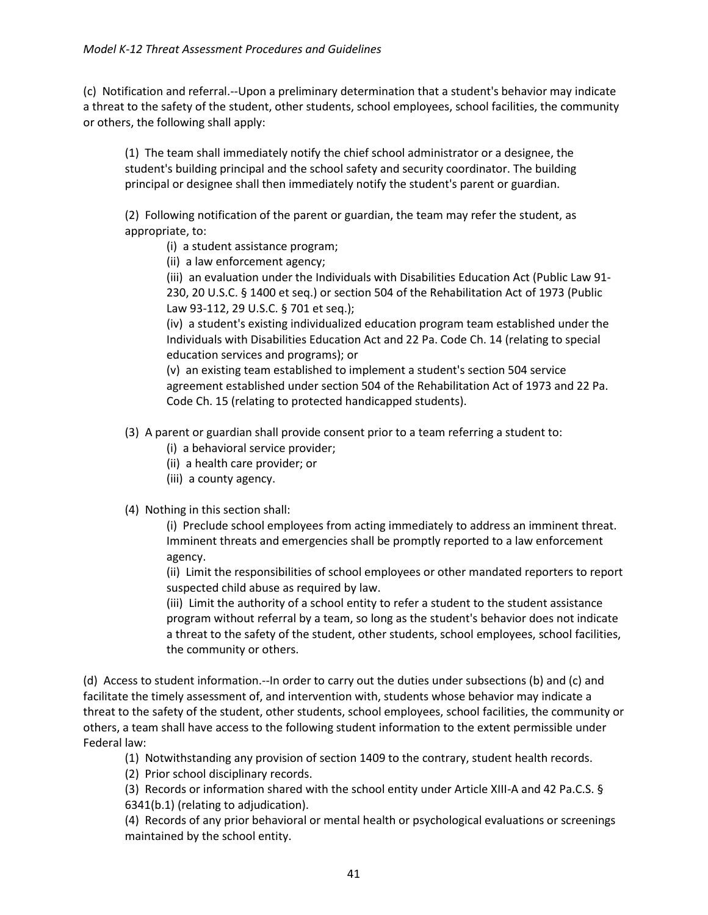(c) Notification and referral.--Upon a preliminary determination that a student's behavior may indicate a threat to the safety of the student, other students, school employees, school facilities, the community or others, the following shall apply:

(1) The team shall immediately notify the chief school administrator or a designee, the student's building principal and the school safety and security coordinator. The building principal or designee shall then immediately notify the student's parent or guardian.

(2) Following notification of the parent or guardian, the team may refer the student, as appropriate, to:

- (i) a student assistance program;
- (ii) a law enforcement agency;

(iii) an evaluation under the Individuals with Disabilities Education Act (Public Law 91- 230, 20 U.S.C. § 1400 et seq.) or section 504 of the Rehabilitation Act of 1973 (Public Law 93-112, 29 U.S.C. § 701 et seq.);

(iv) a student's existing individualized education program team established under the Individuals with Disabilities Education Act and 22 Pa. Code Ch. 14 (relating to special education services and programs); or

(v) an existing team established to implement a student's section 504 service agreement established under section 504 of the Rehabilitation Act of 1973 and 22 Pa. Code Ch. 15 (relating to protected handicapped students).

- (3) A parent or guardian shall provide consent prior to a team referring a student to:
	- (i) a behavioral service provider;
	- (ii) a health care provider; or
	- (iii) a county agency.

#### (4) Nothing in this section shall:

(i) Preclude school employees from acting immediately to address an imminent threat. Imminent threats and emergencies shall be promptly reported to a law enforcement agency.

(ii) Limit the responsibilities of school employees or other mandated reporters to report suspected child abuse as required by law.

(iii) Limit the authority of a school entity to refer a student to the student assistance program without referral by a team, so long as the student's behavior does not indicate a threat to the safety of the student, other students, school employees, school facilities, the community or others.

(d) Access to student information.--In order to carry out the duties under subsections (b) and (c) and facilitate the timely assessment of, and intervention with, students whose behavior may indicate a threat to the safety of the student, other students, school employees, school facilities, the community or others, a team shall have access to the following student information to the extent permissible under Federal law:

(1) Notwithstanding any provision of section 1409 to the contrary, student health records.

(2) Prior school disciplinary records.

(3) Records or information shared with the school entity under Article XIII-A and 42 Pa.C.S. § 6341(b.1) (relating to adjudication).

(4) Records of any prior behavioral or mental health or psychological evaluations or screenings maintained by the school entity.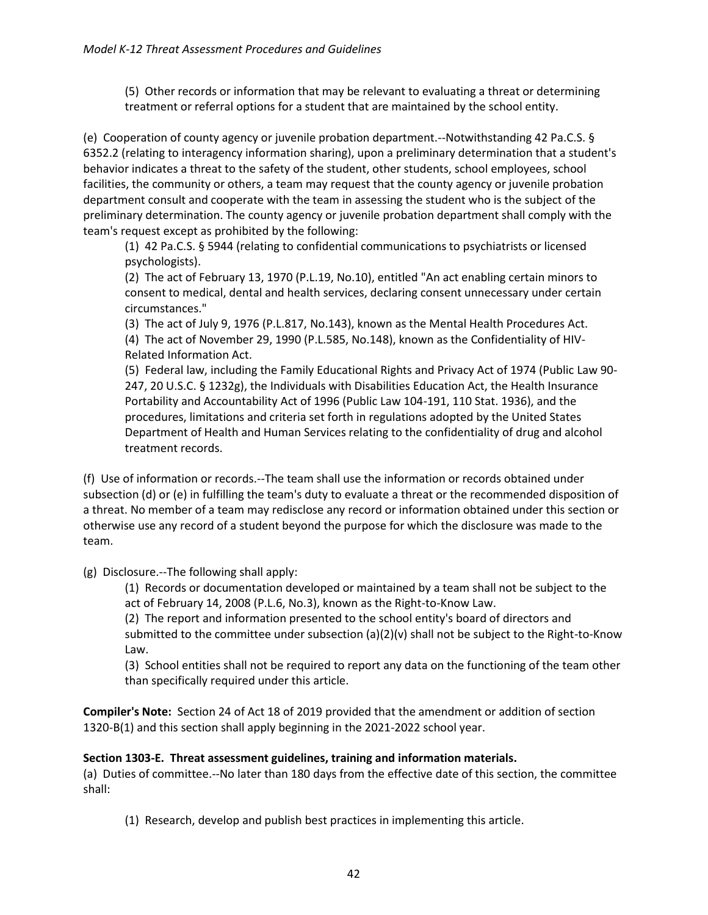(5) Other records or information that may be relevant to evaluating a threat or determining treatment or referral options for a student that are maintained by the school entity.

(e) Cooperation of county agency or juvenile probation department.--Notwithstanding 42 Pa.C.S. § 6352.2 (relating to interagency information sharing), upon a preliminary determination that a student's behavior indicates a threat to the safety of the student, other students, school employees, school facilities, the community or others, a team may request that the county agency or juvenile probation department consult and cooperate with the team in assessing the student who is the subject of the preliminary determination. The county agency or juvenile probation department shall comply with the team's request except as prohibited by the following:

(1) 42 Pa.C.S. § 5944 (relating to confidential communications to psychiatrists or licensed psychologists).

(2) The act of February 13, 1970 (P.L.19, No.10), entitled "An act enabling certain minors to consent to medical, dental and health services, declaring consent unnecessary under certain circumstances."

(3) The act of July 9, 1976 (P.L.817, No.143), known as the Mental Health Procedures Act.

(4) The act of November 29, 1990 (P.L.585, No.148), known as the Confidentiality of HIV-Related Information Act.

(5) Federal law, including the Family Educational Rights and Privacy Act of 1974 (Public Law 90- 247, 20 U.S.C. § 1232g), the Individuals with Disabilities Education Act, the Health Insurance Portability and Accountability Act of 1996 (Public Law 104-191, 110 Stat. 1936), and the procedures, limitations and criteria set forth in regulations adopted by the United States Department of Health and Human Services relating to the confidentiality of drug and alcohol treatment records.

(f) Use of information or records.--The team shall use the information or records obtained under subsection (d) or (e) in fulfilling the team's duty to evaluate a threat or the recommended disposition of a threat. No member of a team may redisclose any record or information obtained under this section or otherwise use any record of a student beyond the purpose for which the disclosure was made to the team.

(g) Disclosure.--The following shall apply:

(1) Records or documentation developed or maintained by a team shall not be subject to the act of February 14, 2008 (P.L.6, No.3), known as the Right-to-Know Law.

(2) The report and information presented to the school entity's board of directors and submitted to the committee under subsection (a)(2)(v) shall not be subject to the Right-to-Know Law.

(3) School entities shall not be required to report any data on the functioning of the team other than specifically required under this article.

**Compiler's Note:** Section 24 of Act 18 of 2019 provided that the amendment or addition of section 1320-B(1) and this section shall apply beginning in the 2021-2022 school year.

#### **Section 1303-E. Threat assessment guidelines, training and information materials.**

(a) Duties of committee.--No later than 180 days from the effective date of this section, the committee shall:

(1) Research, develop and publish best practices in implementing this article.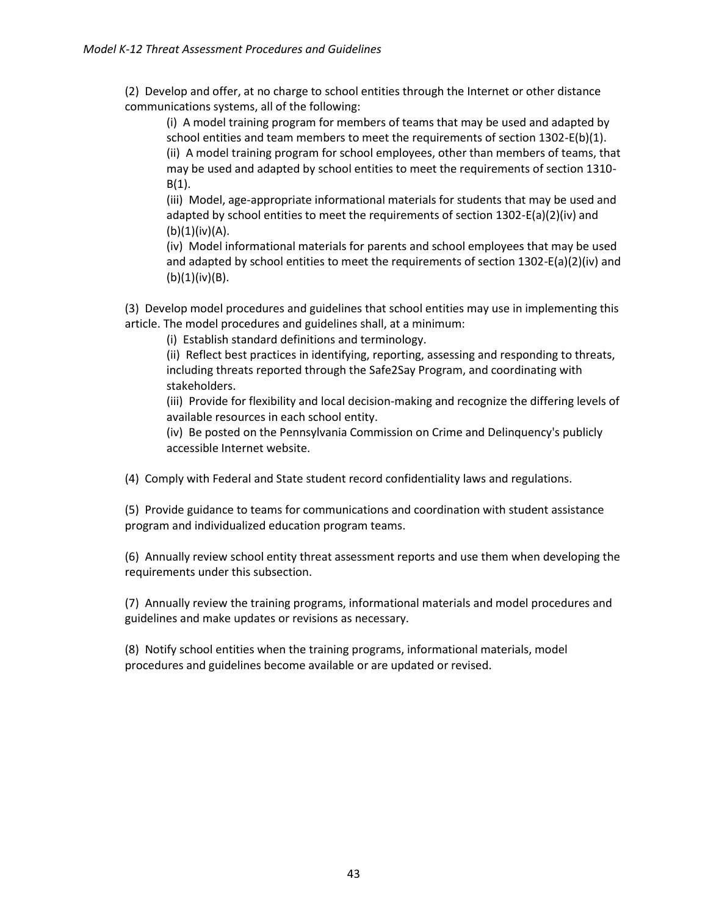(2) Develop and offer, at no charge to school entities through the Internet or other distance communications systems, all of the following:

(i) A model training program for members of teams that may be used and adapted by school entities and team members to meet the requirements of section 1302-E(b)(1). (ii) A model training program for school employees, other than members of teams, that may be used and adapted by school entities to meet the requirements of section 1310-  $B(1)$ .

(iii) Model, age-appropriate informational materials for students that may be used and adapted by school entities to meet the requirements of section 1302-E(a)(2)(iv) and  $(b)(1)(iv)(A).$ 

(iv) Model informational materials for parents and school employees that may be used and adapted by school entities to meet the requirements of section 1302-E(a)(2)(iv) and  $(b)(1)(iv)(B).$ 

(3) Develop model procedures and guidelines that school entities may use in implementing this article. The model procedures and guidelines shall, at a minimum:

(i) Establish standard definitions and terminology.

(ii) Reflect best practices in identifying, reporting, assessing and responding to threats, including threats reported through the Safe2Say Program, and coordinating with stakeholders.

(iii) Provide for flexibility and local decision-making and recognize the differing levels of available resources in each school entity.

(iv) Be posted on the Pennsylvania Commission on Crime and Delinquency's publicly accessible Internet website.

(4) Comply with Federal and State student record confidentiality laws and regulations.

(5) Provide guidance to teams for communications and coordination with student assistance program and individualized education program teams.

(6) Annually review school entity threat assessment reports and use them when developing the requirements under this subsection.

(7) Annually review the training programs, informational materials and model procedures and guidelines and make updates or revisions as necessary.

(8) Notify school entities when the training programs, informational materials, model procedures and guidelines become available or are updated or revised.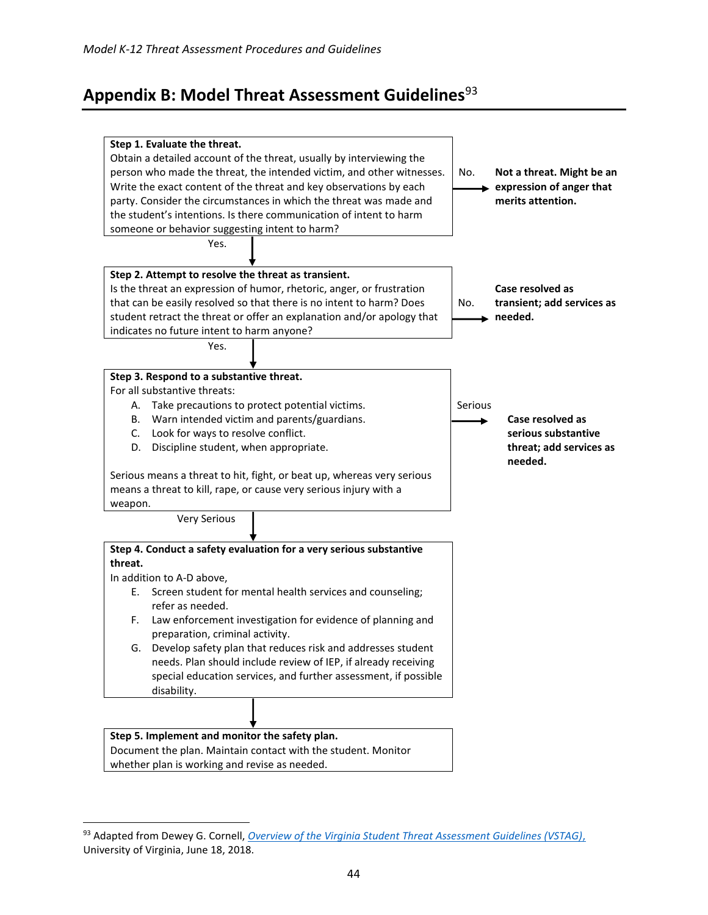# <span id="page-43-0"></span>**Appendix B: Model Threat Assessment Guidelines**<sup>93</sup>



<sup>93</sup> Adapted from Dewey G. Cornell, *[Overview of the Virginia Student Threat Assessment Guidelines \(VSTAG\)](https://curry.virginia.edu/sites/default/files/images/YVP/VSTAG%20summary%206-18-18.pdf)*, University of Virginia, June 18, 2018.

 $\overline{a}$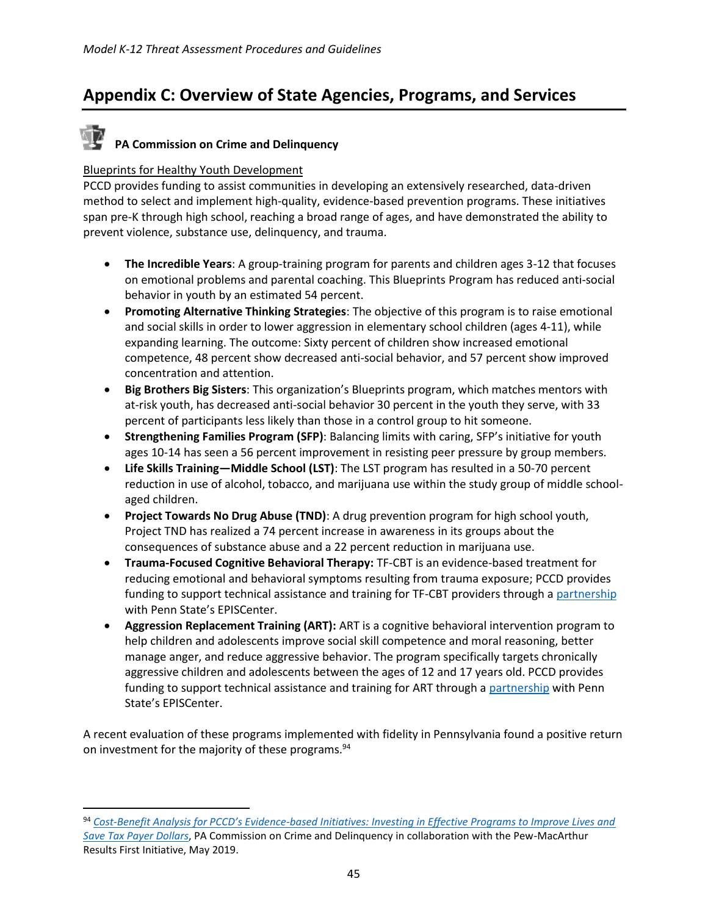# <span id="page-44-0"></span>**Appendix C: Overview of State Agencies, Programs, and Services**

# **PA Commission on Crime and Delinquency**

#### Blueprints for Healthy Youth Development

 $\overline{\phantom{a}}$ 

PCCD provides funding to assist communities in developing an extensively researched, data-driven method to select and implement high-quality, evidence-based prevention programs. These initiatives span pre-K through high school, reaching a broad range of ages, and have demonstrated the ability to prevent violence, substance use, delinquency, and trauma.

- **The Incredible Years**: A group-training program for parents and children ages 3-12 that focuses on emotional problems and parental coaching. This Blueprints Program has reduced anti-social behavior in youth by an estimated 54 percent.
- **Promoting Alternative Thinking Strategies**: The objective of this program is to raise emotional and social skills in order to lower aggression in elementary school children (ages 4-11), while expanding learning. The outcome: Sixty percent of children show increased emotional competence, 48 percent show decreased anti-social behavior, and 57 percent show improved concentration and attention.
- **Big Brothers Big Sisters**: This organization's Blueprints program, which matches mentors with at-risk youth, has decreased anti-social behavior 30 percent in the youth they serve, with 33 percent of participants less likely than those in a control group to hit someone.
- **Strengthening Families Program (SFP)**: Balancing limits with caring, SFP's initiative for youth ages 10-14 has seen a 56 percent improvement in resisting peer pressure by group members.
- **Life Skills Training—Middle School (LST)**: The LST program has resulted in a 50-70 percent reduction in use of alcohol, tobacco, and marijuana use within the study group of middle schoolaged children.
- **Project Towards No Drug Abuse (TND)**: A drug prevention program for high school youth, Project TND has realized a 74 percent increase in awareness in its groups about the consequences of substance abuse and a 22 percent reduction in marijuana use.
- **Trauma-Focused Cognitive Behavioral Therapy:** TF-CBT is an evidence-based treatment for reducing emotional and behavioral symptoms resulting from trauma exposure; PCCD provides funding to support technical assistance and training for TF-CBT providers through a [partnership](http://www.episcenter.psu.edu/newvpp/tfcbt) with Penn State's EPISCenter.
- **Aggression Replacement Training (ART):** ART is a cognitive behavioral intervention program to help children and adolescents improve social skill competence and moral reasoning, better manage anger, and reduce aggressive behavior. The program specifically targets chronically aggressive children and adolescents between the ages of 12 and 17 years old. PCCD provides funding to support technical assistance and training for ART through a [partnership](http://www.episcenter.psu.edu/ebp/ART) with Penn State's EPISCenter.

A recent evaluation of these programs implemented with fidelity in Pennsylvania found a positive return on investment for the majority of these programs.<sup>94</sup>

<sup>94</sup> *Cost-Benefit Analysis for PCCD's Evidence[-based Initiatives: Investing in Effective Programs to Improve Lives and](https://www.pccd.pa.gov/Juvenile-Justice/Pages/Cost-Benefit-Analysis-for-PCCD)  [Save Tax Payer Dollars](https://www.pccd.pa.gov/Juvenile-Justice/Pages/Cost-Benefit-Analysis-for-PCCD)*, PA Commission on Crime and Delinquency in collaboration with the Pew-MacArthur Results First Initiative, May 2019.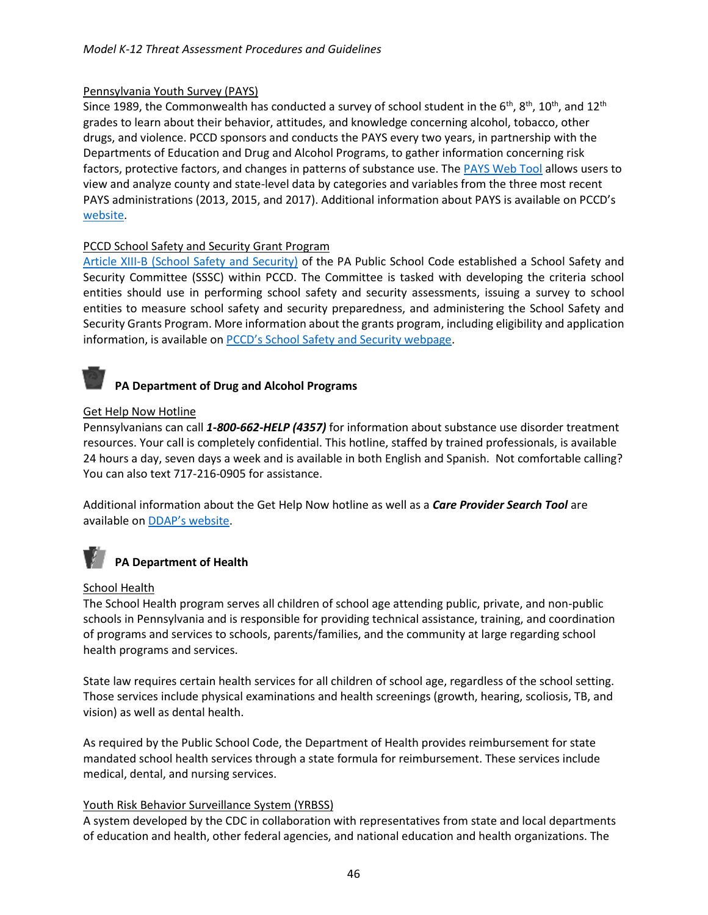#### Pennsylvania Youth Survey (PAYS)

Since 1989, the Commonwealth has conducted a survey of school student in the  $6^{th}$ ,  $8^{th}$ ,  $10^{th}$ , and  $12^{th}$ grades to learn about their behavior, attitudes, and knowledge concerning alcohol, tobacco, other drugs, and violence. PCCD sponsors and conducts the PAYS every two years, in partnership with the Departments of Education and Drug and Alcohol Programs, to gather information concerning risk factors, protective factors, and changes in patterns of substance use. The [PAYS Web Tool](http://www.bach-harrison.com/payswebtool/) allows users to view and analyze county and state-level data by categories and variables from the three most recent PAYS administrations (2013, 2015, and 2017). Additional information about PAYS is available on PCCD's [website.](https://www.pccd.pa.gov/Juvenile-Justice/Pages/Pennsylvania-Youth-Survey-(PAYS).aspx)

#### PCCD School Safety and Security Grant Program

[Article XIII-B \(School Safety and Security\)](https://www.legis.state.pa.us/cfdocs/legis/LI/uconsCheck.cfm?txtType=HTM&yr=1949&sessInd=0&smthLwInd=0&act=014&chpt=13B) of the PA Public School Code established a School Safety and Security Committee (SSSC) within PCCD. The Committee is tasked with developing the criteria school entities should use in performing school safety and security assessments, issuing a survey to school entities to measure school safety and security preparedness, and administering the School Safety and Security Grants Program. More information about the grants program, including eligibility and application information, is available on [PCCD's School Safety and Security webpage](https://www.pccd.pa.gov/schoolsafety/Pages/default.aspx).

## **PA Department of Drug and Alcohol Programs**

#### Get Help Now Hotline

Pennsylvanians can call *1-800-662-HELP (4357)* for information about substance use disorder treatment resources. Your call is completely confidential. This hotline, staffed by trained professionals, is available 24 hours a day, seven days a week and is available in both English and Spanish. Not comfortable calling? You can also text 717-216-0905 for assistance.

Additional information about the Get Help Now hotline as well as a *Care Provider Search Tool* are available on [DDAP's website](https://apps.ddap.pa.gov/gethelpnow/CareProvider.aspx).

# **PA Department of Health**

#### School Health

The School Health program serves all children of school age attending public, private, and non-public schools in Pennsylvania and is responsible for providing technical assistance, training, and coordination of programs and services to schools, parents/families, and the community at large regarding school health programs and services.

State law requires certain health services for all children of school age, regardless of the school setting. Those services include physical examinations and health screenings (growth, hearing, scoliosis, TB, and vision) as well as dental health.

As required by the Public School Code, the Department of Health provides reimbursement for state mandated school health services through a state formula for reimbursement. These services include medical, dental, and nursing services.

#### Youth Risk Behavior Surveillance System (YRBSS)

A system developed by the CDC in collaboration with representatives from state and local departments of education and health, other federal agencies, and national education and health organizations. The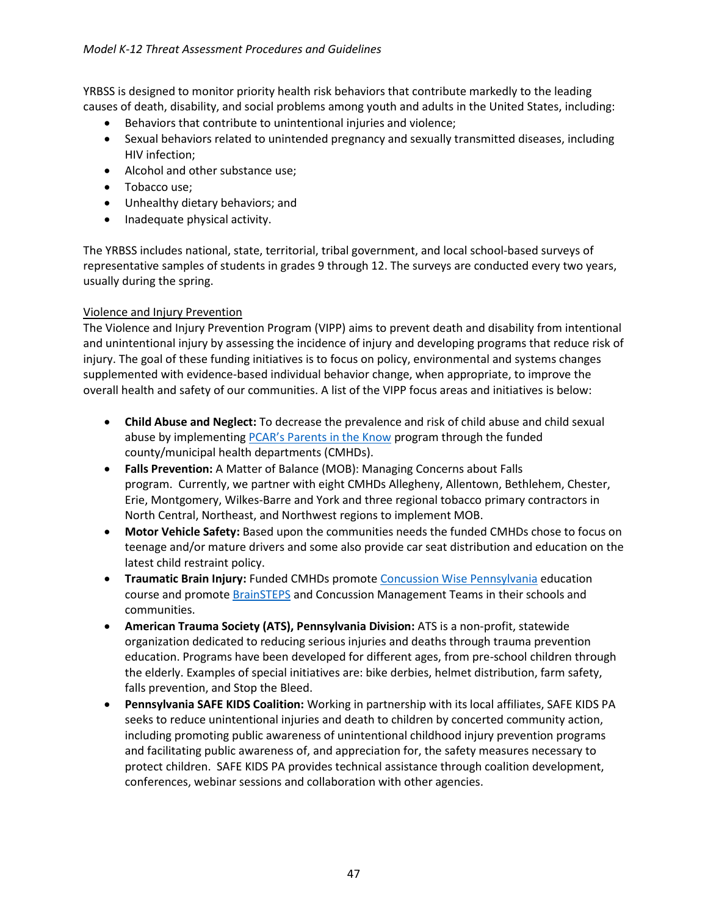#### *Model K-12 Threat Assessment Procedures and Guidelines*

YRBSS is designed to monitor priority health risk behaviors that contribute markedly to the leading causes of death, disability, and social problems among youth and adults in the United States, including:

- Behaviors that contribute to unintentional injuries and violence;
- Sexual behaviors related to unintended pregnancy and sexually transmitted diseases, including HIV infection;
- Alcohol and other substance use;
- Tobacco use;
- Unhealthy dietary behaviors; and
- Inadequate physical activity.

The YRBSS includes national, state, territorial, tribal government, and local school-based surveys of representative samples of students in grades 9 through 12. The surveys are conducted every two years, usually during the spring.

#### Violence and Injury Prevention

The Violence and Injury Prevention Program (VIPP) aims to prevent death and disability from intentional and unintentional injury by assessing the incidence of injury and developing programs that reduce risk of injury. The goal of these funding initiatives is to focus on policy, environmental and systems changes supplemented with evidence-based individual behavior change, when appropriate, to improve the overall health and safety of our communities. A list of the VIPP focus areas and initiatives is below:

- **Child Abuse and Neglect:** To decrease the prevalence and risk of child abuse and child sexual abuse by implementing [PCAR's Parents in the Know](http://www.pcar.org/parents-know) program through the funded county/municipal health departments (CMHDs).
- **Falls Prevention:** A Matter of Balance (MOB): Managing Concerns about Falls program. Currently, we partner with eight CMHDs Allegheny, Allentown, Bethlehem, Chester, Erie, Montgomery, Wilkes-Barre and York and three regional tobacco primary contractors in North Central, Northeast, and Northwest regions to implement MOB.
- **Motor Vehicle Safety:** Based upon the communities needs the funded CMHDs chose to focus on teenage and/or mature drivers and some also provide car seat distribution and education on the latest child restraint policy.
- **Traumatic Brain Injury:** Funded CMHDs promote [Concussion Wise Pennsylvania](http://www.concussionwise.com/) education course and promote [BrainSTEPS](http://www.brainsteps.net/) and Concussion Management Teams in their schools and communities.
- **American Trauma Society (ATS), Pennsylvania Division:** ATS is a non-profit, statewide organization dedicated to reducing serious injuries and deaths through trauma prevention education. Programs have been developed for different ages, from pre-school children through the elderly. Examples of special initiatives are: bike derbies, helmet distribution, farm safety, falls prevention, and Stop the Bleed.
- **Pennsylvania SAFE KIDS Coalition:** Working in partnership with its local affiliates, SAFE KIDS PA seeks to reduce unintentional injuries and death to children by concerted community action, including promoting public awareness of unintentional childhood injury prevention programs and facilitating public awareness of, and appreciation for, the safety measures necessary to protect children. SAFE KIDS PA provides technical assistance through coalition development, conferences, webinar sessions and collaboration with other agencies.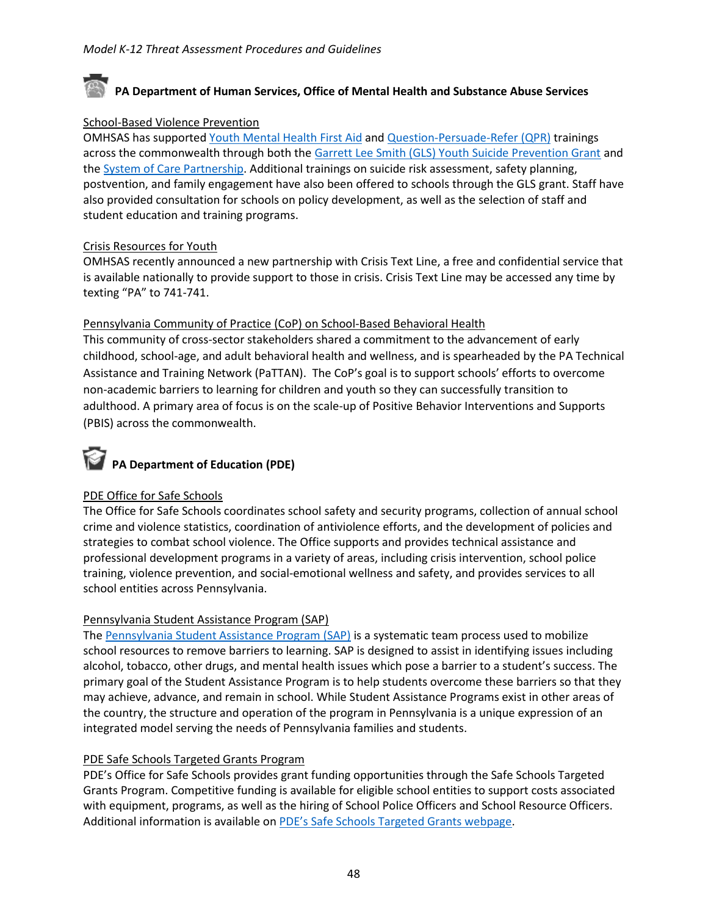## **PA Department of Human Services, Office of Mental Health and Substance Abuse Services**

#### School-Based Violence Prevention

OMHSAS has supported [Youth Mental Health First Aid](https://www.mentalhealthfirstaid.org/take-a-course/course-types/youth/) and [Question-Persuade-Refer \(QPR\)](https://qprinstitute.com/) trainings across the commonwealth through both the [Garrett Lee Smith \(GLS\) Youth Suicide Prevention Grant](https://www.preventsuicidepa.org/aboutgls/) and th[e System of Care Partnership.](https://www.pacarepartnership.org/) Additional trainings on suicide risk assessment, safety planning, postvention, and family engagement have also been offered to schools through the GLS grant. Staff have also provided consultation for schools on policy development, as well as the selection of staff and student education and training programs.

#### Crisis Resources for Youth

OMHSAS recently announced a new partnership with Crisis Text Line, a free and confidential service that is available nationally to provide support to those in crisis. Crisis Text Line may be accessed any time by texting "PA" to 741-741.

#### Pennsylvania Community of Practice (CoP) on School-Based Behavioral Health

This community of cross-sector stakeholders shared a commitment to the advancement of early childhood, school-age, and adult behavioral health and wellness, and is spearheaded by the PA Technical Assistance and Training Network (PaTTAN). The CoP's goal is to support schools' efforts to overcome non-academic barriers to learning for children and youth so they can successfully transition to adulthood. A primary area of focus is on the scale-up of Positive Behavior Interventions and Supports (PBIS) across the commonwealth.

# **PA Department of Education (PDE)**

#### PDE Office for Safe Schools

The Office for Safe Schools coordinates school safety and security programs, collection of annual school crime and violence statistics, coordination of antiviolence efforts, and the development of policies and strategies to combat school violence. The Office supports and provides technical assistance and professional development programs in a variety of areas, including crisis intervention, school police training, violence prevention, and social-emotional wellness and safety, and provides services to all school entities across Pennsylvania.

#### Pennsylvania Student Assistance Program (SAP)

The [Pennsylvania Student Assistance Program \(SAP\)](https://www.education.pa.gov/Schools/safeschools/sap-pbis/SAP/Pages/default.aspx) is a systematic team process used to mobilize school resources to remove barriers to learning. SAP is designed to assist in identifying issues including alcohol, tobacco, other drugs, and mental health issues which pose a barrier to a student's success. The primary goal of the Student Assistance Program is to help students overcome these barriers so that they may achieve, advance, and remain in school. While Student Assistance Programs exist in other areas of the country, the structure and operation of the program in Pennsylvania is a unique expression of an integrated model serving the needs of Pennsylvania families and students.

#### PDE Safe Schools Targeted Grants Program

PDE's Office for Safe Schools provides grant funding opportunities through the Safe Schools Targeted Grants Program. Competitive funding is available for eligible school entities to support costs associated with equipment, programs, as well as the hiring of School Police Officers and School Resource Officers. Additional information is available on PDE's [Safe Schools Targeted Grants webpage.](https://www.education.pa.gov/Schools/safeschools/fundinggrants/Pages/default.aspx)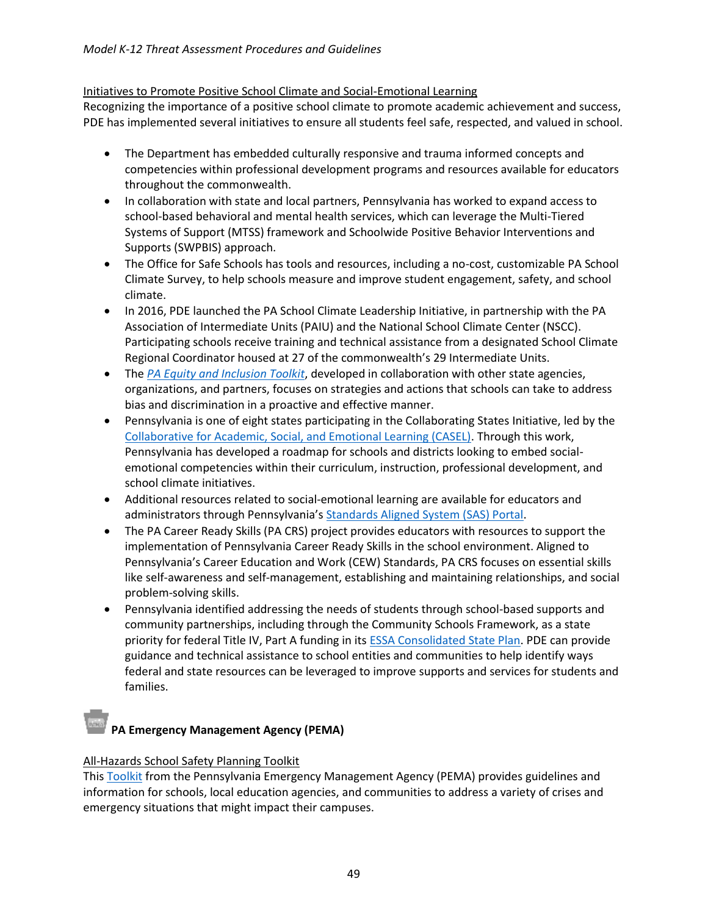#### Initiatives to Promote Positive School Climate and Social-Emotional Learning

Recognizing the importance of a positive school climate to promote academic achievement and success, PDE has implemented several initiatives to ensure all students feel safe, respected, and valued in school.

- The Department has embedded culturally responsive and trauma informed concepts and competencies within professional development programs and resources available for educators throughout the commonwealth.
- In collaboration with state and local partners, Pennsylvania has worked to expand access to school-based behavioral and mental health services, which can leverage the Multi-Tiered Systems of Support (MTSS) framework and Schoolwide Positive Behavior Interventions and Supports (SWPBIS) approach.
- The Office for Safe Schools has tools and resources, including a no-cost, customizable PA School Climate Survey, to help schools measure and improve student engagement, safety, and school climate.
- In 2016, PDE launched the PA School Climate Leadership Initiative, in partnership with the PA Association of Intermediate Units (PAIU) and the National School Climate Center (NSCC). Participating schools receive training and technical assistance from a designated School Climate Regional Coordinator housed at 27 of the commonwealth's 29 Intermediate Units.
- The *[PA Equity and Inclusion Toolkit](https://www.education.pa.gov/Documents/K-12/Safe%20Schools/EquityInclusion/PA%20Equity%20Inclusion%20Toolkit.pdf)*, developed in collaboration with other state agencies, organizations, and partners, focuses on strategies and actions that schools can take to address bias and discrimination in a proactive and effective manner.
- Pennsylvania is one of eight states participating in the Collaborating States Initiative, led by the [Collaborative for Academic, Social, and Emotional Learning \(CASEL\).](https://casel.org/) Through this work, Pennsylvania has developed a roadmap for schools and districts looking to embed socialemotional competencies within their curriculum, instruction, professional development, and school climate initiatives.
- Additional resources related to social-emotional learning are available for educators and administrators through Pennsylvania's [Standards Aligned System \(SAS\) Portal.](https://www.pdesas.org/)
- The PA Career Ready Skills (PA CRS) project provides educators with resources to support the implementation of Pennsylvania Career Ready Skills in the school environment. Aligned to Pennsylvania's Career Education and Work (CEW) Standards, PA CRS focuses on essential skills like self-awareness and self-management, establishing and maintaining relationships, and social problem-solving skills.
- Pennsylvania identified addressing the needs of students through school-based supports and community partnerships, including through the Community Schools Framework, as a state priority for federal Title IV, Part A funding in its **ESSA Consolidated State Plan**. PDE can provide guidance and technical assistance to school entities and communities to help identify ways federal and state resources can be leveraged to improve supports and services for students and families.

# **PA Emergency Management Agency (PEMA)**

#### All-Hazards School Safety Planning Toolkit

Thi[s Toolkit](https://www.pema.pa.gov/planningandpreparedness/communityandstateplanning/Pages/All-Hazards-School-Safety-Planning-Toolkit.aspx) from the Pennsylvania Emergency Management Agency (PEMA) provides guidelines and information for schools, local education agencies, and communities to address a variety of crises and emergency situations that might impact their campuses.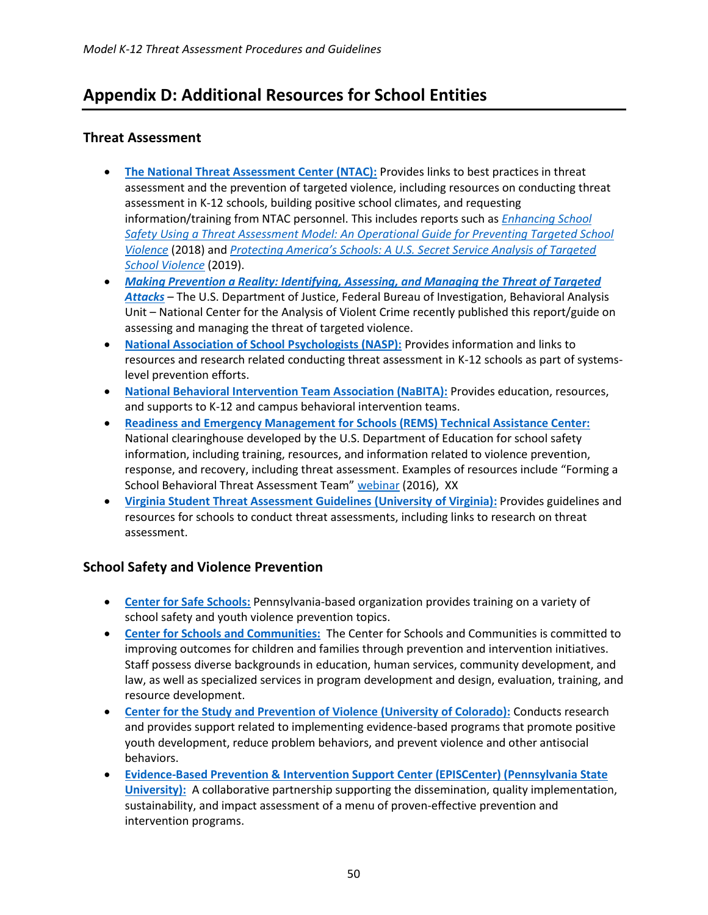# <span id="page-49-0"></span>**Appendix D: Additional Resources for School Entities**

#### <span id="page-49-1"></span>**Threat Assessment**

- **[The National Threat Assessment Center \(NTAC\):](https://www.secretservice.gov/protection/ntac/)** Provides links to best practices in threat assessment and the prevention of targeted violence, including resources on conducting threat assessment in K-12 schools, building positive school climates, and requesting information/training from NTAC personnel. This includes reports such as *[Enhancing School](https://www.secretservice.gov/data/protection/ntac/USSS_NTAC_Enhancing_School_Safety_Guide_7.11.18.pdf)  [Safety Using a Threat Assessment Model: An Operational Guide for Preventing Targeted School](https://www.secretservice.gov/data/protection/ntac/USSS_NTAC_Enhancing_School_Safety_Guide_7.11.18.pdf)  [Violence](https://www.secretservice.gov/data/protection/ntac/USSS_NTAC_Enhancing_School_Safety_Guide_7.11.18.pdf)* (2018) and *[Protecting America's Schools: A U.S. Secret Service Analysis of Targeted](https://www.secretservice.gov/data/protection/ntac/Protecting_Americas_Schools.pdf)  [School Violence](https://www.secretservice.gov/data/protection/ntac/Protecting_Americas_Schools.pdf)* (2019).
- *[Making Prevention a Reality: Identifying, Assessing, and Managing the Threat of Targeted](https://www.fbi.gov/file-repository/making-prevention-a-reality.pdf/view)  [Attacks](https://www.fbi.gov/file-repository/making-prevention-a-reality.pdf/view)* – The U.S. Department of Justice, Federal Bureau of Investigation, Behavioral Analysis Unit – National Center for the Analysis of Violent Crime recently published this report/guide on assessing and managing the threat of targeted violence.
- **[National Association of School Psychologists \(NASP\):](https://www.nasponline.org/resources-and-publications/resources-and-podcasts/school-climate-safety-and-crisis/systems-level-prevention/threat-assessment-at-school)** Provides information and links to resources and research related conducting threat assessment in K-12 schools as part of systemslevel prevention efforts.
- **[National Behavioral Intervention Team Association \(NaBITA\):](https://www.nabita.org/)** Provides education, resources, and supports to K-12 and campus behavioral intervention teams.
- **[Readiness and Emergency Management for Schools \(REMS\) Technical Assistance Center:](https://rems.ed.gov/)** National clearinghouse developed by the U.S. Department of Education for school safety information, including training, resources, and information related to violence prevention, response, and recovery, including threat assessment. Examples of resources include "Forming a School Behavioral Threat Assessment Team" [webinar](file://///cdhbgprfpfil001/PCCD/OrgUnit/SSSC/Threat%20Assessment/12-17-2019%20SSSC%20Meeting/•Readiness%20and%20Emergency%20Management%20for%20Schools%20(REMS)%20Technical%20Assistance%20Center:%20National%20clearinghouse%20developed%20by%20the%20U.S.%20Department%20of%20Education%20for%20school%20safety%20information,%20including%20training,%20resources,%20and%20information%20related%20to%20violence%20prevention,%20response,%20and%20recovery.%20This%20includes%20the%20Guide%20for%20Developing%20High-Quality%20School%20Emergency%20Operations%20Plans,%20among%20other%20resources.) (2016), XX
- **[Virginia Student Threat Assessment Guidelines](https://curry.virginia.edu/faculty-research/centers-labs-projects/research-labs/youth-violence-project/virginia-student-threat) (University of Virginia):** Provides guidelines and resources for schools to conduct threat assessments, including links to research on threat assessment.

### <span id="page-49-2"></span>**School Safety and Violence Prevention**

- **[Center for Safe Schools:](https://www.safeschools.info/)** Pennsylvania-based organization provides training on a variety of school safety and youth violence prevention topics.
- **[Center for Schools and Communities:](https://www.center-school.org/)** The Center for Schools and Communities is committed to improving outcomes for children and families through prevention and intervention initiatives. Staff possess diverse backgrounds in education, human services, community development, and law, as well as specialized services in program development and design, evaluation, training, and resource development.
- **[Center for the Study and Prevention of Violence \(University of Colorado\):](https://cspv.colorado.edu/)** Conducts research and provides support related to implementing evidence-based programs that promote positive youth development, reduce problem behaviors, and prevent violence and other antisocial behaviors.
- **[Evidence-Based Prevention & Intervention Support Center \(EPISCenter\) \(Pennsylvania State](http://www.episcenter.psu.edu/)  [University\):](http://www.episcenter.psu.edu/)** A collaborative partnership supporting the dissemination, quality implementation, sustainability, and impact assessment of a menu of proven-effective prevention and intervention programs.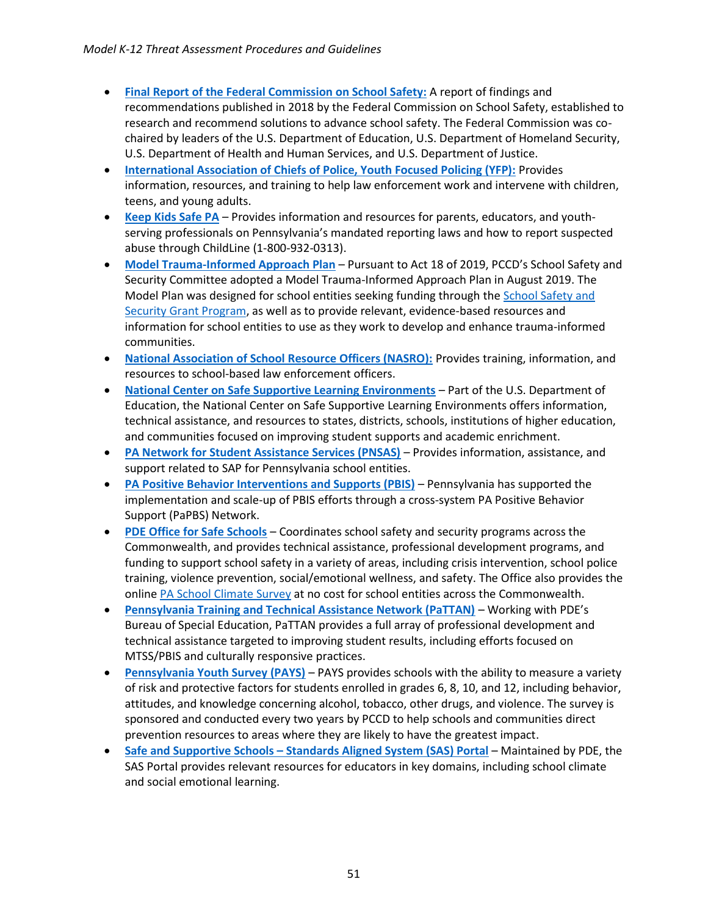- **[Final Report of the Federal Commission on School Safety:](https://www2.ed.gov/documents/school-safety/school-safety-report.pdf)** A report of findings and recommendations published in 2018 by the Federal Commission on School Safety, established to research and recommend solutions to advance school safety. The Federal Commission was cochaired by leaders of the U.S. Department of Education, U.S. Department of Homeland Security, U.S. Department of Health and Human Services, and U.S. Department of Justice.
- **[International Association of Chiefs of Police, Youth Focused Policing \(YFP\):](https://www.theiacp.org/projects/youth-focused-policing)** Provides information, resources, and training to help law enforcement work and intervene with children, teens, and young adults.
- **[Keep Kids Safe PA](http://www.keepkidssafe.pa.gov/)** Provides information and resources for parents, educators, and youthserving professionals on Pennsylvania's mandated reporting laws and how to report suspected abuse through ChildLine (1-800-932-0313).
- **[Model Trauma-Informed Approach Plan](https://www.pccd.pa.gov/schoolsafety/Documents/Model%20Trauma-Informed%20Approach%20Plan%20-%20Guidelines%20for%20School%20Entities.pdf)** Pursuant to Act 18 of 2019, PCCD's School Safety and Security Committee adopted a Model Trauma-Informed Approach Plan in August 2019. The Model Plan was designed for school entities seeking funding through th[e School Safety and](https://www.pccd.pa.gov/schoolsafety/Pages/default.aspx)  [Security Grant Program,](https://www.pccd.pa.gov/schoolsafety/Pages/default.aspx) as well as to provide relevant, evidence-based resources and information for school entities to use as they work to develop and enhance trauma-informed communities.
- **[National Association of School Resource Officers \(NASRO\):](https://nasro.org/)** Provides training, information, and resources to school-based law enforcement officers.
- **[National Center on Safe Supportive Learning Environments](https://safesupportivelearning.ed.gov/)** Part of the U.S. Department of Education, the National Center on Safe Supportive Learning Environments offers information, technical assistance, and resources to states, districts, schools, institutions of higher education, and communities focused on improving student supports and academic enrichment.
- **[PA Network for Student Assistance Services \(PNSAS\)](http://pnsas.org/)** Provides information, assistance, and support related to SAP for Pennsylvania school entities.
- **[PA Positive Behavior Interventions and Supports \(PBIS\)](https://www.education.pa.gov/Schools/safeschools/sap-pbis/PBIS/Pages/default.aspx)** Pennsylvania has supported the implementation and scale-up of PBIS efforts through a cross-system PA Positive Behavior Support (PaPBS) Network.
- **[PDE Office for Safe Schools](https://www.education.pa.gov/Schools/safeschools/Pages/default.aspx)** Coordinates school safety and security programs across the Commonwealth, and provides technical assistance, professional development programs, and funding to support school safety in a variety of areas, including crisis intervention, school police training, violence prevention, social/emotional wellness, and safety. The Office also provides the online [PA School Climate Survey](https://www.paschoolclimatesurvey.org/Beta.aspx) at no cost for school entities across the Commonwealth.
- **[Pennsylvania Training and Technical Assistance Network \(PaTTAN\)](https://www.pattan.net/)** Working with PDE's Bureau of Special Education, PaTTAN provides a full array of professional development and technical assistance targeted to improving student results, including efforts focused on MTSS/PBIS and culturally responsive practices.
- **[Pennsylvania Youth Survey \(PAYS\)](https://www.pccd.pa.gov/Juvenile-Justice/Pages/Pennsylvania-Youth-Survey-(PAYS).aspx)** PAYS provides schools with the ability to measure a variety of risk and protective factors for students enrolled in grades 6, 8, 10, and 12, including behavior, attitudes, and knowledge concerning alcohol, tobacco, other drugs, and violence. The survey is sponsored and conducted every two years by PCCD to help schools and communities direct prevention resources to areas where they are likely to have the greatest impact.
- <span id="page-50-0"></span>• **Safe and Supportive Schools – [Standards Aligned System \(SAS\) Portal](http://www.pdesas.org/SafeSupportiveSchools/)** – Maintained by PDE, the SAS Portal provides relevant resources for educators in key domains, including school climate and social emotional learning.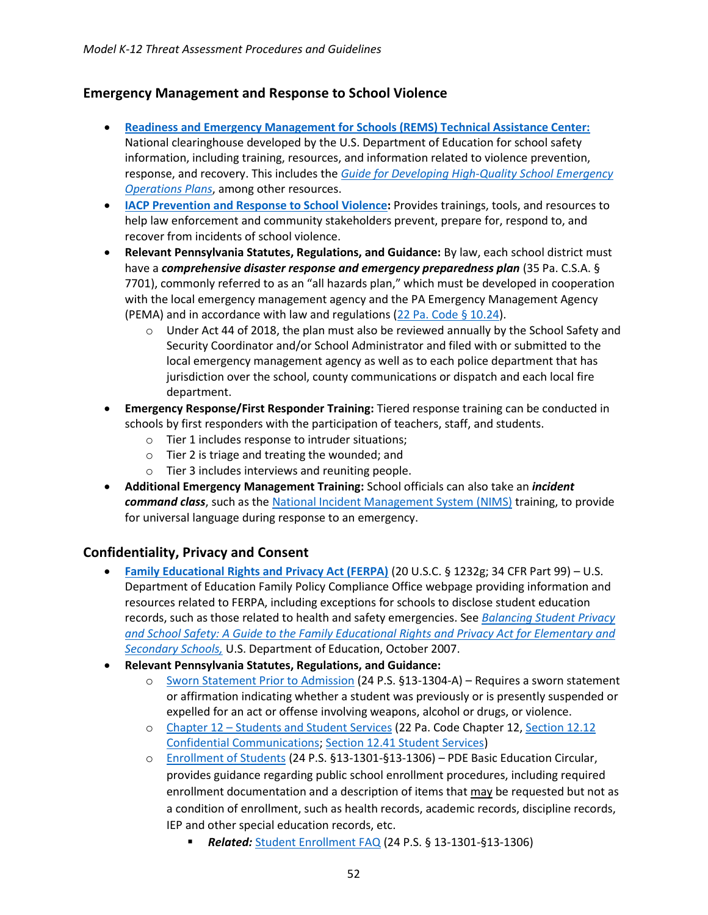#### **Emergency Management and Response to School Violence**

- **[Readiness and Emergency Management for Schools \(REMS\) Technical Assistance Center:](https://rems.ed.gov/)** National clearinghouse developed by the U.S. Department of Education for school safety information, including training, resources, and information related to violence prevention, response, and recovery. This includes the *[Guide for Developing High-Quality School Emergency](https://rems.ed.gov/docs/REMS_K-12_Guide_508.pdf)  [Operations Plans](https://rems.ed.gov/docs/REMS_K-12_Guide_508.pdf)*, among other resources.
- **[IACP Prevention and Response to School Violence:](https://www.theiacp.org/resources/document/iacp-prevention-and-response-to-school-violence)** Provides trainings, tools, and resources to help law enforcement and community stakeholders prevent, prepare for, respond to, and recover from incidents of school violence.
- **Relevant Pennsylvania Statutes, Regulations, and Guidance:** By law, each school district must have a *comprehensive disaster response and emergency preparedness plan* (35 Pa. C.S.A. § 7701), commonly referred to as an "all hazards plan," which must be developed in cooperation with the local emergency management agency and the PA Emergency Management Agency (PEMA) and in accordance with law and regulations [\(22 Pa. Code § 10.24\)](https://www.pacode.com/secure/data/022/chapter10/s10.24.html).
	- $\circ$  Under Act 44 of 2018, the plan must also be reviewed annually by the School Safety and Security Coordinator and/or School Administrator and filed with or submitted to the local emergency management agency as well as to each police department that has jurisdiction over the school, county communications or dispatch and each local fire department.
- **Emergency Response/First Responder Training:** Tiered response training can be conducted in schools by first responders with the participation of teachers, staff, and students.
	- o Tier 1 includes response to intruder situations;
	- o Tier 2 is triage and treating the wounded; and
	- o Tier 3 includes interviews and reuniting people.
- **Additional Emergency Management Training:** School officials can also take an *incident command class*, such as the [National Incident Management System \(NIMS\)](https://www.fema.gov/national-incident-management-system) training, to provide for universal language during response to an emergency.

#### <span id="page-51-0"></span>**Confidentiality, Privacy and Consent**

- **[Family Educational Rights and Privacy Act \(FERPA\)](https://www2.ed.gov/policy/gen/guid/fpco/ferpa/index.html?src=rn)** (20 U.S.C. § 1232g; 34 CFR Part 99) U.S. Department of Education Family Policy Compliance Office webpage providing information and resources related to FERPA, including exceptions for schools to disclose student education records, such as those related to health and safety emergencies. See *[Balancing Student Privacy](https://www2.ed.gov/policy/gen/guid/fpco/brochures/elsec.html)  [and School Safety: A Guide to the Family Educational Rights and Privacy Act for Elementary and](https://www2.ed.gov/policy/gen/guid/fpco/brochures/elsec.html)  [Secondary Schools,](https://www2.ed.gov/policy/gen/guid/fpco/brochures/elsec.html)* U.S. Department of Education, October 2007.
- **Relevant Pennsylvania Statutes, Regulations, and Guidance:** 
	- o [Sworn Statement Prior to Admission](https://www.legis.state.pa.us/cfdocs/legis/LI/uconsCheck.cfm?txtType=HTM&yr=1949&sessInd=0&smthLwInd=0&act=14&chpt=13A&sctn=4&subsctn=0) (24 P.S. §13-1304-A) Requires a sworn statement or affirmation indicating whether a student was previously or is presently suspended or expelled for an act or offense involving weapons, alcohol or drugs, or violence.
	- o Chapter 12 [Students and Student Services](https://www.pacode.com/secure/data/022/chapter12/chap12toc.html) (22 Pa. Code Chapter 12[, Section 12.12](https://www.pacode.com/secure/data/022/chapter12/s12.12.html)  [Confidential Communications;](https://www.pacode.com/secure/data/022/chapter12/s12.12.html) [Section 12.41 Student Services\)](https://www.pacode.com/secure/data/022/chapter12/s12.41.html)
	- o [Enrollment of Students](https://www.education.pa.gov/Policy-Funding/BECS/Purdons/Pages/EnrollmentStudents.aspx) (24 P.S. §13-1301-§13-1306) PDE Basic Education Circular, provides guidance regarding public school enrollment procedures, including required enrollment documentation and a description of items that may be requested but not as a condition of enrollment, such as health records, academic records, discipline records, IEP and other special education records, etc.
		- *Related:* [Student Enrollment FAQ](https://www.education.pa.gov/Policy-Funding/BECS/Purdons/Pages/EnrollmentStudentsFAQ.aspx) (24 P.S. § 13-1301-§13-1306)